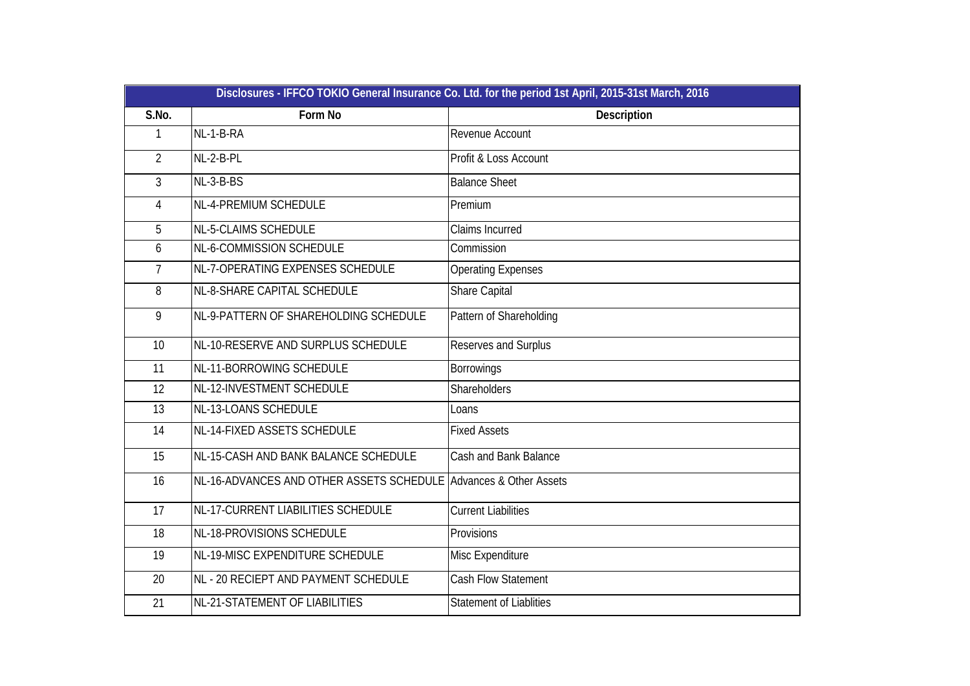|                |                                                                  | Disclosures - IFFCO TOKIO General Insurance Co. Ltd. for the period 1st April, 2015-31st March, 2016 |
|----------------|------------------------------------------------------------------|------------------------------------------------------------------------------------------------------|
| S.No.          | Form No                                                          | Description                                                                                          |
| 1              | NL-1-B-RA                                                        | Revenue Account                                                                                      |
| $\overline{2}$ | NL-2-B-PL                                                        | Profit & Loss Account                                                                                |
| $\mathfrak{Z}$ | NL-3-B-BS                                                        | <b>Balance Sheet</b>                                                                                 |
| 4              | NL-4-PREMIUM SCHEDULE                                            | Premium                                                                                              |
| 5              | NL-5-CLAIMS SCHEDULE                                             | Claims Incurred                                                                                      |
| 6              | NL-6-COMMISSION SCHEDULE                                         | Commission                                                                                           |
| $\overline{7}$ | NL-7-OPERATING EXPENSES SCHEDULE                                 | <b>Operating Expenses</b>                                                                            |
| 8              | NL-8-SHARE CAPITAL SCHEDULE                                      | <b>Share Capital</b>                                                                                 |
| 9              | NL-9-PATTERN OF SHAREHOLDING SCHEDULE                            | Pattern of Shareholding                                                                              |
| 10             | NL-10-RESERVE AND SURPLUS SCHEDULE                               | Reserves and Surplus                                                                                 |
| 11             | NL-11-BORROWING SCHEDULE                                         | <b>Borrowings</b>                                                                                    |
| 12             | NL-12-INVESTMENT SCHEDULE                                        | <b>Shareholders</b>                                                                                  |
| 13             | NL-13-LOANS SCHEDULE                                             | Loans                                                                                                |
| 14             | NL-14-FIXED ASSETS SCHEDULE                                      | <b>Fixed Assets</b>                                                                                  |
| 15             | NL-15-CASH AND BANK BALANCE SCHEDULE                             | Cash and Bank Balance                                                                                |
| 16             | NL-16-ADVANCES AND OTHER ASSETS SCHEDULE Advances & Other Assets |                                                                                                      |
| 17             | NL-17-CURRENT LIABILITIES SCHEDULE                               | <b>Current Liabilities</b>                                                                           |
| 18             | NL-18-PROVISIONS SCHEDULE                                        | Provisions                                                                                           |
| 19             | NL-19-MISC EXPENDITURE SCHEDULE                                  | Misc Expenditure                                                                                     |
| 20             | NL - 20 RECIEPT AND PAYMENT SCHEDULE                             | <b>Cash Flow Statement</b>                                                                           |
| 21             | NL-21-STATEMENT OF LIABILITIES                                   | <b>Statement of Liablities</b>                                                                       |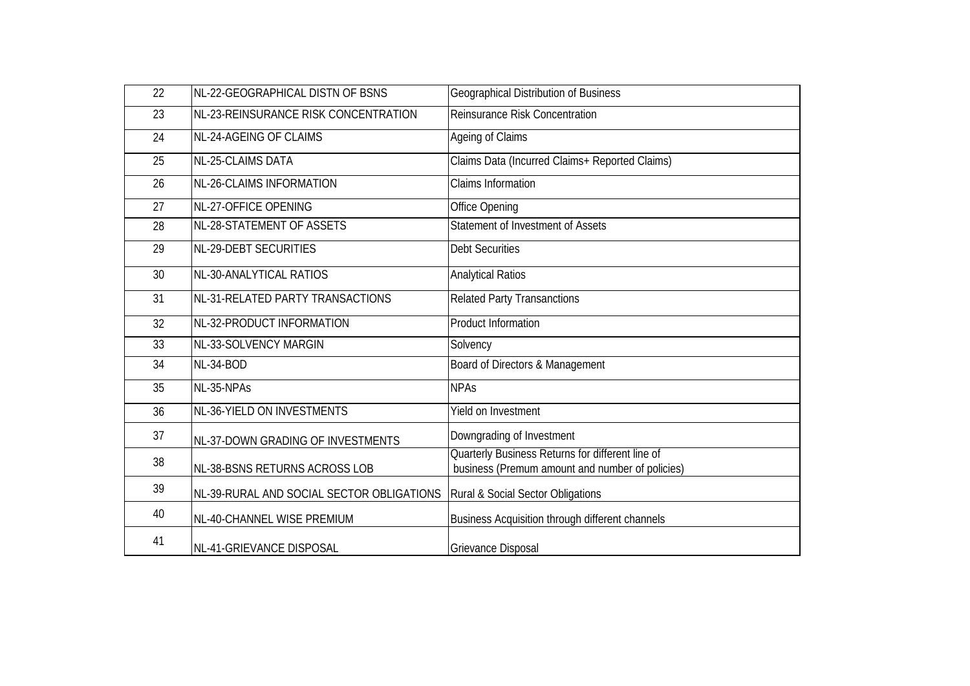| 22 | NL-22-GEOGRAPHICAL DISTN OF BSNS          | Geographical Distribution of Business                                                               |
|----|-------------------------------------------|-----------------------------------------------------------------------------------------------------|
| 23 | NL-23-REINSURANCE RISK CONCENTRATION      | <b>Reinsurance Risk Concentration</b>                                                               |
| 24 | NL-24-AGEING OF CLAIMS                    | Ageing of Claims                                                                                    |
| 25 | NL-25-CLAIMS DATA                         | Claims Data (Incurred Claims+ Reported Claims)                                                      |
| 26 | <b>NL-26-CLAIMS INFORMATION</b>           | <b>Claims Information</b>                                                                           |
| 27 | NL-27-OFFICE OPENING                      | Office Opening                                                                                      |
| 28 | NL-28-STATEMENT OF ASSETS                 | Statement of Investment of Assets                                                                   |
| 29 | NL-29-DEBT SECURITIES                     | <b>Debt Securities</b>                                                                              |
| 30 | NL-30-ANALYTICAL RATIOS                   | <b>Analytical Ratios</b>                                                                            |
| 31 | NL-31-RELATED PARTY TRANSACTIONS          | <b>Related Party Transanctions</b>                                                                  |
| 32 | NL-32-PRODUCT INFORMATION                 | <b>Product Information</b>                                                                          |
| 33 | NL-33-SOLVENCY MARGIN                     | Solvency                                                                                            |
| 34 | NL-34-BOD                                 | Board of Directors & Management                                                                     |
| 35 | NL-35-NPAs                                | <b>NPAs</b>                                                                                         |
| 36 | NL-36-YIELD ON INVESTMENTS                | Yield on Investment                                                                                 |
| 37 | NL-37-DOWN GRADING OF INVESTMENTS         | Downgrading of Investment                                                                           |
| 38 | NL-38-BSNS RETURNS ACROSS LOB             | Quarterly Business Returns for different line of<br>business (Premum amount and number of policies) |
| 39 | NL-39-RURAL AND SOCIAL SECTOR OBLIGATIONS | Rural & Social Sector Obligations                                                                   |
| 40 | NL-40-CHANNEL WISE PREMIUM                | Business Acquisition through different channels                                                     |
| 41 | NL-41-GRIEVANCE DISPOSAL                  | Grievance Disposal                                                                                  |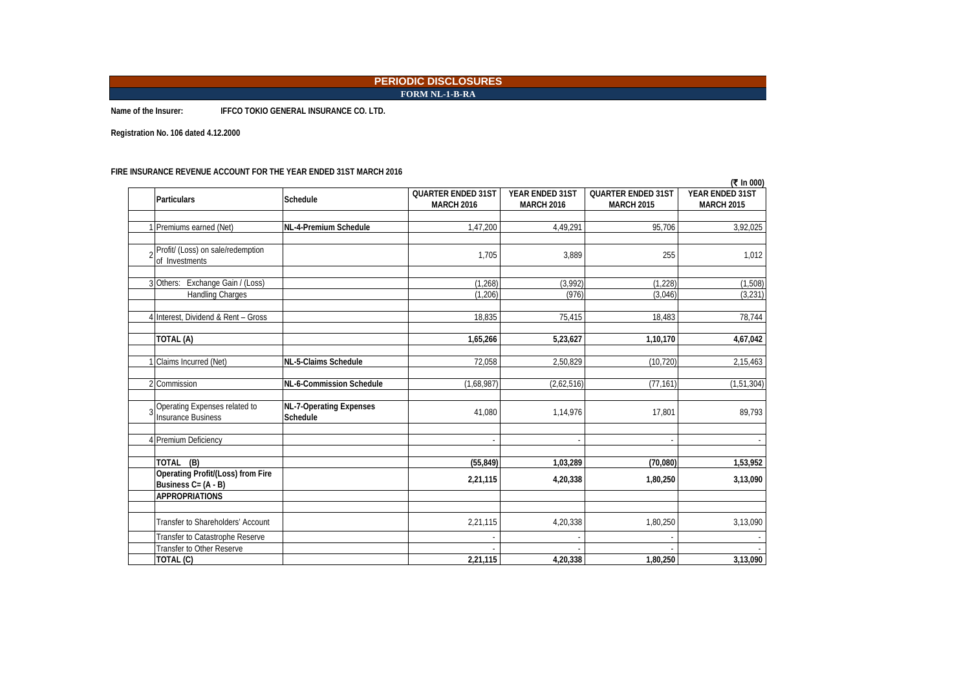**FORM NL-1-B-RA**

**Name of the Insurer: IFFCO TOKIO GENERAL INSURANCE CO. LTD.**

**Registration No. 106 dated 4.12.2000**

#### **FIRE INSURANCE REVENUE ACCOUNT FOR THE YEAR ENDED 31ST MARCH 2016**

|                                                                 |                                            |                                                |                                      |                                                | (₹ In 000)                           |
|-----------------------------------------------------------------|--------------------------------------------|------------------------------------------------|--------------------------------------|------------------------------------------------|--------------------------------------|
| <b>Particulars</b>                                              | Schedule                                   | <b>QUARTER ENDED 31ST</b><br><b>MARCH 2016</b> | YEAR ENDED 31ST<br><b>MARCH 2016</b> | <b>QUARTER ENDED 31ST</b><br><b>MARCH 2015</b> | YEAR ENDED 31ST<br><b>MARCH 2015</b> |
| Premiums earned (Net)                                           | NL-4-Premium Schedule                      | 1,47,200                                       | 4,49,291                             | 95,706                                         | 3,92,025                             |
| Profit/ (Loss) on sale/redemption<br>of Investments             |                                            | 1,705                                          | 3,889                                | 255                                            | 1,012                                |
| 3 Others: Exchange Gain / (Loss)<br><b>Handling Charges</b>     |                                            | (1, 268)<br>(1, 206)                           | (3,992)<br>(976)                     | (1, 228)<br>(3,046)                            | (1,508)<br>(3,231)                   |
| Interest, Dividend & Rent - Gross                               |                                            | 18,835                                         | 75,415                               | 18,483                                         | 78,744                               |
| TOTAL (A)                                                       |                                            | 1,65,266                                       | 5,23,627                             | 1,10,170                                       | 4,67,042                             |
| Claims Incurred (Net)                                           | NL-5-Claims Schedule                       | 72,058                                         | 2,50,829                             | (10, 720)                                      | 2,15,463                             |
| 2 Commission                                                    | NL-6-Commission Schedule                   | (1,68,987)                                     | (2,62,516)                           | (77, 161)                                      | (1, 51, 304)                         |
| Operating Expenses related to<br><b>Insurance Business</b>      | <b>NL-7-Operating Expenses</b><br>Schedule | 41,080                                         | 1,14,976                             | 17,801                                         | 89,793                               |
| 4 Premium Deficiency                                            |                                            |                                                |                                      |                                                |                                      |
| TOTAL (B)                                                       |                                            | (55, 849)                                      | 1,03,289                             | (70,080)                                       | 1,53,952                             |
| <b>Operating Profit/(Loss) from Fire</b><br>Business C= (A - B) |                                            | 2,21,115                                       | 4,20,338                             | 1,80,250                                       | 3,13,090                             |
| <b>APPROPRIATIONS</b>                                           |                                            |                                                |                                      |                                                |                                      |
| Transfer to Shareholders' Account                               |                                            | 2,21,115                                       | 4,20,338                             | 1,80,250                                       | 3,13,090                             |
| Transfer to Catastrophe Reserve                                 |                                            |                                                |                                      |                                                |                                      |
| Transfer to Other Reserve<br>TOTAL (C)                          |                                            | 2,21,115                                       | 4,20,338                             | 1,80,250                                       | 3,13,090                             |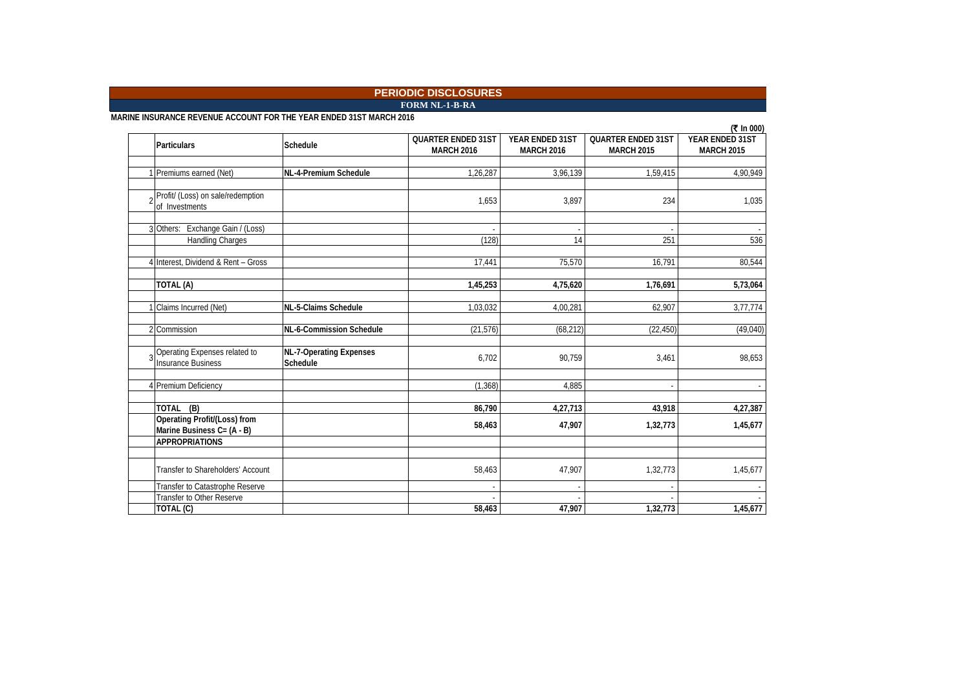**FORM NL-1-B-RA**

**MARINE INSURANCE REVENUE ACCOUNT FOR THE YEAR ENDED 31ST MARCH 2016**

|                                     |                                |                           |                   |                           | (₹ In 000)        |
|-------------------------------------|--------------------------------|---------------------------|-------------------|---------------------------|-------------------|
| <b>Particulars</b>                  | <b>Schedule</b>                | <b>QUARTER ENDED 31ST</b> | YEAR ENDED 31ST   | <b>QUARTER ENDED 31ST</b> | YEAR ENDED 31ST   |
|                                     |                                | <b>MARCH 2016</b>         | <b>MARCH 2016</b> | <b>MARCH 2015</b>         | <b>MARCH 2015</b> |
|                                     |                                |                           |                   |                           |                   |
| Premiums earned (Net)               | NL-4-Premium Schedule          | 1,26,287                  | 3,96,139          | 1,59,415                  | 4,90,949          |
|                                     |                                |                           |                   |                           |                   |
| Profit/ (Loss) on sale/redemption   |                                |                           |                   |                           |                   |
| of Investments                      |                                | 1,653                     | 3,897             | 234                       | 1,035             |
|                                     |                                |                           |                   |                           |                   |
| 3 Others: Exchange Gain / (Loss)    |                                |                           |                   |                           |                   |
| <b>Handling Charges</b>             |                                | (128)                     | 14                | 251                       | 536               |
|                                     |                                |                           |                   |                           |                   |
| 4 Interest, Dividend & Rent - Gross |                                | 17,441                    | 75,570            | 16,791                    | 80,544            |
|                                     |                                |                           |                   |                           |                   |
| TOTAL (A)                           |                                | 1,45,253                  | 4,75,620          | 1,76,691                  | 5,73,064          |
|                                     |                                |                           |                   |                           |                   |
| Claims Incurred (Net)               | NL-5-Claims Schedule           | 1,03,032                  | 4,00,281          | 62,907                    | 3,77,774          |
|                                     |                                |                           |                   |                           |                   |
| 2 Commission                        | NL-6-Commission Schedule       | (21, 576)                 | (68, 212)         | (22, 450)                 | (49,040)          |
|                                     |                                |                           |                   |                           |                   |
| Operating Expenses related to       | <b>NL-7-Operating Expenses</b> |                           |                   |                           |                   |
| <b>Insurance Business</b>           | Schedule                       | 6,702                     | 90,759            | 3,461                     | 98,653            |
|                                     |                                |                           |                   |                           |                   |
| 4 Premium Deficiency                |                                | (1.368)                   | 4.885             |                           |                   |
|                                     |                                |                           |                   |                           |                   |
| TOTAL (B)                           |                                | 86,790                    | 4,27,713          | 43,918                    | 4,27,387          |
| <b>Operating Profit/(Loss) from</b> |                                | 58,463                    | 47,907            |                           | 1,45,677          |
| Marine Business C= (A - B)          |                                |                           |                   | 1,32,773                  |                   |
| <b>APPROPRIATIONS</b>               |                                |                           |                   |                           |                   |
|                                     |                                |                           |                   |                           |                   |
| Transfer to Shareholders' Account   |                                | 58,463                    | 47,907            | 1,32,773                  | 1,45,677          |
|                                     |                                |                           |                   |                           |                   |
| Transfer to Catastrophe Reserve     |                                |                           |                   |                           |                   |
| Transfer to Other Reserve           |                                |                           |                   |                           |                   |
| TOTAL (C)                           |                                | 58,463                    | 47,907            | 1,32,773                  | 1,45,677          |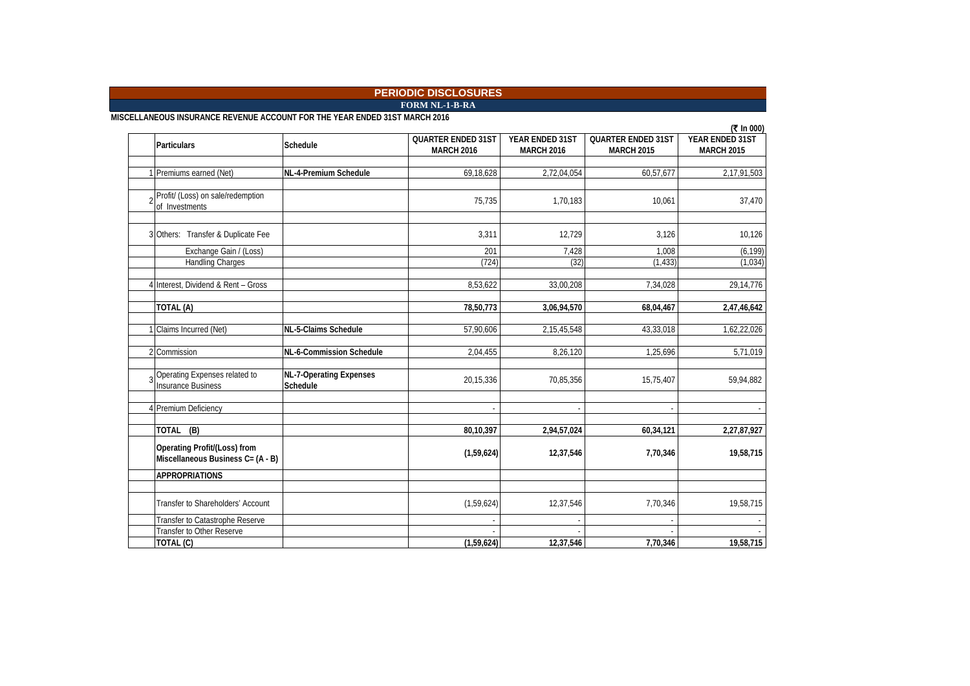**FORM NL-1-B-RA**

**MISCELLANEOUS INSURANCE REVENUE ACCOUNT FOR THE YEAR ENDED 31ST MARCH 2016**

|                                     |                                |                           |                   |                           | (₹ In 000)        |
|-------------------------------------|--------------------------------|---------------------------|-------------------|---------------------------|-------------------|
| <b>Particulars</b>                  | Schedule                       | <b>QUARTER ENDED 31ST</b> | YEAR ENDED 31ST   | <b>QUARTER ENDED 31ST</b> | YEAR ENDED 31ST   |
|                                     |                                | <b>MARCH 2016</b>         | <b>MARCH 2016</b> | <b>MARCH 2015</b>         | <b>MARCH 2015</b> |
|                                     |                                |                           |                   |                           |                   |
| Premiums earned (Net)               | NL-4-Premium Schedule          | 69,18,628                 | 2,72,04,054       | 60,57,677                 | 2,17,91,503       |
|                                     |                                |                           |                   |                           |                   |
| Profit/ (Loss) on sale/redemption   |                                | 75,735                    | 1,70,183          | 10,061                    | 37,470            |
| of Investments                      |                                |                           |                   |                           |                   |
|                                     |                                |                           |                   |                           |                   |
| 3 Others: Transfer & Duplicate Fee  |                                | 3,311                     | 12,729            | 3,126                     | 10,126            |
|                                     |                                |                           |                   |                           |                   |
| Exchange Gain / (Loss)              |                                | 201                       | 7,428             | 1.008                     | (6, 199)          |
| Handling Charges                    |                                | (724)                     | (32)              | (1, 433)                  | (1,034)           |
|                                     |                                |                           |                   |                           |                   |
| 4 Interest, Dividend & Rent - Gross |                                | 8,53,622                  | 33,00,208         | 7,34,028                  | 29,14,776         |
|                                     |                                |                           |                   |                           |                   |
| TOTAL (A)                           |                                | 78,50,773                 | 3,06,94,570       | 68,04,467                 | 2,47,46,642       |
|                                     |                                |                           |                   |                           |                   |
| Claims Incurred (Net)               | NL-5-Claims Schedule           | 57,90,606                 | 2, 15, 45, 548    | 43,33,018                 | 1,62,22,026       |
|                                     |                                |                           |                   |                           |                   |
| 2 Commission                        | NL-6-Commission Schedule       | 2,04,455                  | 8,26,120          | 1,25,696                  | 5,71,019          |
|                                     |                                |                           |                   |                           |                   |
| Operating Expenses related to       | <b>NL-7-Operating Expenses</b> | 20,15,336                 | 70,85,356         | 15,75,407                 | 59,94,882         |
| <b>Insurance Business</b>           | Schedule                       |                           |                   |                           |                   |
|                                     |                                |                           |                   |                           |                   |
| 4 Premium Deficiency                |                                |                           |                   |                           |                   |
|                                     |                                |                           |                   |                           |                   |
| TOTAL (B)                           |                                | 80,10,397                 | 2,94,57,024       | 60,34,121                 | 2,27,87,927       |
| Operating Profit/(Loss) from        |                                |                           |                   |                           |                   |
| Miscellaneous Business C= (A - B)   |                                | (1,59,624)                | 12,37,546         | 7,70,346                  | 19,58,715         |
|                                     |                                |                           |                   |                           |                   |
| <b>APPROPRIATIONS</b>               |                                |                           |                   |                           |                   |
|                                     |                                |                           |                   |                           |                   |
| Transfer to Shareholders' Account   |                                | (1,59,624)                | 12,37,546         | 7,70,346                  | 19,58,715         |
|                                     |                                |                           |                   |                           |                   |
| Transfer to Catastrophe Reserve     |                                |                           |                   |                           |                   |
| Transfer to Other Reserve           |                                |                           |                   |                           |                   |
| TOTAL (C)                           |                                | (1,59,624)                | 12,37,546         | 7,70,346                  | 19,58,715         |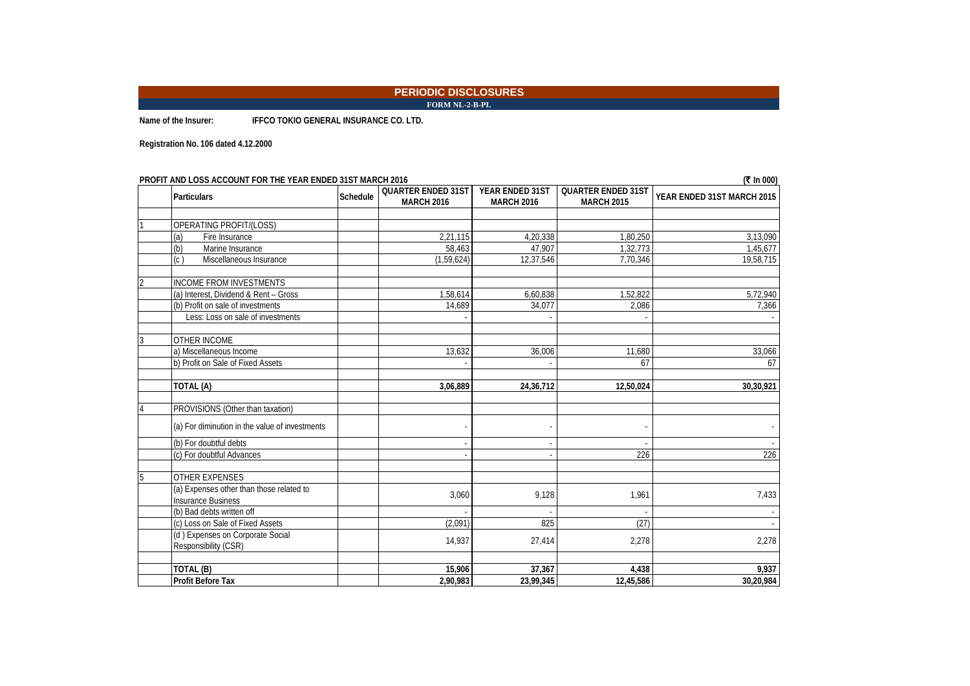**FORM NL-2-B-PL**

**Name of the Insurer: IFFCO TOKIO GENERAL INSURANCE CO. LTD.**

**Registration No. 106 dated 4.12.2000**

|                          | PROFIT AND LOSS ACCOUNT FOR THE YEAR ENDED 31ST MARCH 2016            |  |                                                |                                      |                                                | (₹ In 000)                 |
|--------------------------|-----------------------------------------------------------------------|--|------------------------------------------------|--------------------------------------|------------------------------------------------|----------------------------|
|                          | <b>Particulars</b>                                                    |  | <b>QUARTER ENDED 31ST</b><br><b>MARCH 2016</b> | YEAR ENDED 31ST<br><b>MARCH 2016</b> | <b>QUARTER ENDED 31ST</b><br><b>MARCH 2015</b> | YEAR ENDED 31ST MARCH 2015 |
|                          |                                                                       |  |                                                |                                      |                                                |                            |
|                          | OPERATING PROFIT/(LOSS)                                               |  |                                                |                                      |                                                |                            |
|                          | (a)<br>Fire Insurance                                                 |  | 2,21,115                                       | 4.20.338                             | 1,80,250                                       | 3,13,090                   |
|                          | (b)<br>Marine Insurance                                               |  | 58,463                                         | 47,907                               | 1,32,773                                       | 1,45,677                   |
|                          | (c)<br>Miscellaneous Insurance                                        |  | (1,59,624)                                     | 12,37,546                            | 7.70.346                                       | 19,58,715                  |
| $\overline{\mathcal{L}}$ | <b>INCOME FROM INVESTMENTS</b>                                        |  |                                                |                                      |                                                |                            |
|                          | (a) Interest, Dividend & Rent - Gross                                 |  | 1,58,614                                       | 6,60,838                             | 1,52,822                                       | 5,72,940                   |
|                          | (b) Profit on sale of investments                                     |  | 14,689                                         | 34,077                               | 2,086                                          | 7,366                      |
|                          | Less: Loss on sale of investments                                     |  |                                                |                                      |                                                |                            |
| 3                        | <b>OTHER INCOME</b>                                                   |  |                                                |                                      |                                                |                            |
|                          | a) Miscellaneous Income                                               |  | 13,632                                         | 36,006                               | 11,680                                         | 33,066                     |
|                          | b) Profit on Sale of Fixed Assets                                     |  |                                                |                                      | 67                                             | 67                         |
|                          | TOTAL (A)                                                             |  | 3,06,889                                       | 24,36,712                            | 12,50,024                                      | 30,30,921                  |
|                          | PROVISIONS (Other than taxation)                                      |  |                                                |                                      |                                                |                            |
|                          | (a) For diminution in the value of investments                        |  |                                                |                                      |                                                |                            |
|                          | (b) For doubtful debts                                                |  |                                                |                                      |                                                |                            |
|                          | (c) For doubtful Advances                                             |  |                                                |                                      | 226                                            | 226                        |
| 5                        | <b>OTHER EXPENSES</b>                                                 |  |                                                |                                      |                                                |                            |
|                          | (a) Expenses other than those related to<br><b>Insurance Business</b> |  | 3,060                                          | 9,128                                | 1,961                                          | 7,433                      |
|                          | (b) Bad debts written off                                             |  |                                                |                                      |                                                |                            |
|                          | (c) Loss on Sale of Fixed Assets                                      |  | (2.091)                                        | 825                                  | (27)                                           |                            |
|                          | (d) Expenses on Corporate Social<br>Responsibility (CSR)              |  | 14,937                                         | 27,414                               | 2,278                                          | 2,278                      |
|                          |                                                                       |  |                                                |                                      |                                                |                            |
|                          | TOTAL (B)                                                             |  | 15,906                                         | 37,367                               | 4,438                                          | 9,937                      |
|                          | <b>Profit Before Tax</b>                                              |  | 2,90,983                                       | 23.99.345                            | 12,45,586                                      | 30,20,984                  |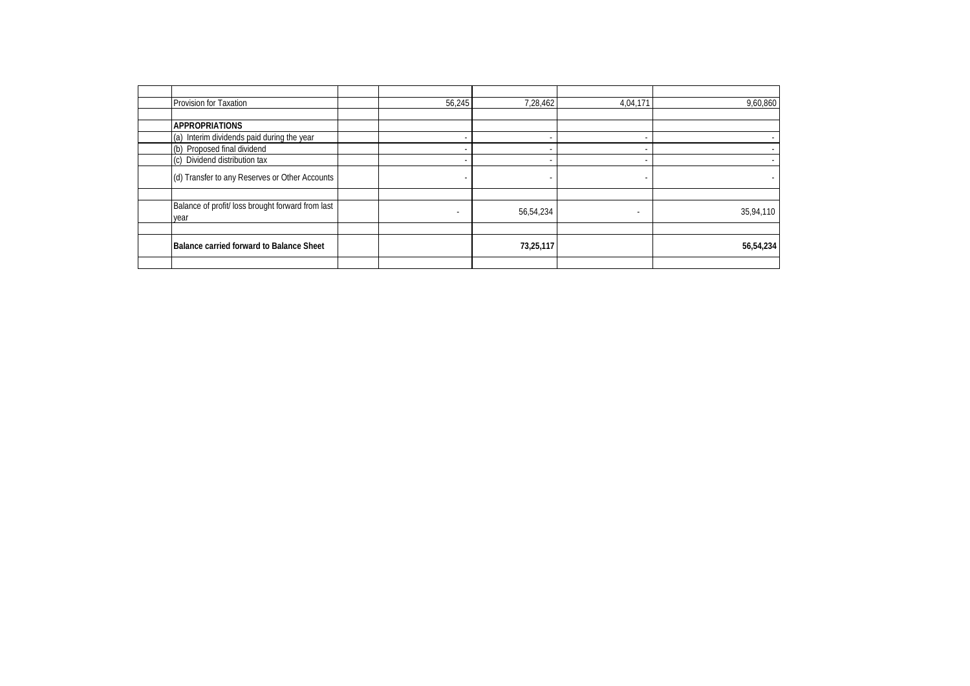| Provision for Taxation                                    | 56,245 | 7,28,462  | 4,04,171 | 9,60,860  |
|-----------------------------------------------------------|--------|-----------|----------|-----------|
|                                                           |        |           |          |           |
| <b>APPROPRIATIONS</b>                                     |        |           |          |           |
| Interim dividends paid during the year<br>(a)             |        |           |          |           |
| (b) Proposed final dividend                               |        |           |          |           |
| Dividend distribution tax<br>(c)                          |        |           |          |           |
| (d) Transfer to any Reserves or Other Accounts            |        | -         |          |           |
|                                                           |        |           |          |           |
| Balance of profit/ loss brought forward from last<br>year |        | 56,54,234 |          | 35,94,110 |
|                                                           |        |           |          |           |
| Balance carried forward to Balance Sheet                  |        | 73,25,117 |          | 56,54,234 |
|                                                           |        |           |          |           |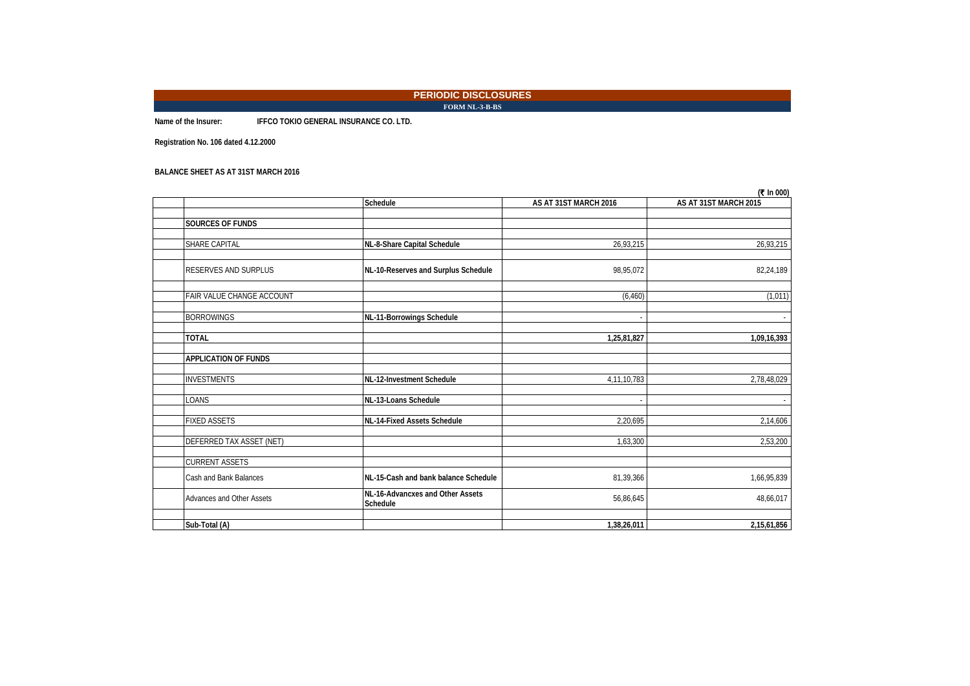**FORM NL-3-B-BS**

**Name of the Insurer: IFFCO TOKIO GENERAL INSURANCE CO. LTD.**

**Registration No. 106 dated 4.12.2000**

#### **BALANCE SHEET AS AT 31ST MARCH 2016**

|                             |                                              |                       | (₹ In 000)            |
|-----------------------------|----------------------------------------------|-----------------------|-----------------------|
|                             | Schedule                                     | AS AT 31ST MARCH 2016 | AS AT 31ST MARCH 2015 |
|                             |                                              |                       |                       |
| SOURCES OF FUNDS            |                                              |                       |                       |
| SHARE CAPITAL               | NL-8-Share Capital Schedule                  | 26,93,215             | 26,93,215             |
|                             |                                              |                       |                       |
| <b>RESERVES AND SURPLUS</b> | NL-10-Reserves and Surplus Schedule          | 98,95,072             | 82,24,189             |
|                             |                                              |                       |                       |
| FAIR VALUE CHANGE ACCOUNT   |                                              | (6, 460)              | (1,011)               |
| <b>BORROWINGS</b>           |                                              |                       |                       |
|                             | NL-11-Borrowings Schedule                    |                       |                       |
| <b>TOTAL</b>                |                                              | 1,25,81,827           | 1,09,16,393           |
|                             |                                              |                       |                       |
| <b>APPLICATION OF FUNDS</b> |                                              |                       |                       |
| <b>INVESTMENTS</b>          | NL-12-Investment Schedule                    | 4,11,10,783           | 2,78,48,029           |
|                             |                                              |                       |                       |
| LOANS                       | NL-13-Loans Schedule                         |                       |                       |
|                             |                                              |                       |                       |
| <b>FIXED ASSETS</b>         | NL-14-Fixed Assets Schedule                  | 2,20,695              | 2,14,606              |
| DEFERRED TAX ASSET (NET)    |                                              | 1,63,300              | 2,53,200              |
|                             |                                              |                       |                       |
| <b>CURRENT ASSETS</b>       |                                              |                       |                       |
| Cash and Bank Balances      | NL-15-Cash and bank balance Schedule         | 81,39,366             | 1,66,95,839           |
| Advances and Other Assets   | NL-16-Advancxes and Other Assets<br>Schedule | 56,86,645             | 48,66,017             |
|                             |                                              |                       |                       |
| Sub-Total (A)               |                                              | 1,38,26,011           | 2,15,61,856           |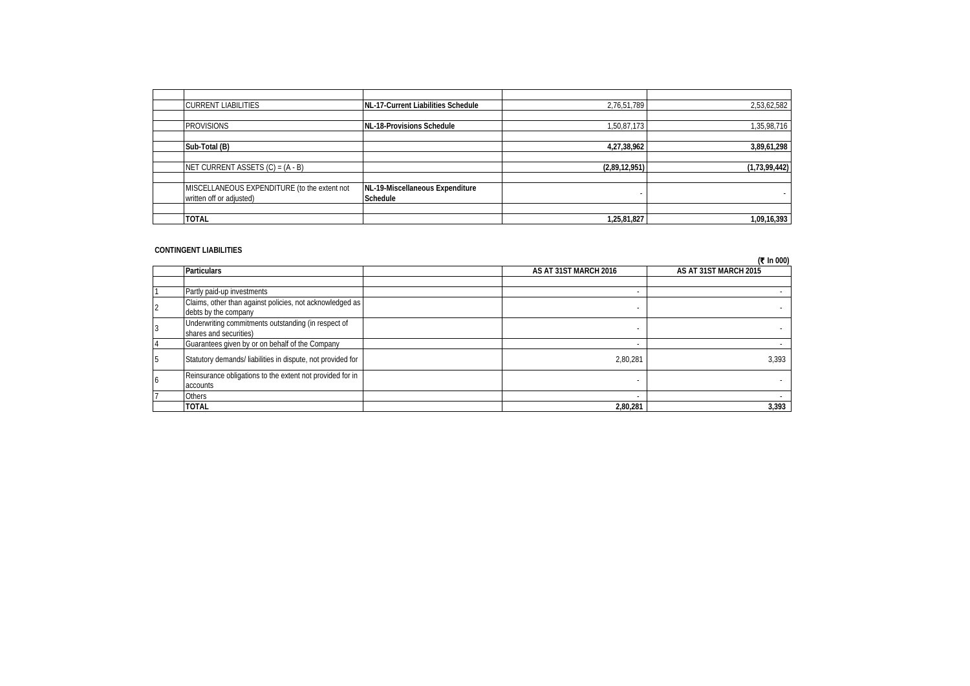| <b>CURRENT LIABILITIES</b>                   | NL-17-Current Liabilities Schedule | 2,76,51,789   | 2,53,62,582   |
|----------------------------------------------|------------------------------------|---------------|---------------|
|                                              |                                    |               |               |
| <b>PROVISIONS</b>                            | NL-18-Provisions Schedule          | 1,50,87,173   | 1,35,98,716   |
|                                              |                                    |               |               |
| Sub-Total (B)                                |                                    | 4,27,38,962   | 3,89,61,298   |
|                                              |                                    |               |               |
| NET CURRENT ASSETS $(C) = (A - B)$           |                                    | (2,89,12,951) | (1,73,99,442) |
|                                              |                                    |               |               |
| MISCELLANEOUS EXPENDITURE (to the extent not | NL-19-Miscellaneous Expenditure    |               |               |
| written off or adjusted)                     | Schedule                           |               |               |
|                                              |                                    |               |               |
| <b>TOTAL</b>                                 |                                    | 1,25,81,827   | 1,09,16,393   |

#### **CONTINGENT LIABILITIES**

|    |                                                                                  |                          | (₹ In 000)            |
|----|----------------------------------------------------------------------------------|--------------------------|-----------------------|
|    | <b>Particulars</b>                                                               | AS AT 31ST MARCH 2016    | AS AT 31ST MARCH 2015 |
|    |                                                                                  |                          |                       |
|    | Partly paid-up investments                                                       |                          |                       |
|    | Claims, other than against policies, not acknowledged as<br>debts by the company | $\overline{\phantom{a}}$ |                       |
|    | Underwriting commitments outstanding (in respect of<br>shares and securities)    |                          |                       |
|    | Guarantees given by or on behalf of the Company                                  |                          |                       |
| 5  | Statutory demands/ liabilities in dispute, not provided for                      | 2.80.281                 | 3,393                 |
| 16 | Reinsurance obligations to the extent not provided for in<br>accounts            |                          |                       |
|    | Others                                                                           |                          |                       |
|    | <b>TOTAL</b>                                                                     | 2.80.281                 | 3,393                 |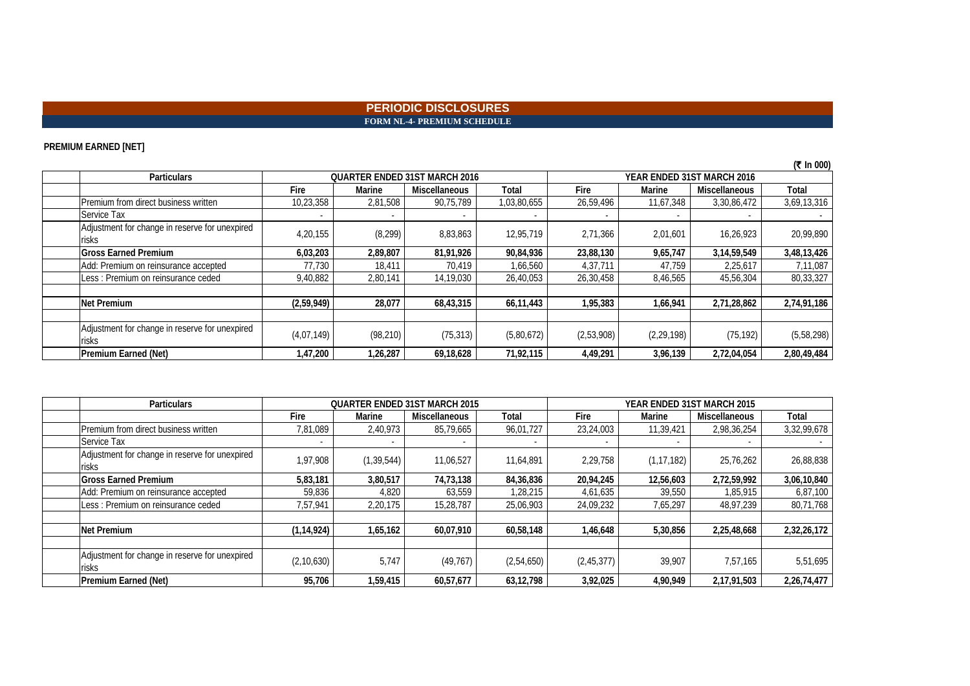#### **PERIODIC DISCLOSURES FORM NL-4- PREMIUM SCHEDULE**

### **PREMIUM EARNED [NET]**

|                                                         |                                                                    |           |                      |             |            |              |                      | (₹ In 000)  |
|---------------------------------------------------------|--------------------------------------------------------------------|-----------|----------------------|-------------|------------|--------------|----------------------|-------------|
| <b>Particulars</b>                                      | <b>QUARTER ENDED 31ST MARCH 2016</b><br>YEAR ENDED 31ST MARCH 2016 |           |                      |             |            |              |                      |             |
|                                                         | Fire                                                               | Marine    | <b>Miscellaneous</b> | Total       | Fire       | Marine       | <b>Miscellaneous</b> | Total       |
| Premium from direct business written                    | 10,23,358                                                          | 2,81,508  | 90,75,789            | 1,03,80,655 | 26,59,496  | 11,67,348    | 3,30,86,472          | 3,69,13,316 |
| Service Tax                                             |                                                                    |           |                      |             |            |              |                      |             |
| Adjustment for change in reserve for unexpired<br>risks | 4,20,155                                                           | (8, 299)  | 8,83,863             | 12,95,719   | 2,71,366   | 2,01,601     | 16,26,923            | 20,99,890   |
| <b>Gross Earned Premium</b>                             | 6,03,203                                                           | 2,89,807  | 81,91,926            | 90,84,936   | 23,88,130  | 9,65,747     | 3,14,59,549          | 3,48,13,426 |
| Add: Premium on reinsurance accepted                    | 77,730                                                             | 18,411    | 70,419               | 1,66,560    | 4,37,711   | 47.759       | 2,25,617             | 7,11,087    |
| Less: Premium on reinsurance ceded                      | 9,40,882                                                           | 2,80,141  | 14,19,030            | 26,40,053   | 26,30,458  | 8,46,565     | 45,56,304            | 80,33,327   |
|                                                         |                                                                    |           |                      |             |            |              |                      |             |
| Net Premium                                             | (2,59,949)                                                         | 28,077    | 68,43,315            | 66,11,443   | 1,95,383   | 1,66,941     | 2,71,28,862          | 2,74,91,186 |
|                                                         |                                                                    |           |                      |             |            |              |                      |             |
| Adjustment for change in reserve for unexpired<br>risks | (4,07,149)                                                         | (98, 210) | (75, 313)            | (5,80,672)  | (2,53,908) | (2, 29, 198) | (75, 192)            | (5,58,298)  |
| <b>Premium Earned (Net)</b>                             | 1,47,200                                                           | 1,26,287  | 69,18,628            | 71,92,115   | 4,49,291   | 3,96,139     | 2,72,04,054          | 2,80,49,484 |

| <b>Particulars</b>                                      | <b>QUARTER ENDED 31ST MARCH 2015</b> |              |               | YEAR ENDED 31ST MARCH 2015 |              |              |                      |             |
|---------------------------------------------------------|--------------------------------------|--------------|---------------|----------------------------|--------------|--------------|----------------------|-------------|
|                                                         | Fire                                 | Marine       | Miscellaneous | Total                      | Fire         | Marine       | <b>Miscellaneous</b> | Total       |
| Premium from direct business written                    | 7,81,089                             | 2,40,973     | 85,79,665     | 96,01,727                  | 23,24,003    | 11,39,421    | 2,98,36,254          | 3,32,99,678 |
| Service Tax                                             |                                      |              |               |                            |              |              |                      |             |
| Adjustment for change in reserve for unexpired<br>risks | 1,97,908                             | (1, 39, 544) | 11,06,527     | 11,64,891                  | 2,29,758     | (1, 17, 182) | 25,76,262            | 26,88,838   |
| <b>Gross Earned Premium</b>                             | 5,83,181                             | 3,80,517     | 74,73,138     | 84,36,836                  | 20,94,245    | 12,56,603    | 2,72,59,992          | 3,06,10,840 |
| Add: Premium on reinsurance accepted                    | 59,836                               | 4,820        | 63,559        | 1,28,215                   | 4,61,635     | 39,550       | 1,85,915             | 6,87,100    |
| Less: Premium on reinsurance ceded                      | 7,57,941                             | 2,20,175     | 15,28,787     | 25,06,903                  | 24,09,232    | 7,65,297     | 48,97,239            | 80,71,768   |
|                                                         |                                      |              |               |                            |              |              |                      |             |
| <b>Net Premium</b>                                      | (1, 14, 924)                         | 1,65,162     | 60,07,910     | 60,58,148                  | 1,46,648     | 5,30,856     | 2,25,48,668          | 2,32,26,172 |
|                                                         |                                      |              |               |                            |              |              |                      |             |
| Adjustment for change in reserve for unexpired<br>risks | (2, 10, 630)                         | 5,747        | (49, 767)     | (2,54,650)                 | (2, 45, 377) | 39,907       | 7,57,165             | 5,51,695    |
| Premium Earned (Net)                                    | 95,706                               | 1,59,415     | 60,57,677     | 63,12,798                  | 3,92,025     | 4,90,949     | 2,17,91,503          | 2,26,74,477 |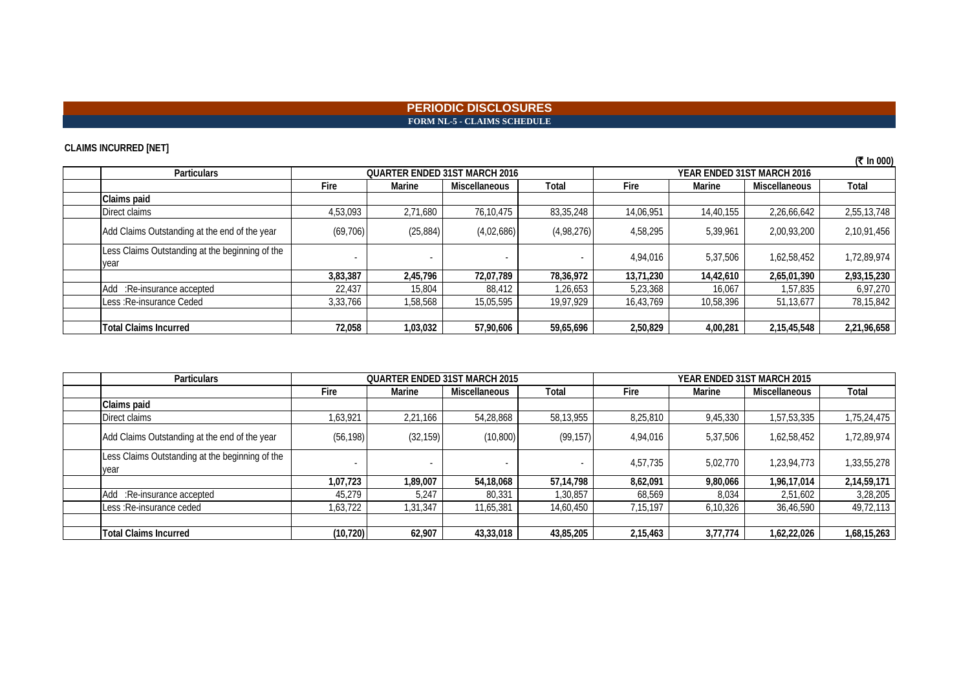### **PERIODIC DISCLOSURES FORM NL-5 - CLAIMS SCHEDULE**

### **CLAIMS INCURRED [NET]**

| (5.0000)                                                |           |                                      |               |            |           |                            |               |             |  |
|---------------------------------------------------------|-----------|--------------------------------------|---------------|------------|-----------|----------------------------|---------------|-------------|--|
| <b>Particulars</b>                                      |           | <b>OUARTER ENDED 31ST MARCH 2016</b> |               |            |           | YEAR ENDED 31ST MARCH 2016 |               |             |  |
|                                                         | Fire      | Marine                               | Miscellaneous | Total      | Fire      | Marine                     | Miscellaneous | Total       |  |
| Claims paid                                             |           |                                      |               |            |           |                            |               |             |  |
| Direct claims                                           | 4,53,093  | 2,71,680                             | 76,10,475     | 83,35,248  | 14,06,951 | 14,40,155                  | 2,26,66,642   | 2,55,13,748 |  |
| Add Claims Outstanding at the end of the year           | (69, 706) | (25, 884)                            | (4,02,686)    | (4,98,276) | 4,58,295  | 5,39,961                   | 2,00,93,200   | 2,10,91,456 |  |
| Less Claims Outstanding at the beginning of the<br>vear |           |                                      |               |            | 4,94,016  | 5,37,506                   | 1,62,58,452   | 1,72,89,974 |  |
|                                                         | 3,83,387  | 2,45,796                             | 72,07,789     | 78,36,972  | 13,71,230 | 14,42,610                  | 2,65,01,390   | 2,93,15,230 |  |
| Add :Re-insurance accepted                              | 22.437    | 15,804                               | 88.412        | 1,26,653   | 5,23,368  | 16.067                     | 1,57,835      | 6,97,270    |  |
| Less: Re-insurance Ceded                                | 3,33,766  | 1,58,568                             | 15,05,595     | 19,97,929  | 16,43,769 | 10,58,396                  | 51,13,677     | 78,15,842   |  |
|                                                         |           |                                      |               |            |           |                            |               |             |  |
| <b>Total Claims Incurred</b>                            | 72,058    | 1,03,032                             | 57,90,606     | 59,65,696  | 2,50,829  | 4,00,281                   | 2,15,45,548   | 2,21,96,658 |  |

| <b>Particulars</b>                                      | <b>QUARTER ENDED 31ST MARCH 2015</b> |           |                      |           | YEAR ENDED 31ST MARCH 2015 |          |                      |             |
|---------------------------------------------------------|--------------------------------------|-----------|----------------------|-----------|----------------------------|----------|----------------------|-------------|
|                                                         | Fire                                 | Marine    | <b>Miscellaneous</b> | Total     | <b>Fire</b>                | Marine   | <b>Miscellaneous</b> | Total       |
| Claims paid                                             |                                      |           |                      |           |                            |          |                      |             |
| Direct claims                                           | 1,63,921                             | 2,21,166  | 54,28,868            | 58,13,955 | 8,25,810                   | 9,45,330 | 1,57,53,335          | 1,75,24,475 |
| Add Claims Outstanding at the end of the year           | (56, 198)                            | (32, 159) | (10, 800)            | (99, 157) | 4,94,016                   | 5,37,506 | 1,62,58,452          | 1,72,89,974 |
| Less Claims Outstanding at the beginning of the<br>year |                                      |           | $\sim$               |           | 4,57,735                   | 5,02,770 | 1,23,94,773          | 1,33,55,278 |
|                                                         | 1,07,723                             | 1,89,007  | 54,18,068            | 57,14,798 | 8,62,091                   | 9,80,066 | 1,96,17,014          | 2,14,59,171 |
| Add :Re-insurance accepted                              | 45,279                               | 5,247     | 80,331               | 1,30,857  | 68,569                     | 8,034    | 2,51,602             | 3,28,205    |
| Less: Re-insurance ceded                                | 1,63,722                             | 1,31,347  | 11,65,381            | 14,60,450 | 7,15,197                   | 6,10,326 | 36,46,590            | 49,72,113   |
|                                                         |                                      |           |                      |           |                            |          |                      |             |
| <b>Total Claims Incurred</b>                            | (10, 720)                            | 62,907    | 43,33,018            | 43,85,205 | 2,15,463                   | 3,77,774 | 1,62,22,026          | 1,68,15,263 |

**(**` **In 000)**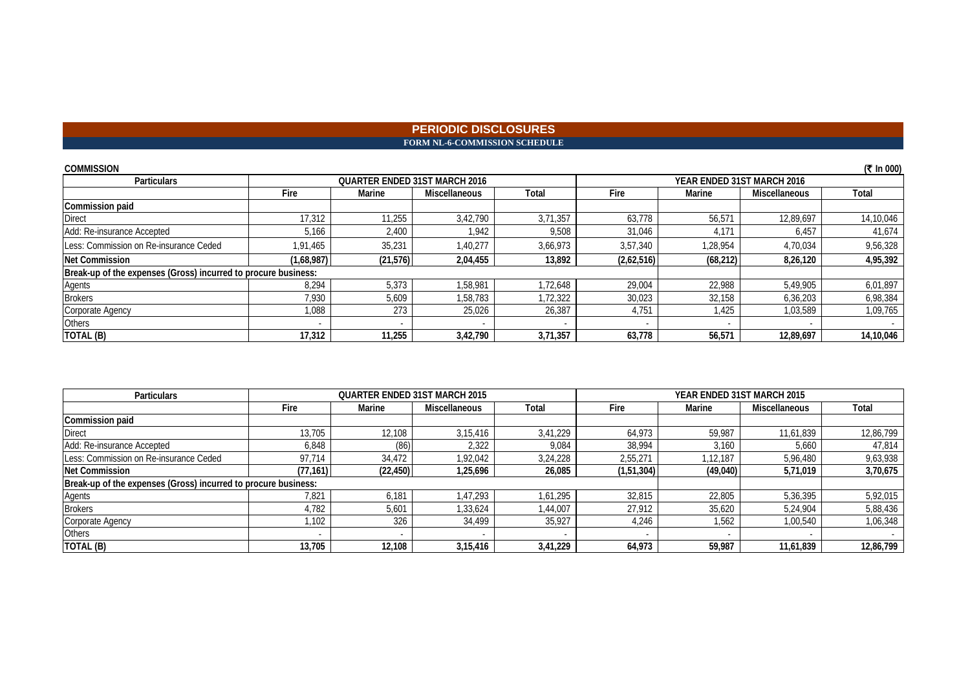#### **PERIODIC DISCLOSURES FORM NL-6-COMMISSION SCHEDULE**

| <b>COMMISSION</b>                                              |                                      |           |                      |          |                            |           |                      | (₹ In 000) |
|----------------------------------------------------------------|--------------------------------------|-----------|----------------------|----------|----------------------------|-----------|----------------------|------------|
| <b>Particulars</b>                                             | <b>QUARTER ENDED 31ST MARCH 2016</b> |           |                      |          | YEAR ENDED 31ST MARCH 2016 |           |                      |            |
|                                                                | Fire                                 | Marine    | <b>Miscellaneous</b> | Total    | Fire                       | Marine    | <b>Miscellaneous</b> | Total      |
| <b>Commission paid</b>                                         |                                      |           |                      |          |                            |           |                      |            |
| <b>Direct</b>                                                  | 17,312                               | 11,255    | 3,42,790             | 3,71,357 | 63,778                     | 56,571    | 12,89,697            | 14,10,046  |
| Add: Re-insurance Accepted                                     | 5,166                                | 2,400     | 1.942                | 9,508    | 31,046                     | 4,171     | 6,457                | 41,674     |
| Less: Commission on Re-insurance Ceded                         | 1.91.465                             | 35,231    | 1.40.277             | 3.66.973 | 3.57.340                   | 1.28.954  | 4.70.034             | 9,56,328   |
| <b>Net Commission</b>                                          | (1,68,987)                           | (21, 576) | 2,04,455             | 13,892   | (2,62,516)                 | (68, 212) | 8,26,120             | 4,95,392   |
| Break-up of the expenses (Gross) incurred to procure business: |                                      |           |                      |          |                            |           |                      |            |
| <b>Agents</b>                                                  | 8,294                                | 5,373     | 1.58.981             | ,72,648  | 29,004                     | 22,988    | 5,49,905             | 6,01,897   |
| <b>Brokers</b>                                                 | 7,930                                | 5,609     | 1,58,783             | ,72,322  | 30,023                     | 32,158    | 6,36,203             | 6,98,384   |
| Corporate Agency                                               | 1,088                                | 273       | 25,026               | 26,387   | 4.751                      | 1.425     | 1,03,589             | 1,09,765   |
| Others                                                         |                                      |           |                      |          |                            |           |                      |            |
| TOTAL (B)                                                      | 17,312                               | 11,255    | 3,42,790             | 3,71,357 | 63,778                     | 56,571    | 12,89,697            | 14,10,046  |

| <b>Particulars</b>                                             |           |           | <b>QUARTER ENDED 31ST MARCH 2015</b> |          |            | YEAR ENDED 31ST MARCH 2015 |               |           |
|----------------------------------------------------------------|-----------|-----------|--------------------------------------|----------|------------|----------------------------|---------------|-----------|
|                                                                | Fire      | Marine    | <b>Miscellaneous</b>                 | Total    | Fire       | Marine                     | Miscellaneous | Total     |
| <b>Commission paid</b>                                         |           |           |                                      |          |            |                            |               |           |
| <b>Direct</b>                                                  | 13,705    | 12,108    | 3.15.416                             | 3.41.229 | 64.973     | 59.987                     | 11,61,839     | 12,86,799 |
| Add: Re-insurance Accepted                                     | 6,848     | (86)      | 2,322                                | 9,084    | 38.994     | 3,160                      | 5,660         | 47,814    |
| Less: Commission on Re-insurance Ceded                         | 97.714    | 34,472    | 1.92.042                             | 3.24.228 | 2,55,271   | 1.12.187                   | 5.96.480      | 9,63,938  |
| <b>Net Commission</b>                                          | (77, 161) | (22, 450) | 1,25,696                             | 26,085   | (1,51,304) | (49, 040)                  | 5,71,019      | 3,70,675  |
| Break-up of the expenses (Gross) incurred to procure business: |           |           |                                      |          |            |                            |               |           |
| Agents                                                         | 7,821     | 6,181     | 1.47.293                             | 1,61,295 | 32,815     | 22,805                     | 5.36.395      | 5,92,015  |
| <b>Brokers</b>                                                 | 4,782     | 5,601     | 1,33,624                             | 1,44,007 | 27.912     | 35,620                     | 5.24.904      | 5,88,436  |
| Corporate Agency                                               | ,102      | 326       | 34,499                               | 35,927   | 4.246      | 1,562                      | 1,00,540      | 1,06,348  |
| Others                                                         |           |           |                                      |          |            |                            |               |           |
| TOTAL (B)                                                      | 13.705    | 12.108    | 3,15,416                             | 3.41.229 | 64.973     | 59,987                     | 11.61.839     | 12,86,799 |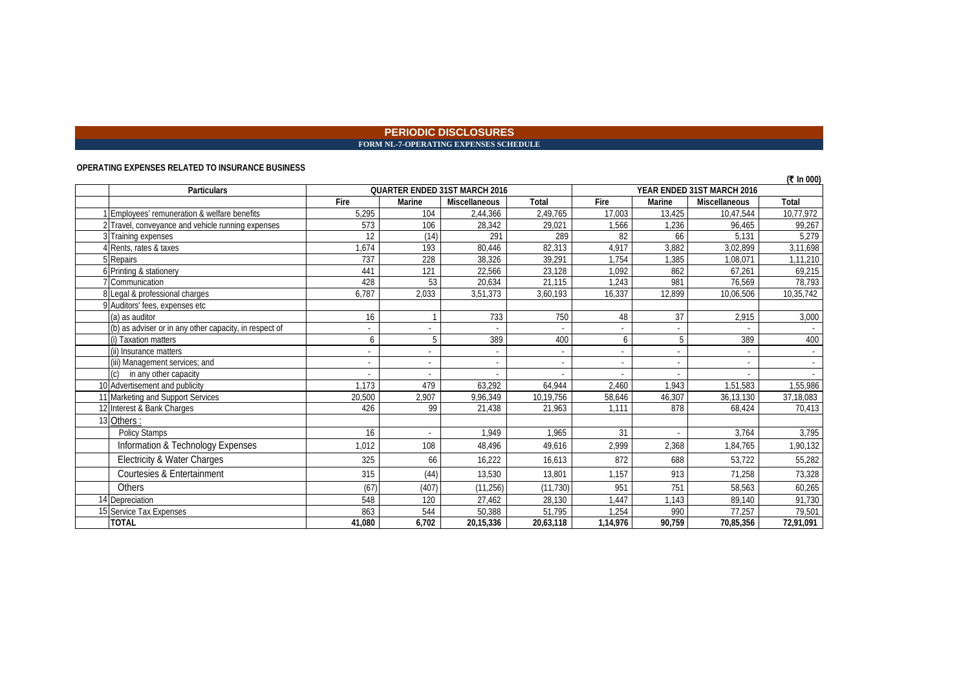#### **PERIODIC DISCLOSURES FORM NL-7-OPERATING EXPENSES SCHEDULE**

#### **OPERATING EXPENSES RELATED TO INSURANCE BUSINESS**

|                                                        |        |        |                                      |                          |                          |                          |                            | (₹ In 000) |
|--------------------------------------------------------|--------|--------|--------------------------------------|--------------------------|--------------------------|--------------------------|----------------------------|------------|
| <b>Particulars</b>                                     |        |        | <b>QUARTER ENDED 31ST MARCH 2016</b> |                          |                          |                          | YEAR ENDED 31ST MARCH 2016 |            |
|                                                        | Fire   | Marine | Miscellaneous                        | Total                    | Fire                     | Marine                   | <b>Miscellaneous</b>       | Total      |
| Employees' remuneration & welfare benefits             | 5.295  | 104    | 2,44,366                             | 2,49,765                 | 17.003                   | 13.425                   | 10,47,544                  | 10,77,972  |
| 2 Travel, conveyance and vehicle running expenses      | 573    | 106    | 28,342                               | 29,021                   | 1,566                    | 1,236                    | 96,465                     | 99,267     |
| 3 Training expenses                                    | 12     | (14)   | 291                                  | 289                      | 82                       | 66                       | 5.131                      | 5,279      |
| 4 Rents, rates & taxes                                 | 1,674  | 193    | 80,446                               | 82,313                   | 4,917                    | 3,882                    | 3,02,899                   | 3,11,698   |
| 5 Repairs                                              | 737    | 228    | 38,326                               | 39.291                   | 1.754                    | 1.385                    | 1.08.071                   | 1,11,210   |
| 6 Printing & stationery                                | 441    | 121    | 22,566                               | 23,128                   | 1,092                    | 862                      | 67,261                     | 69,215     |
| <b>Communication</b>                                   | 428    | 53     | 20,634                               | 21,115                   | 1,243                    | 981                      | 76,569                     | 78,793     |
| 8 Legal & professional charges                         | 6,787  | 2,033  | 3,51,373                             | 3.60.193                 | 16.337                   | 12,899                   | 10,06,506                  | 10,35,742  |
| 9 Auditors' fees, expenses etc                         |        |        |                                      |                          |                          |                          |                            |            |
| (a) as auditor                                         | 16     |        | 733                                  | 750                      | 48                       | 37                       | 2,915                      | 3,000      |
| (b) as adviser or in any other capacity, in respect of |        |        |                                      |                          |                          |                          |                            |            |
| (i) Taxation matters                                   | 6      |        | 389                                  | 400                      | 6                        | 5                        | 389                        | 400        |
| (ii) Insurance matters                                 | $\sim$ | $\sim$ |                                      | $\overline{\phantom{a}}$ | $\overline{\phantom{a}}$ |                          |                            |            |
| (iii) Management services; and                         |        | $\sim$ |                                      | $\overline{\phantom{a}}$ | $\overline{\phantom{a}}$ | $\overline{\phantom{a}}$ |                            |            |
| in any other capacity                                  |        |        |                                      |                          |                          |                          |                            |            |
| 10 Advertisement and publicity                         | 1.173  | 479    | 63,292                               | 64.944                   | 2,460                    | 1.943                    | 1,51,583                   | 1,55,986   |
| 11 Marketing and Support Services                      | 20,500 | 2,907  | 9,96,349                             | 10,19,756                | 58,646                   | 46,307                   | 36,13,130                  | 37,18,083  |
| 12 Interest & Bank Charges                             | 426    | 99     | 21,438                               | 21.963                   | 1.111                    | 878                      | 68.424                     | 70,413     |
| 13 Others:                                             |        |        |                                      |                          |                          |                          |                            |            |
| <b>Policy Stamps</b>                                   | 16     | $\sim$ | 1.949                                | 1.965                    | 31                       |                          | 3,764                      | 3,795      |
| Information & Technology Expenses                      | 1,012  | 108    | 48.496                               | 49.616                   | 2,999                    | 2,368                    | 1,84,765                   | 1,90,132   |
| Electricity & Water Charges                            | 325    | 66     | 16,222                               | 16.613                   | 872                      | 688                      | 53,722                     | 55,282     |
| Courtesies & Entertainment                             | 315    | (44)   | 13,530                               | 13.801                   | 1.157                    | 913                      | 71,258                     | 73,328     |
| <b>Others</b>                                          | (67)   | (407)  | (11, 256)                            | (11, 730)                | 951                      | 751                      | 58,563                     | 60,265     |
| 14 Depreciation                                        | 548    | 120    | 27,462                               | 28,130                   | 1,447                    | 1.143                    | 89,140                     | 91,730     |
| 15 Service Tax Expenses                                | 863    | 544    | 50,388                               | 51,795                   | 1,254                    | 990                      | 77,257                     | 79,501     |
| <b>TOTAL</b>                                           | 41,080 | 6.702  | 20,15,336                            | 20,63,118                | 1,14,976                 | 90.759                   | 70,85,356                  | 72,91,091  |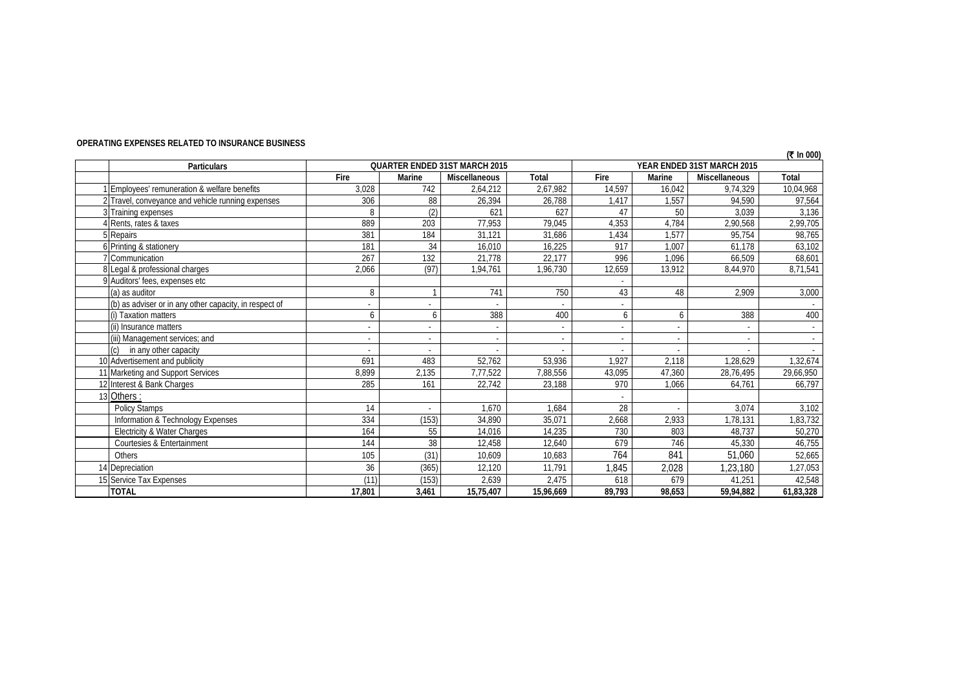| <b>Particulars</b>                                     |        |        | <b>QUARTER ENDED 31ST MARCH 2015</b> |              |        |                | YEAR ENDED 31ST MARCH 2015 | $(1 \text{ m})$ |
|--------------------------------------------------------|--------|--------|--------------------------------------|--------------|--------|----------------|----------------------------|-----------------|
|                                                        | Fire   | Marine | Miscellaneous                        | <b>Total</b> | Fire   | Marine         | <b>Miscellaneous</b>       | Total           |
| Employees' remuneration & welfare benefits             | 3,028  | 742    | 2,64,212                             | 2,67,982     | 14.597 | 16,042         | 9,74,329                   | 10,04,968       |
| 2 Travel, conveyance and vehicle running expenses      | 306    | 88     | 26,394                               | 26,788       | 1,417  | 1,557          | 94,590                     | 97,564          |
| 3 Training expenses                                    | 8      | (2)    | 621                                  | 627          | 47     | 50             | 3,039                      | 3,136           |
| 4 Rents, rates & taxes                                 | 889    | 203    | 77,953                               | 79,045       | 4,353  | 4,784          | 2,90,568                   | 2,99,705        |
| 5 Repairs                                              | 381    | 184    | 31,121                               | 31,686       | 1,434  | 1,577          | 95,754                     | 98,765          |
| 6 Printing & stationery                                | 181    | 34     | 16,010                               | 16,225       | 917    | 1,007          | 61,178                     | 63,102          |
| 7 Communication                                        | 267    | 132    | 21,778                               | 22,177       | 996    | 1.096          | 66.509                     | 68,601          |
| 8 Legal & professional charges                         | 2,066  | (97)   | 1,94,761                             | 1,96,730     | 12,659 | 13,912         | 8,44,970                   | 8,71,541        |
| 9 Auditors' fees, expenses etc                         |        |        |                                      |              |        |                |                            |                 |
| (a) as auditor                                         | 8      |        | 741                                  | 750          | 43     | 48             | 2,909                      | 3,000           |
| (b) as adviser or in any other capacity, in respect of |        |        |                                      |              |        |                |                            |                 |
| (i) Taxation matters                                   | 6      | 6      | 388                                  | 400          | 6      | 6              | 388                        | 400             |
| (ii) Insurance matters                                 |        | ٠      |                                      |              |        | $\blacksquare$ |                            |                 |
| (iii) Management services; and                         |        | $\sim$ | $\overline{a}$                       |              |        | $\sim$         |                            |                 |
| (c)<br>in any other capacity                           |        |        |                                      |              |        |                |                            |                 |
| 10 Advertisement and publicity                         | 691    | 483    | 52,762                               | 53,936       | 1,927  | 2,118          | 1,28,629                   | 1,32,674        |
| 11 Marketing and Support Services                      | 8,899  | 2,135  | 7,77,522                             | 7,88,556     | 43.095 | 47,360         | 28,76,495                  | 29,66,950       |
| 12 Interest & Bank Charges                             | 285    | 161    | 22,742                               | 23,188       | 970    | 1.066          | 64,761                     | 66,797          |
| 13 Others:                                             |        |        |                                      |              |        |                |                            |                 |
| Policy Stamps                                          | 14     |        | 1,670                                | 1.684        | 28     |                | 3,074                      | 3,102           |
| Information & Technology Expenses                      | 334    | (153)  | 34,890                               | 35,071       | 2,668  | 2,933          | 1,78,131                   | 1,83,732        |
| Electricity & Water Charges                            | 164    | 55     | 14,016                               | 14.235       | 730    | 803            | 48.737                     | 50,270          |
| Courtesies & Entertainment                             | 144    | 38     | 12,458                               | 12,640       | 679    | 746            | 45,330                     | 46,755          |
| Others                                                 | 105    | (31)   | 10.609                               | 10.683       | 764    | 841            | 51,060                     | 52,665          |
| 14 Depreciation                                        | 36     | (365)  | 12,120                               | 11,791       | ,845   | 2,028          | 1,23,180                   | 1,27,053        |
| 15 Service Tax Expenses                                | (11)   | (153)  | 2,639                                | 2,475        | 618    | 679            | 41.251                     | 42,548          |
| <b>TOTAL</b>                                           | 17,801 | 3,461  | 15,75,407                            | 15,96,669    | 89,793 | 98,653         | 59,94,882                  | 61,83,328       |

#### **OPERATING EXPENSES RELATED TO INSURANCE BUSINESS**

**(**` **In 000)**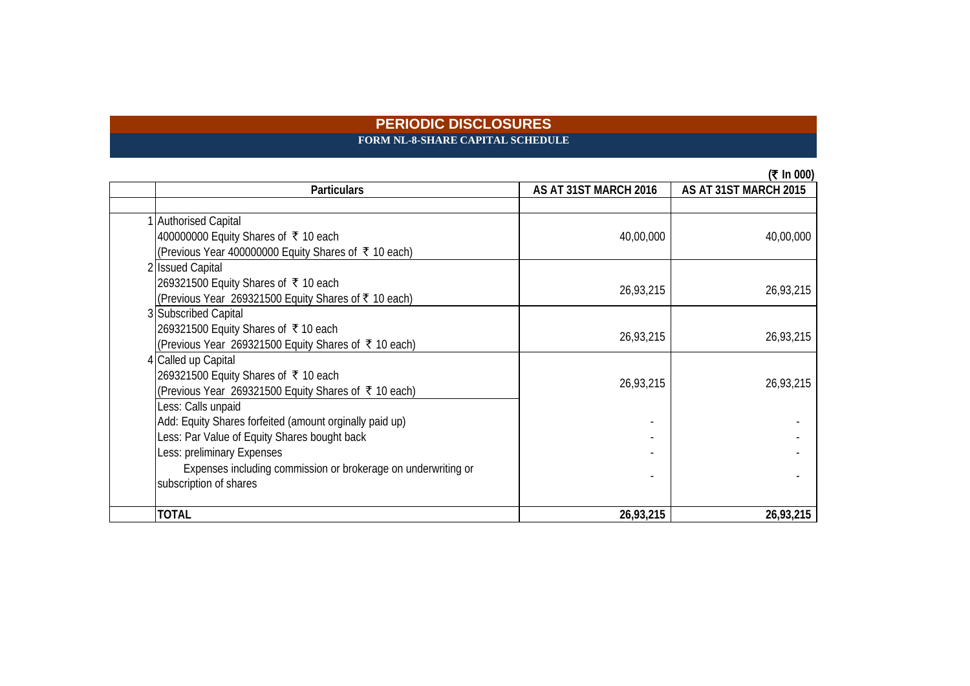### **PERIODIC DISCLOSURES FORM NL-8-SHARE CAPITAL SCHEDULE**

|                                                               |                       | (₹ In 000)            |
|---------------------------------------------------------------|-----------------------|-----------------------|
| <b>Particulars</b>                                            | AS AT 31ST MARCH 2016 | AS AT 31ST MARCH 2015 |
|                                                               |                       |                       |
| 1 Authorised Capital                                          |                       |                       |
| 400000000 Equity Shares of ₹ 10 each                          | 40,00,000             | 40,00,000             |
| (Previous Year 400000000 Equity Shares of ₹ 10 each)          |                       |                       |
| 2 Issued Capital                                              |                       |                       |
| 269321500 Equity Shares of ₹ 10 each                          | 26,93,215             | 26,93,215             |
| (Previous Year 269321500 Equity Shares of ₹ 10 each)          |                       |                       |
| 3 Subscribed Capital                                          |                       |                       |
| 269321500 Equity Shares of ₹10 each                           | 26,93,215             | 26,93,215             |
| (Previous Year 269321500 Equity Shares of ₹ 10 each)          |                       |                       |
| 4 Called up Capital                                           |                       |                       |
| 269321500 Equity Shares of ₹ 10 each                          | 26,93,215             | 26,93,215             |
| (Previous Year 269321500 Equity Shares of ₹ 10 each)          |                       |                       |
| Less: Calls unpaid                                            |                       |                       |
| Add: Equity Shares forfeited (amount orginally paid up)       |                       |                       |
| Less: Par Value of Equity Shares bought back                  |                       |                       |
| Less: preliminary Expenses                                    |                       |                       |
| Expenses including commission or brokerage on underwriting or |                       |                       |
| subscription of shares                                        |                       |                       |
|                                                               |                       |                       |
| <b>TOTAL</b>                                                  | 26,93,215             | 26,93,215             |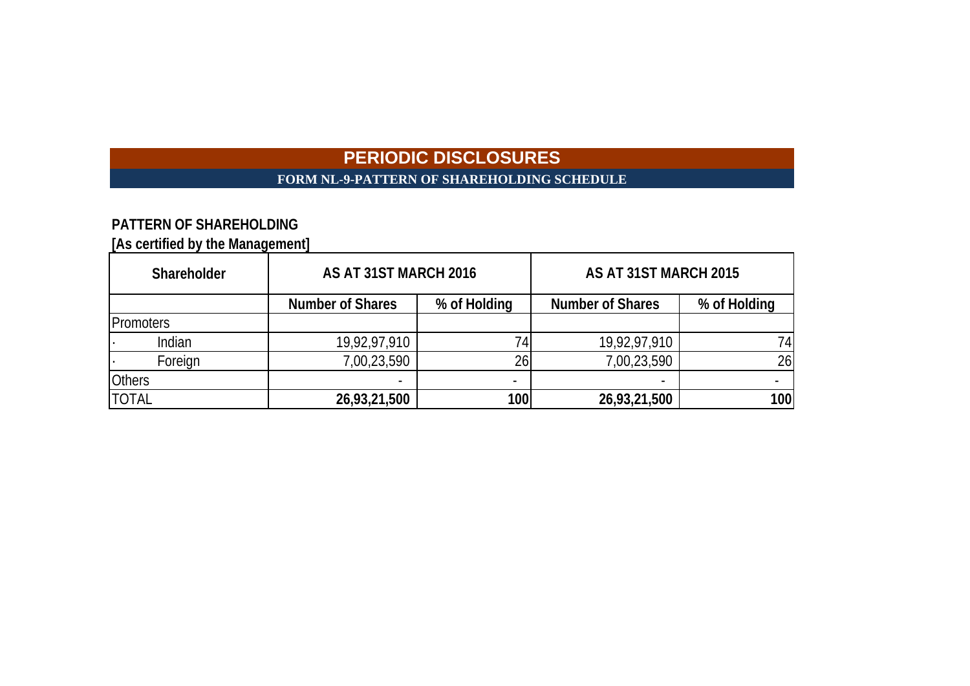# **FORM NL-9-PATTERN OF SHAREHOLDING SCHEDULE**

# **PATTERN OF SHAREHOLDING**

**[As certified by the Management]**

| Shareholder      | AS AT 31ST MARCH 2016                   |      | AS AT 31ST MARCH 2015   |              |  |  |
|------------------|-----------------------------------------|------|-------------------------|--------------|--|--|
|                  | % of Holding<br><b>Number of Shares</b> |      | <b>Number of Shares</b> | % of Holding |  |  |
| <b>Promoters</b> |                                         |      |                         |              |  |  |
| Indian           | 19,92,97,910                            |      | 19,92,97,910            | 74           |  |  |
| Foreign          | 7,00,23,590                             | 26   | 7,00,23,590             | 26           |  |  |
| <b>Others</b>    |                                         |      |                         |              |  |  |
| <b>TOTAL</b>     | 26,93,21,500                            | 100l | 26,93,21,500            | 100          |  |  |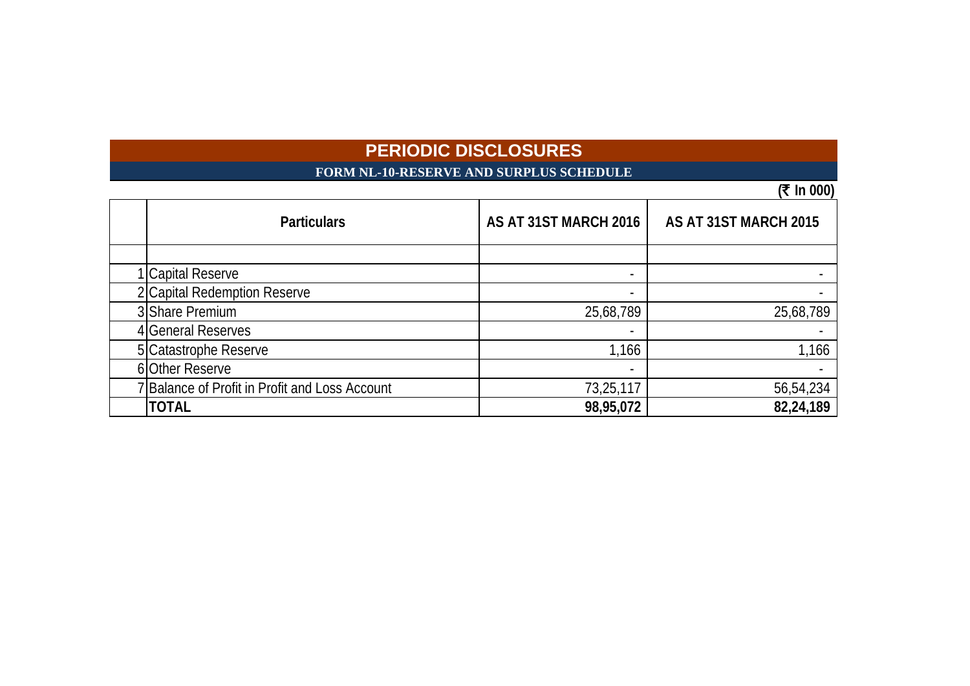# **FORM NL-10-RESERVE AND SURPLUS SCHEDULE**

**(**` **In 000)**

| <b>Particulars</b>                             | AS AT 31ST MARCH 2016    | AS AT 31ST MARCH 2015 |
|------------------------------------------------|--------------------------|-----------------------|
|                                                |                          |                       |
| 1 Capital Reserve                              | $\overline{\phantom{a}}$ |                       |
| 2 Capital Redemption Reserve                   |                          |                       |
| 3 Share Premium                                | 25,68,789                | 25,68,789             |
| General Reserves                               |                          |                       |
| 5 Catastrophe Reserve                          | 1,166                    | 1,166                 |
| 6 Other Reserve                                |                          |                       |
| 7 Balance of Profit in Profit and Loss Account | 73,25,117                | 56,54,234             |
| <b>TOTAL</b>                                   | 98,95,072                | 82,24,189             |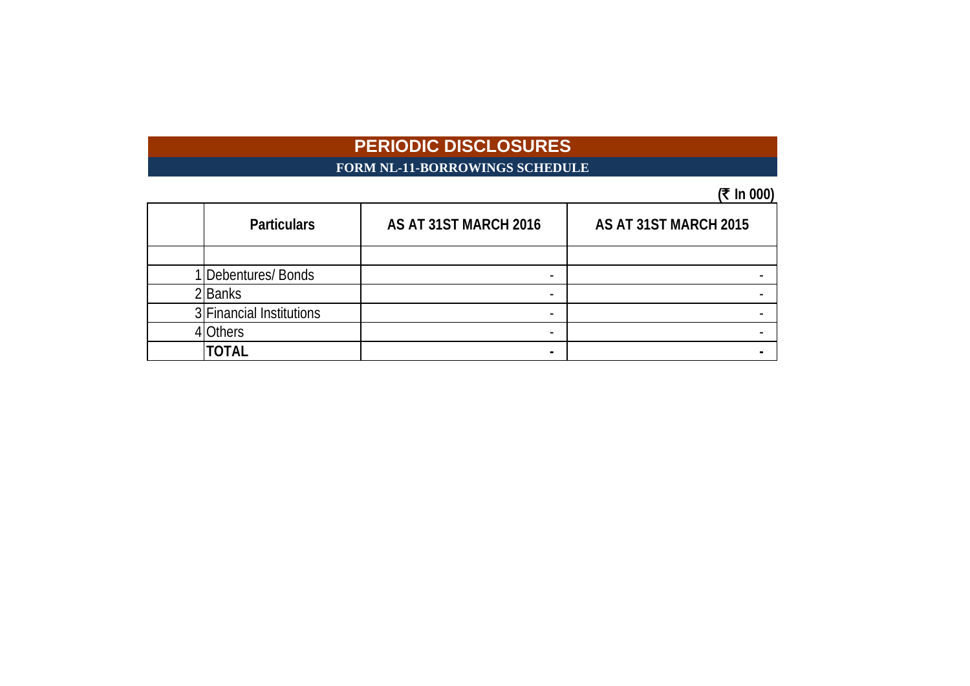### **FORM NL-11-BORROWINGS SCHEDULE**

## $(7 \text{ In } 000)$

|                          |                       | ו טטט ווו             |
|--------------------------|-----------------------|-----------------------|
| <b>Particulars</b>       | AS AT 31ST MARCH 2016 | AS AT 31ST MARCH 2015 |
|                          |                       |                       |
| IDebentures/Bonds        |                       |                       |
| 2Banks                   |                       |                       |
| 3 Financial Institutions |                       |                       |
| <b>Others</b>            |                       |                       |
| <b>TOTAL</b>             |                       |                       |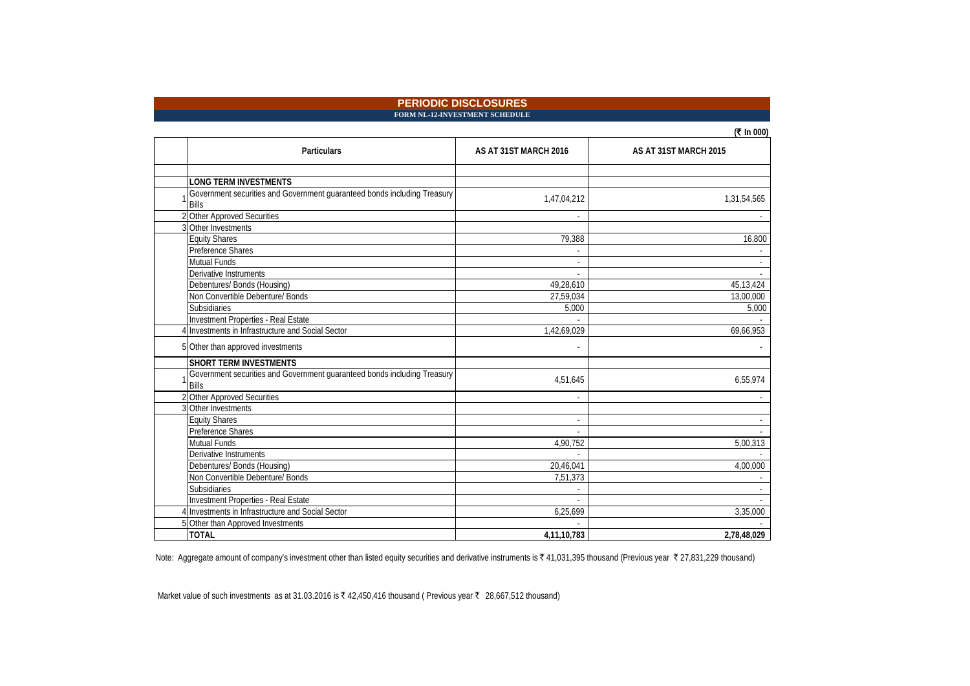**FORM NL-12-INVESTMENT SCHEDULE** 

| In $000$ |
|----------|
|----------|

| <b>Particulars</b>                                                                       | AS AT 31ST MARCH 2016   | AS AT 31ST MARCH 2015 |
|------------------------------------------------------------------------------------------|-------------------------|-----------------------|
|                                                                                          |                         |                       |
| <b>LONG TERM INVESTMENTS</b>                                                             |                         |                       |
| Government securities and Government guaranteed bonds including Treasury                 | 1,47,04,212             | 1,31,54,565           |
| <b>Bills</b>                                                                             |                         |                       |
| 2 Other Approved Securities                                                              |                         |                       |
| 3 Other Investments                                                                      |                         |                       |
| <b>Equity Shares</b>                                                                     | 79,388                  | 16,800                |
| Preference Shares                                                                        |                         |                       |
| <b>Mutual Funds</b>                                                                      |                         |                       |
| Derivative Instruments                                                                   |                         |                       |
| Debentures/ Bonds (Housing)                                                              | 49,28,610               | 45, 13, 424           |
| Non Convertible Debenture/ Bonds                                                         | 27,59,034               | 13,00,000             |
| Subsidiaries                                                                             | 5,000                   | 5,000                 |
| Investment Properties - Real Estate                                                      |                         |                       |
| 4 Investments in Infrastructure and Social Sector                                        | 1,42,69,029             | 69,66,953             |
| 5 Other than approved investments                                                        |                         |                       |
| <b>SHORT TERM INVESTMENTS</b>                                                            |                         |                       |
| Government securities and Government guaranteed bonds including Treasury<br><b>Bills</b> | 4,51,645                | 6,55,974              |
| 2 Other Approved Securities                                                              |                         |                       |
| 3 Other Investments                                                                      |                         |                       |
| Equity Shares                                                                            | $\overline{a}$          |                       |
| Preference Shares                                                                        |                         |                       |
| Mutual Funds                                                                             | 4,90,752                | 5,00,313              |
| Derivative Instruments                                                                   |                         |                       |
| Debentures/ Bonds (Housing)                                                              | 20,46,041               | 4,00,000              |
| Non Convertible Debenture/ Bonds                                                         | $\overline{7,51}$ , 373 |                       |
| Subsidiaries                                                                             |                         |                       |
| Investment Properties - Real Estate                                                      |                         |                       |
| 4 Investments in Infrastructure and Social Sector                                        | 6,25,699                | 3,35,000              |
| 5 Other than Approved Investments                                                        |                         |                       |
| <b>TOTAL</b>                                                                             | 4,11,10,783             | 2,78,48,029           |

Note: Aggregate amount of company's investment other than listed equity securities and derivative instruments is ₹ 41,031,395 thousand (Previous year ₹ 27,831,229 thousand)

Market value of such investments as at 31.03.2016 is ₹ 42,450,416 thousand (Previous year ₹ 28,667,512 thousand)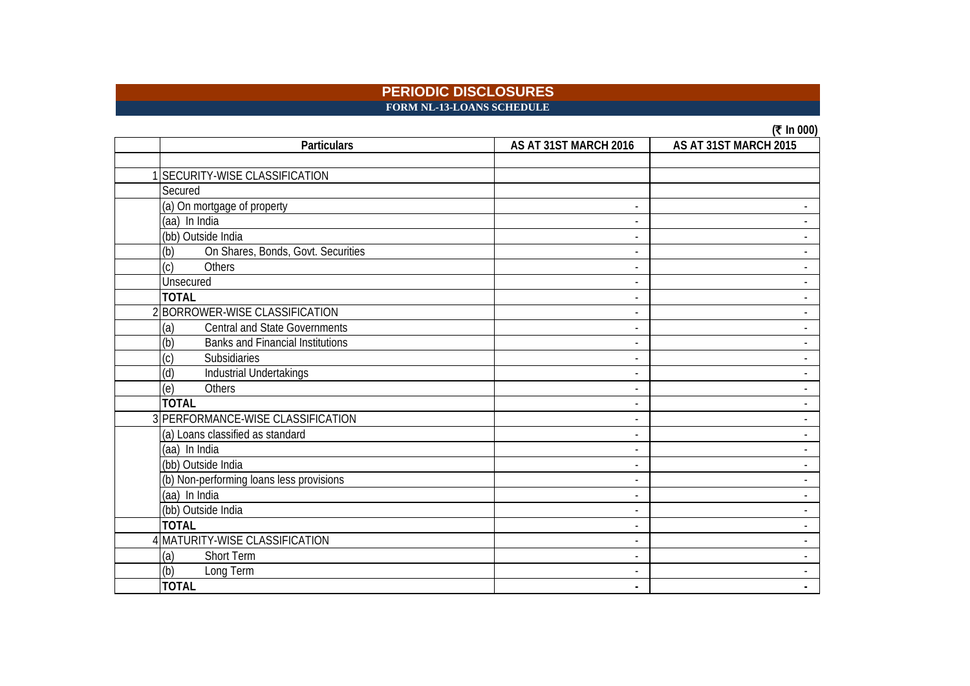**FORM NL-13-LOANS SCHEDULE**

| In $000$<br>( |  |
|---------------|--|
|---------------|--|

| <b>Particulars</b>                             | AS AT 31ST MARCH 2016 | AS AT 31ST MARCH 2015 |
|------------------------------------------------|-----------------------|-----------------------|
|                                                |                       |                       |
| SECURITY-WISE CLASSIFICATION                   |                       |                       |
| Secured                                        |                       |                       |
| (a) On mortgage of property                    |                       |                       |
| (aa) In India                                  |                       |                       |
| (bb) Outside India                             |                       |                       |
| (b)<br>On Shares, Bonds, Govt. Securities      |                       |                       |
| (c)<br>Others                                  |                       |                       |
| Unsecured                                      |                       |                       |
| <b>TOTAL</b>                                   |                       |                       |
| 2 BORROWER-WISE CLASSIFICATION                 |                       |                       |
| Central and State Governments<br>(a)           |                       |                       |
| (b)<br><b>Banks and Financial Institutions</b> |                       |                       |
| $\left( \mathrm{c}\right)$<br>Subsidiaries     |                       |                       |
| (d)<br>Industrial Undertakings                 |                       |                       |
| (e)<br><b>Others</b>                           |                       |                       |
| <b>TOTAL</b>                                   |                       |                       |
| 3 PERFORMANCE-WISE CLASSIFICATION              |                       |                       |
| (a) Loans classified as standard               |                       |                       |
| (aa) In India                                  |                       |                       |
| (bb) Outside India                             |                       |                       |
| (b) Non-performing loans less provisions       |                       |                       |
| (aa) In India                                  |                       |                       |
| (bb) Outside India                             |                       |                       |
| <b>TOTAL</b>                                   |                       |                       |
| 4 MATURITY-WISE CLASSIFICATION                 |                       |                       |
| (a)<br><b>Short Term</b>                       |                       |                       |
| (b)<br>Long Term                               |                       |                       |
| <b>TOTAL</b>                                   |                       |                       |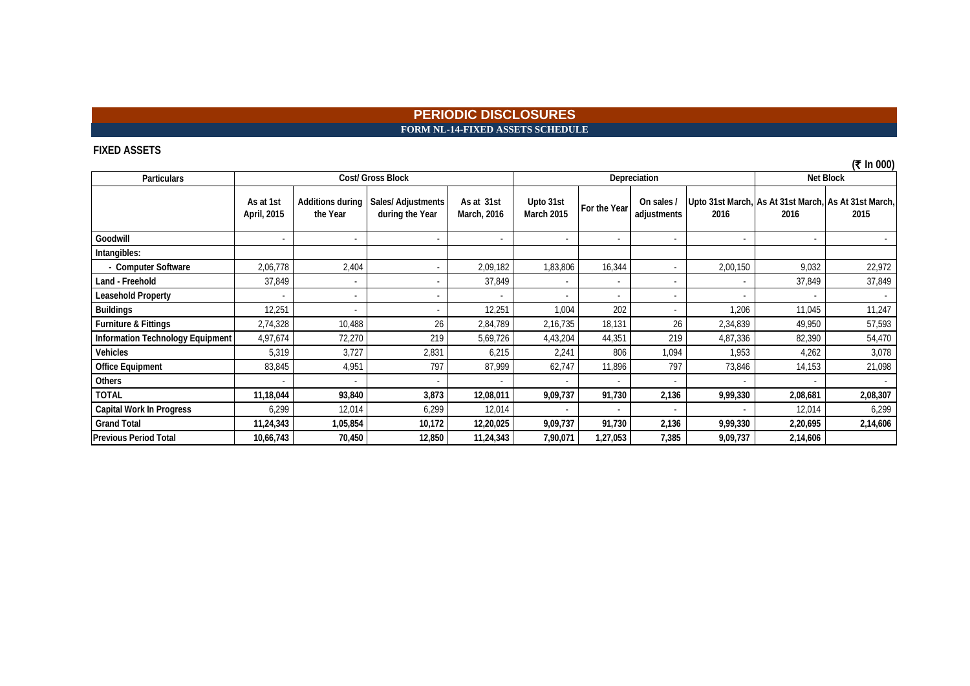### **PERIODIC DISCLOSURES FORM NL-14-FIXED ASSETS SCHEDULE**

#### **FIXED ASSETS**

**Particulars Goodwill second and the second conduct of the second conduct of the second conduct of the second conduct of the s Intangibles: - Computer Software** 2,06,778 2,404 - 2,09,182 1,83,806 16,344 - 2,00,150 9,032 22,972 **Land - Freehold** 37,849 | 37,849 | 37,849 | 37,849 Leasehold Property | - | - | - | - | - | - | - | - | - | -**Buildings** 12,251 - 12,251 - 12,251 - 12,251 - 1,004 - 1,000 - 1,000 - 1,206 11,045 11,247 **Furniture & Fittings** 2,74,328 10,488 26 2,84,789 2,16,735 18,131 26 2,34,839 49,950 57,593 **Information Technology Equipment** 4,97,674 72,270 219 5,69,726 4,43,204 44,351 219 4,87,336 82,390 54,470 **Vehicles** 5,319 3,727 2,831 6,215 2,241 806 1,094 1,953 4,262 3,078 **Office Equipment** 83,845 | 4,951 | 797 | 87,999 | 62,747 | 11,896 | 73,846 | 14,153 | 21,098 **Others** - - - - - - - - - - **TOTAL 11,18,044 93,840 3,873 12,08,011 9,09,737 91,730 2,136 9,99,330 2,08,681 2,08,307 Capital Work In Progress** 6,299 12,014 6,299 12,014 12,014 - - - - - - - - 12,014 6,299 Grand Total 11,24,343 | 1,05,854 | 10,172 | 12,20,025 | *9,09,737 | 9,1730 | 2,136 | 2,19,695 | 2,14,6*06 | 2,14,606 **Previous Period Total 10,66,743 70,450 12,850 11,24,343 7,90,071 1,27,053 7,385 9,09,737 2,14,606 As at 1st April, 2015 Additions during the Year Sales/ Adjustments during the Year As at 31st March, 2016 Cost/ Gross Block Depreciation Net Block Upto 31st**  Upto 31st **For the Year | On sales / | Upto 31st March, As At 31st March, 18 At 31st March, 18 At 31st March, 1<br>March 2015 <b>1991** adjustments | 2016 | 2016 | 2016 | 2015 **2016 2016 2015 On sales / adjustments** 

**(**` **In 000)**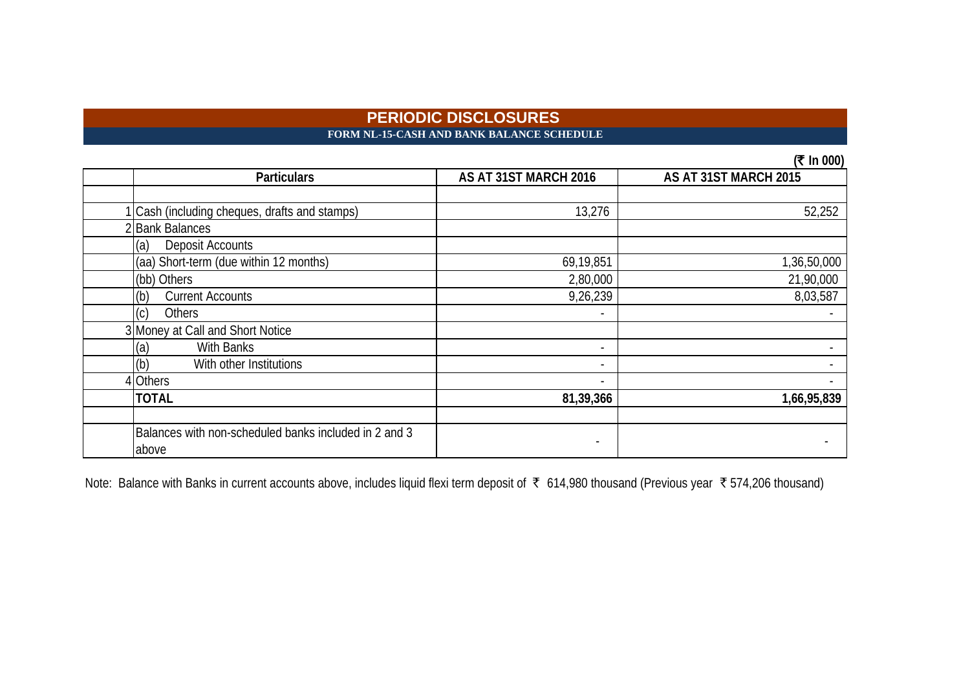### **PERIODIC DISCLOSURES FORM NL-15-CASH AND BANK BALANCE SCHEDULE**

**(₹ In 000)** 

| <b>Particulars</b>                                    | AS AT 31ST MARCH 2016 | $(1 \text{ m} \text{ v} \text{ v})$<br>AS AT 31ST MARCH 2015 |
|-------------------------------------------------------|-----------------------|--------------------------------------------------------------|
|                                                       |                       |                                                              |
| Cash (including cheques, drafts and stamps)           | 13,276                | 52,252                                                       |
| 2 Bank Balances                                       |                       |                                                              |
| (a)<br>Deposit Accounts                               |                       |                                                              |
| (aa) Short-term (due within 12 months)                | 69,19,851             | 1,36,50,000                                                  |
| (bb) Others                                           | 2,80,000              | 21,90,000                                                    |
| <b>Current Accounts</b><br>(b)                        | 9,26,239              | 8,03,587                                                     |
| (c)<br>Others                                         |                       |                                                              |
| 3 Money at Call and Short Notice                      |                       |                                                              |
| <b>With Banks</b><br>(a)                              |                       |                                                              |
| (b)<br>With other Institutions                        |                       |                                                              |
| 4 Others                                              |                       |                                                              |
| <b>TOTAL</b>                                          | 81,39,366             | 1,66,95,839                                                  |
|                                                       |                       |                                                              |
| Balances with non-scheduled banks included in 2 and 3 |                       |                                                              |
| above                                                 |                       |                                                              |

Note: Balance with Banks in current accounts above, includes liquid flexi term deposit of ₹ 614,980 thousand (Previous year ₹ 574,206 thousand)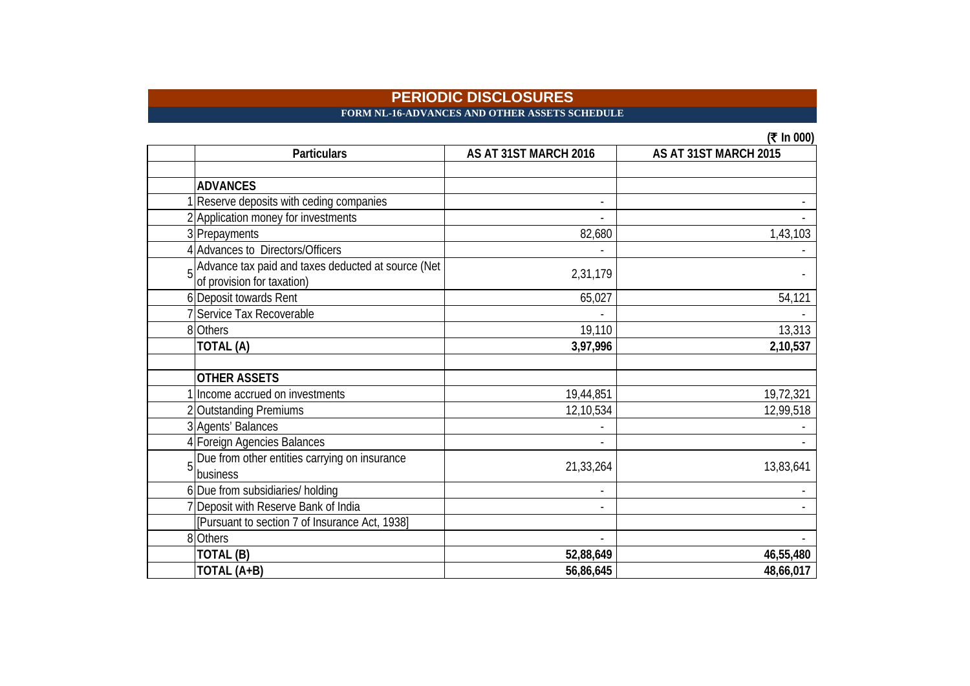**FORM NL-16-ADVANCES AND OTHER ASSETS SCHEDULE** 

|   | <b>Particulars</b>                                                                 | AS AT 31ST MARCH 2016 | AS AT 31ST MARCH 2015 |
|---|------------------------------------------------------------------------------------|-----------------------|-----------------------|
|   |                                                                                    |                       |                       |
|   | <b>ADVANCES</b>                                                                    |                       |                       |
|   | Reserve deposits with ceding companies                                             |                       |                       |
|   | 2 Application money for investments                                                |                       |                       |
|   | 3 Prepayments                                                                      | 82,680                | 1,43,103              |
|   | 4 Advances to Directors/Officers                                                   |                       |                       |
|   | 5 Advance tax paid and taxes deducted at source (Net<br>of provision for taxation) | 2,31,179              |                       |
|   | 6 Deposit towards Rent                                                             | 65,027                | 54,121                |
|   | 7 Service Tax Recoverable                                                          |                       |                       |
|   | 8 Others                                                                           | 19,110                | 13,313                |
|   | TOTAL (A)                                                                          | 3,97,996              | 2,10,537              |
|   |                                                                                    |                       |                       |
|   | <b>OTHER ASSETS</b>                                                                |                       |                       |
|   | Income accrued on investments                                                      | 19,44,851             | 19,72,321             |
|   | 2 Outstanding Premiums                                                             | 12,10,534             | 12,99,518             |
|   | 3 Agents' Balances                                                                 |                       |                       |
|   | 4 Foreign Agencies Balances                                                        |                       |                       |
| 5 | Due from other entities carrying on insurance<br>business                          | 21,33,264             | 13,83,641             |
|   | 6 Due from subsidiaries/ holding                                                   |                       |                       |
|   | 7 Deposit with Reserve Bank of India                                               |                       |                       |
|   | [Pursuant to section 7 of Insurance Act, 1938]                                     |                       |                       |
|   | 8 Others                                                                           |                       |                       |
|   | TOTAL (B)                                                                          | 52,88,649             | 46,55,480             |
|   | TOTAL (A+B)                                                                        | 56,86,645             | 48,66,017             |

 $(2)$  In 000)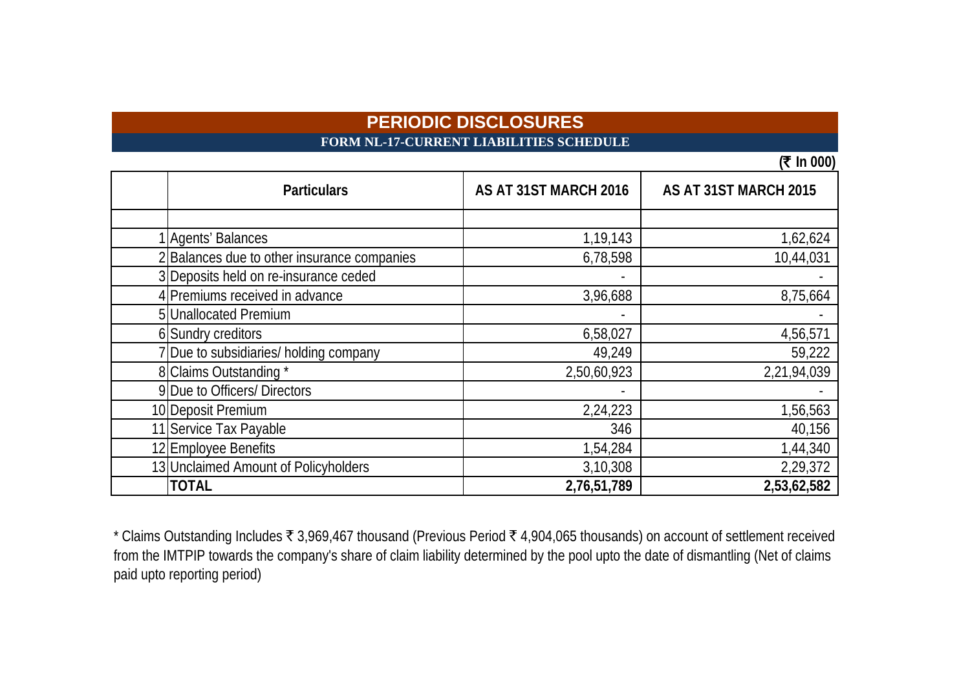# **FORM NL-17-CURRENT LIABILITIES SCHEDULE**

**(**` **In 000)**

| <b>Particulars</b>                        | AS AT 31ST MARCH 2016 | AS AT 31ST MARCH 2015 |
|-------------------------------------------|-----------------------|-----------------------|
|                                           |                       |                       |
| <b>I</b> Agents' Balances                 | 1,19,143              | 1,62,624              |
| Balances due to other insurance companies | 6,78,598              | 10,44,031             |
| 3 Deposits held on re-insurance ceded     |                       |                       |
| 4 Premiums received in advance            | 3,96,688              | 8,75,664              |
| 5 Unallocated Premium                     |                       |                       |
| 6 Sundry creditors                        | 6,58,027              | 4,56,571              |
| " Due to subsidiaries/ holding company    | 49,249                | 59,222                |
| 8 Claims Outstanding *                    | 2,50,60,923           | 2,21,94,039           |
| 9 Due to Officers/ Directors              |                       |                       |
| 10 Deposit Premium                        | 2,24,223              | 1,56,563              |
| 11 Service Tax Payable                    | 346                   | 40,156                |
| 12 Employee Benefits                      | 1,54,284              | 1,44,340              |
| 13 Unclaimed Amount of Policyholders      | 3,10,308              | 2,29,372              |
| <b>TOTAL</b>                              | 2,76,51,789           | 2,53,62,582           |

\* Claims Outstanding Includes  $\bar{\tau}$  3,969,467 thousand (Previous Period  $\bar{\tau}$  4,904,065 thousands) on account of settlement received from the IMTPIP towards the company's share of claim liability determined by the pool upto the date of dismantling (Net of claims paid upto reporting period)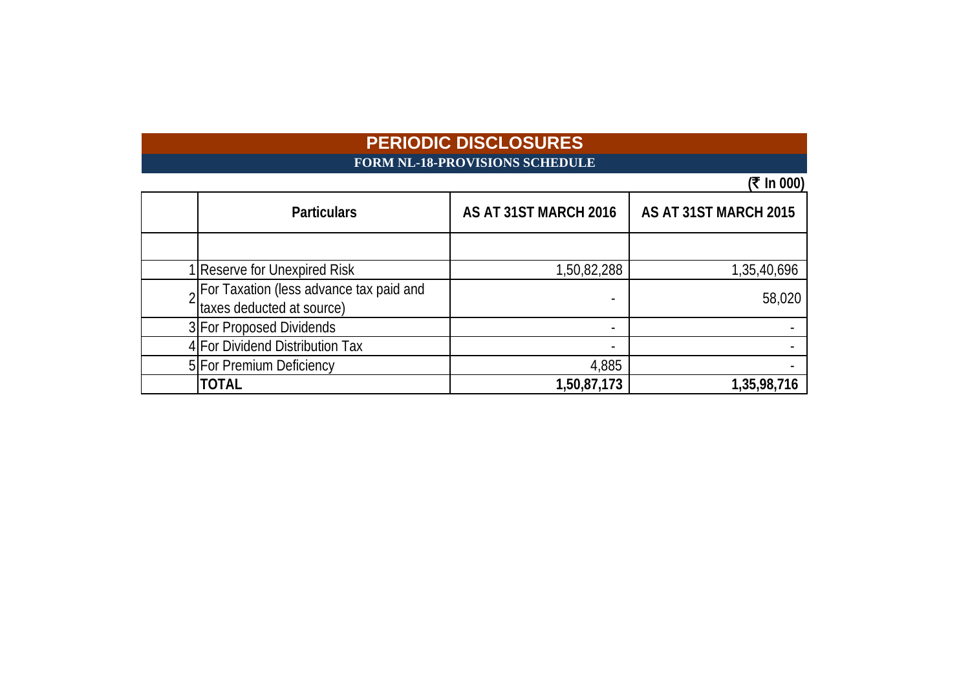# **PERIODIC DISCLOSURES FORM NL-18-PROVISIONS SCHEDULE**

# **(**` **In 000)**

| <b>Particulars</b>                                                   | AS AT 31ST MARCH 2016 | AS AT 31ST MARCH 2015 |
|----------------------------------------------------------------------|-----------------------|-----------------------|
|                                                                      |                       |                       |
| Reserve for Unexpired Risk                                           | 1,50,82,288           | 1,35,40,696           |
| For Taxation (less advance tax paid and<br>taxes deducted at source) |                       | 58,020                |
| 3 For Proposed Dividends                                             |                       |                       |
| 4 For Dividend Distribution Tax                                      |                       |                       |
| 5 For Premium Deficiency                                             | 4,885                 |                       |
| TOTAL                                                                | 1,50,87,173           | 1,35,98,716           |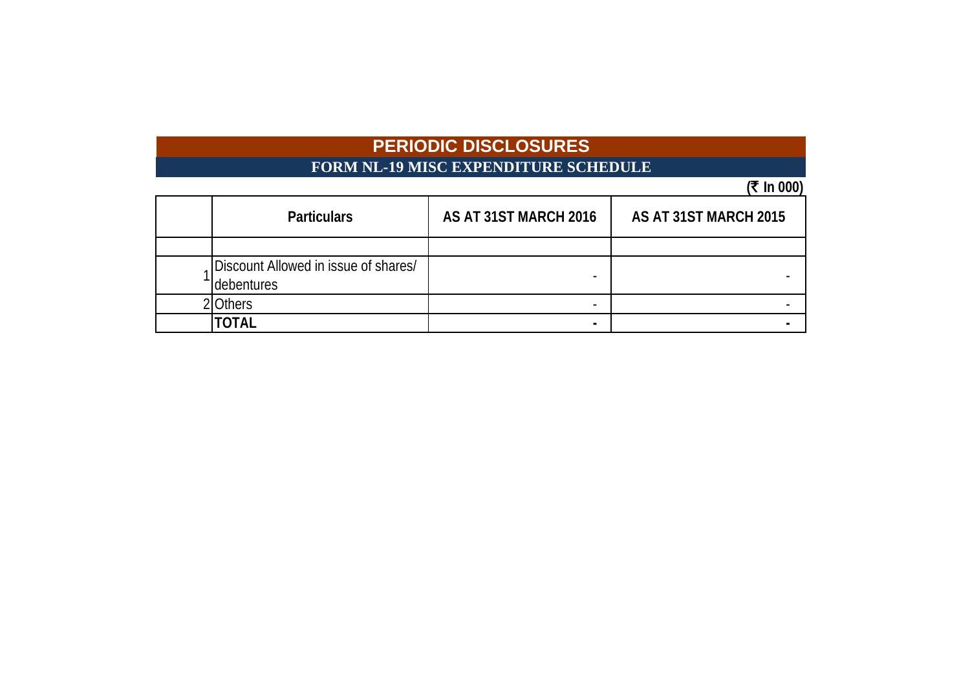# **PERIODIC DISCLOSURES FORM NL-19 MISC EXPENDITURE SCHEDULE**

# $(\bar{\bar{\mathbf{x}}} \ln 000)$

| <b>Particulars</b>                                 | AS AT 31ST MARCH 2016 | AS AT 31ST MARCH 2015 |
|----------------------------------------------------|-----------------------|-----------------------|
|                                                    |                       |                       |
| Discount Allowed in issue of shares/<br>debentures |                       |                       |
| Others                                             |                       |                       |
| TOTAL                                              | -                     |                       |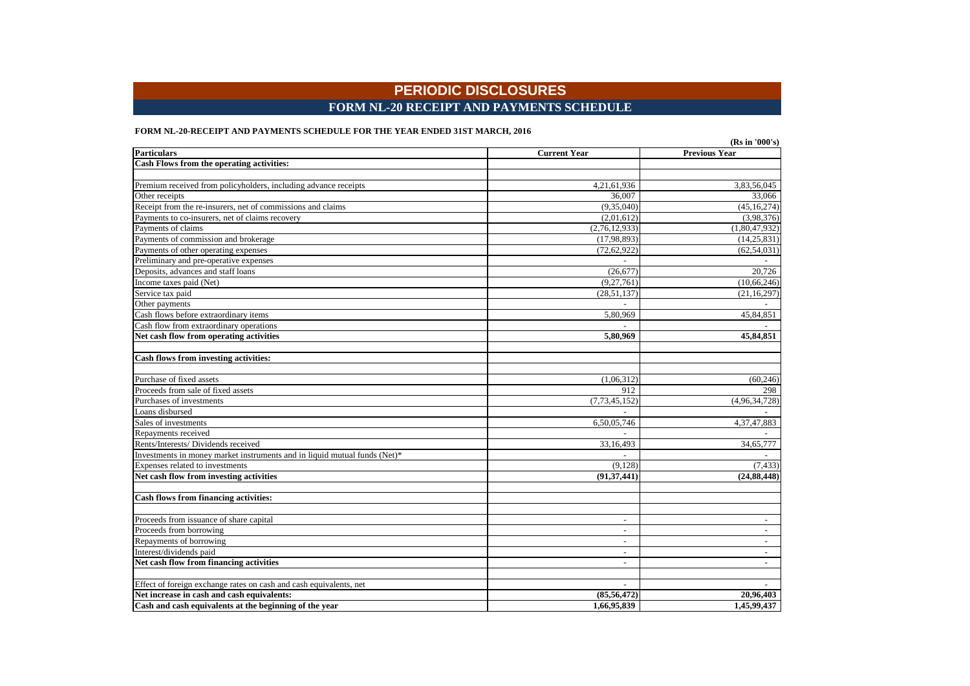### **PERIODIC DISCLOSURES FORM NL-20 RECEIPT AND PAYMENTS SCHEDULE**

#### **FORM NL-20-RECEIPT AND PAYMENTS SCHEDULE FOR THE YEAR ENDED 31ST MARCH, 2016**

|                                                                           |                          | (Rs in '000's)           |
|---------------------------------------------------------------------------|--------------------------|--------------------------|
| <b>Particulars</b>                                                        | <b>Current Year</b>      | <b>Previous Year</b>     |
| Cash Flows from the operating activities:                                 |                          |                          |
|                                                                           |                          |                          |
| Premium received from policyholders, including advance receipts           | 4,21,61,936              | 3,83,56,045              |
| Other receipts                                                            | 36,007                   | 33,066                   |
| Receipt from the re-insurers, net of commissions and claims               | (9,35,040)               | (45, 16, 274)            |
| Payments to co-insurers, net of claims recovery                           | (2,01,612)               | (3,98,376)               |
| Payments of claims                                                        | (2,76,12,933)            | (1,80,47,932)            |
| Payments of commission and brokerage                                      | (17, 98, 893)            | (14, 25, 831)            |
| Payments of other operating expenses                                      | (72, 62, 922)            | (62, 54, 031)            |
| Preliminary and pre-operative expenses                                    |                          |                          |
| Deposits, advances and staff loans                                        | (26, 677)                | 20,726                   |
| Income taxes paid (Net)                                                   | (9,27,761)               | (10, 66, 246)            |
| Service tax paid                                                          | (28, 51, 137)            | (21, 16, 297)            |
| Other payments                                                            | $\overline{\phantom{a}}$ |                          |
| Cash flows before extraordinary items                                     | 5,80,969                 | 45,84,851                |
| Cash flow from extraordinary operations                                   |                          |                          |
| Net cash flow from operating activities                                   | 5,80,969                 | 45,84,851                |
|                                                                           |                          |                          |
| Cash flows from investing activities:                                     |                          |                          |
|                                                                           |                          |                          |
| Purchase of fixed assets                                                  | (1,06,312)               | (60, 246)                |
| Proceeds from sale of fixed assets                                        | 912                      | 298                      |
| Purchases of investments                                                  | (7, 73, 45, 152)         | (4,96,34,728)            |
| Loans disbursed                                                           |                          |                          |
| Sales of investments                                                      | 6,50,05,746              | 4,37,47,883              |
| Repayments received                                                       |                          |                          |
| Rents/Interests/Dividends received                                        | 33,16,493                | 34,65,777                |
| Investments in money market instruments and in liquid mutual funds (Net)* |                          |                          |
| Expenses related to investments                                           | (9, 128)                 | (7, 433)                 |
| Net cash flow from investing activities                                   | (91, 37, 441)            | (24, 88, 448)            |
|                                                                           |                          |                          |
| Cash flows from financing activities:                                     |                          |                          |
|                                                                           |                          |                          |
| Proceeds from issuance of share capital                                   | $\overline{\phantom{a}}$ | $\overline{\phantom{a}}$ |
| Proceeds from borrowing                                                   | $\overline{a}$           | $\overline{a}$           |
| Repayments of borrowing                                                   | ٠                        | $\overline{\phantom{a}}$ |
| Interest/dividends paid                                                   | $\blacksquare$           | $\overline{\phantom{a}}$ |
| Net cash flow from financing activities                                   | $\overline{a}$           | $\overline{a}$           |
| Effect of foreign exchange rates on cash and cash equivalents, net        | $\overline{a}$           | $\overline{a}$           |
| Net increase in cash and cash equivalents:                                | (85, 56, 472)            | 20,96,403                |
| Cash and cash equivalents at the beginning of the year                    | 1,66,95,839              | 1,45,99,437              |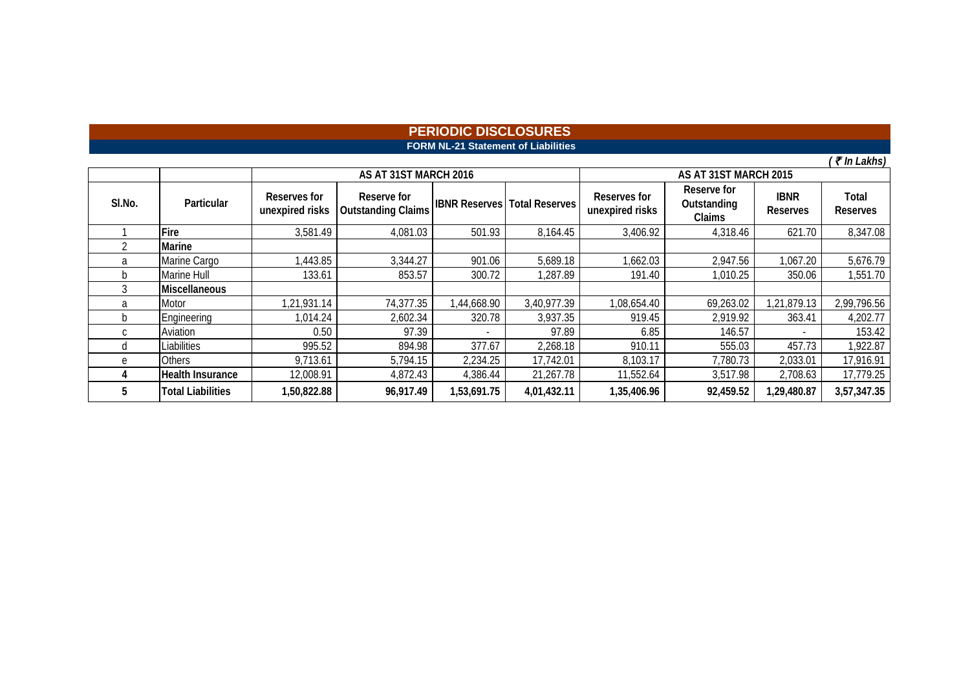### **FORM NL-21 Statement of Liabilities PERIODIC DISCLOSURES**

 $\sqrt{\bar{\tau}$  In Lakhs)

|        |                          |                                 | AS AT 31ST MARCH 2016                    |                      | AS AT 31ST MARCH 2015 |                                 |                                      |                                |                          |  |  |
|--------|--------------------------|---------------------------------|------------------------------------------|----------------------|-----------------------|---------------------------------|--------------------------------------|--------------------------------|--------------------------|--|--|
| SI.No. | Particular               | Reserves for<br>unexpired risks | Reserve for<br><b>Outstanding Claims</b> | <b>IBNR Reserves</b> | <b>Total Reserves</b> | Reserves for<br>unexpired risks | Reserve for<br>Outstanding<br>Claims | <b>IBNR</b><br><b>Reserves</b> | Total<br><b>Reserves</b> |  |  |
|        | Fire                     | 3,581.49                        | 4,081.03                                 | 501.93               | 8,164.45              | 3,406.92                        | 4,318.46                             | 621.70                         | 8,347.08                 |  |  |
|        | Marine                   |                                 |                                          |                      |                       |                                 |                                      |                                |                          |  |  |
| a      | Marine Cargo             | ,443.85                         | 3,344.27                                 | 901.06               | 5,689.18              | 1,662.03                        | 2,947.56                             | 067.20                         | 5,676.79                 |  |  |
| b      | Marine Hull              | 133.61                          | 853.57                                   | 300.72               | ,287.89               | 191.40                          | 1,010.25                             | 350.06                         | 1,551.70                 |  |  |
|        | Miscellaneous            |                                 |                                          |                      |                       |                                 |                                      |                                |                          |  |  |
| a      | Motor                    | 1,21,931.14                     | 74,377.35                                | 1,44,668.90          | 3,40,977.39           | 1,08,654.40                     | 69,263.02                            | 1,21,879.13                    | 2,99,796.56              |  |  |
| b      | Engineering              | 1,014.24                        | 2,602.34                                 | 320.78               | 3,937.35              | 919.45                          | 2,919.92                             | 363.41                         | 4,202.77                 |  |  |
| C      | Aviation                 | 0.50                            | 97.39                                    |                      | 97.89                 | 6.85                            | 146.57                               |                                | 153.42                   |  |  |
| đ      | Liabilities              | 995.52                          | 894.98                                   | 377.67               | 2,268.18              | 910.11                          | 555.03                               | 457.73                         | 1,922.87                 |  |  |
| e      | <b>Others</b>            | 9,713.61                        | 5,794.15                                 | 2,234.25             | 17,742.01             | 8,103.17                        | 7,780.73                             | 2,033.01                       | 17,916.91                |  |  |
| 4      | <b>Health Insurance</b>  | 12,008.91                       | 4,872.43                                 | 4,386.44             | 21,267.78             | 11,552.64                       | 3,517.98                             | 2,708.63                       | 17,779.25                |  |  |
| b      | <b>Total Liabilities</b> | 1,50,822.88                     | 96,917.49                                | 1,53,691.75          | 4,01,432.11           | 1,35,406.96                     | 92,459.52                            | 1,29,480.87                    | 3,57,347.35              |  |  |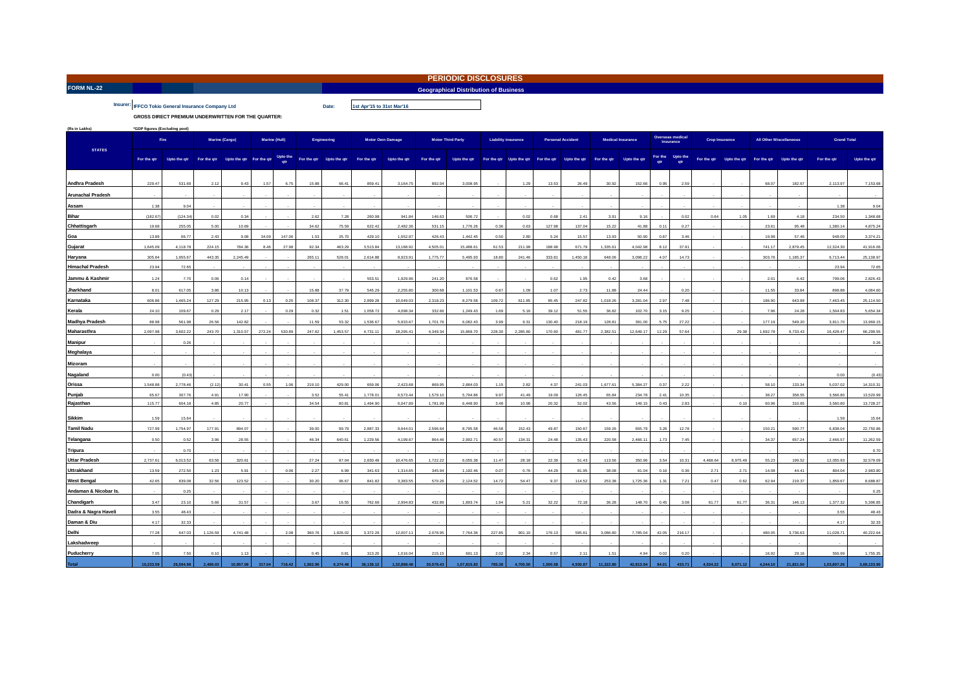|  | and the contract of the contract of the contract of the contract of the contract of the contract of the contract of |  |  |
|--|---------------------------------------------------------------------------------------------------------------------|--|--|
|  |                                                                                                                     |  |  |
|  |                                                                                                                     |  |  |
|  |                                                                                                                     |  |  |

**FORM NL-22** Geographical Distribution of Business Control of Business Control of Business Control of Business Control of Business Control of Business Control of Business Control of Business Control of Business Control of **PERIODIC DISCLOSURES**

**1st Apr'15 to 31st Mar'16**

**Insurer: IFFCO Tokio General Insurance Company Ltd Date: Date:** 

**GROSS DIRECT PREMIUM UNDERWRITTEN FOR THE QUARTER:** 

| (Rs in Lakhs)            | *GDP figures (Excluding pool) |              |          |                                      |        |               |          |                          |             |                         |                          |              |                            |                          |          |                          |                          |              |       |                               |                       |               |                                |              |                    |              |
|--------------------------|-------------------------------|--------------|----------|--------------------------------------|--------|---------------|----------|--------------------------|-------------|-------------------------|--------------------------|--------------|----------------------------|--------------------------|----------|--------------------------|--------------------------|--------------|-------|-------------------------------|-----------------------|---------------|--------------------------------|--------------|--------------------|--------------|
|                          |                               | Fire         |          | Marine (Cargo)                       |        | Marine (Hull) |          | <b>Engineering</b>       |             | <b>Motor Own Damage</b> | <b>Motor Third Party</b> |              | <b>Liability insurance</b> |                          |          | <b>Personal Accident</b> | <b>Medical Insurance</b> |              |       | Overseas medical<br>Insurance | <b>Crop Insurance</b> |               | <b>All Other Miscellaneous</b> |              | <b>Grand Total</b> |              |
| <b>STATES</b>            | For the qtr                   | Upto the qtr |          | For the qtr Upto the qtr For the qtr |        | Upto the      |          | For the qtr Upto the qtr | For the qtr | Upto the qtr            | For the qtr              | Upto the qtr |                            | For the qtr Upto the qtr |          | For the qtr Upto the qtr | For the qtr              | Upto the qtr |       | For the Upto the              | For the qtr           | Upto the qtr  | For the qtr                    | Upto the qtr | For the qtr        | Upto the qtr |
| <b>Andhra Pradesh</b>    | 229.47                        | 531.69       | 2.12     | 9.43                                 | 1.57   | 6.75          | 15.88    | 66.41                    | 859.41      | 3.164.75                | 892.04                   | 3.008.95     |                            | 1.29                     | 13.53    | 26.49                    | 30.92                    | 152.66       | 0.95  | 2.59                          |                       |               | 68.07                          | 182.67       | 2.113.97           | 7.153.68     |
| <b>Arunachal Pradesh</b> |                               |              |          |                                      |        |               |          |                          |             |                         |                          |              |                            |                          |          |                          |                          |              |       |                               |                       |               |                                |              |                    |              |
| Assam                    | 1.38                          | 9.04         |          |                                      |        |               |          |                          |             |                         |                          |              |                            |                          |          |                          |                          |              |       |                               |                       |               |                                |              | 1.38               | 9.04         |
| Bihar                    | (182.67)                      | (124.34)     | 0.02     | 0.34                                 |        |               | 2.62     | 7.28                     | 260.98      | 941.84                  | 146.63                   | 506.72       |                            | 0.02                     | 0.68     | 2.41                     | 3.91                     | 9.16         |       | 0.02                          | 0.64                  | 1.05          | 1.69                           | 4.18         | 234.50             | 1,348.68     |
| Chhattisgarh             | 19.68                         | 255.05       | 5.00     | 10.69                                |        |               | 34.62    | 75.59                    | 622.42      | 2,482.36                | 531.15                   | 1,776.26     | 0.36                       | 0.63                     | 127.98   | 137.04                   | 15.22                    | 41.88        | 0.11  | 0.27                          |                       |               | 23.61                          | 95.48        | 1,380.14           | 4,875.24     |
| Goa                      | 13.89                         | 66.77        | 2.43     | 9.08                                 | 34.09  | 147.06        | 1.53     | 25.70                    | 429.10      | 1,552.97                | 426.43                   | 1,442.45     | 0.50                       | 2.80                     | 5.24     | 15.57                    | 13.93                    | 50.90        | 0.87  | 3.46                          |                       |               | 19.98                          | 57.46        | 948.00             | 3,374.21     |
| Gujarat                  | 1,645.09                      | 4,118.78     | 224.15   | 784.36                               | 8.46   | 27.98         | 92.34    | 463.29                   | 3,513.84    | 13,188.92               | 4,505.01                 | 15,488.61    | 61.53                      | 211.99                   | 188.98   | 671.79                   | 1,335.61                 | 4,042.98     | 8.12  | 37.91                         |                       |               | 741.17                         | 2,879.45     | 12,324.30          | 41,916.06    |
| Haryana                  | 305.84                        | 1,955.67     | 443.35   | 2,245.49                             |        |               | 265.11   | 528.01                   | 2,614.88    | 8,923.91                | 1,775.77                 | 5,495.93     | 18.80                      | 241.46                   | 333.81   | 1,450.18                 | 648.06                   | 3,098.22     | 4.07  | 14.73                         |                       |               | 303.76                         | 1,185.37     | 6,713.44           | 25,138.97    |
| Himachal Pradesh         | 23.94                         | 72.65        |          |                                      |        |               |          |                          |             |                         |                          |              |                            |                          |          |                          |                          |              |       |                               |                       |               |                                |              | 23.94              | 72.65        |
| Jammu & Kashmir          | 1.24                          | 7.70         | 0.06     | 0.14                                 |        |               |          |                          | 553.51      | 1,929.96                | 241.20                   | 876.58       |                            |                          | 0.62     | 1.95                     | 0.42                     | 3.68         |       |                               |                       |               | 2.01                           | 6.42         | 799.06             | 2,826.43     |
| Jharkhand                | 8.01                          | 617.05       | 3.86     | 10.13                                |        |               | 15.88    | 37.79                    | 545.29      | 2,255.80                | 300.68                   | 1,101.53     | 0.67                       | 1.09                     | 1.07     | 2.73                     | 11.88                    | 24.44        |       | 0.20                          |                       |               | 11.55                          | 33.84        | 898.88             | 4,084.60     |
| Karnataka                | 606.86                        | 1,465.24     | 127.29   | 215.95                               | 0.13   | 0.25          | 108.37   | 312.30                   | 2,899.28    | 10,049.03               | 2,318.23                 | 8,279.58     | 109.72                     | 611.85                   | 85.45    | 247.82                   | 1,018.26                 | 3,281.04     | 2.97  | 7.48                          |                       |               | 186.90                         | 643.98       | 7,463.45           | 25,114.50    |
| Kerala                   | 24.10                         | 109.67       | 0.29     | 2.17                                 |        | 0.29          | 0.32     | 1.51                     | 1,058.72    | 4,098.34                | 332.66                   | 1,249.43     | 1.69                       | 5.16                     | 39.12    | 51.55                    | 36.82                    | 102.70       | 3.15  | 9.25                          |                       |               | 7.96                           | 24.28        | 1,504.83           | 5,654.34     |
| <b>Madhya Pradesh</b>    | 88.98                         | 561.98       | 26.56    | 14282                                |        |               | 11.59    | 53.32                    | 1.536.67    | 5.933.67                | 1 701 76                 | 6.082.43     | 3.99                       | 9.31                     | 130.40   | 218 19                   | 128.81                   | 391.00       | 5.75  | 27.22                         |                       |               | 177 19                         | 549.20       | 3,811.70           | 13,969.15    |
| Maharasthra              | 2,097.98                      | 3,602.22     | 243.70   | 1,310.57                             | 272.24 | 530.89        | 247.62   | 1,453.57                 | 4,731.11    | 18,295.41               | 4,349.34                 | 15,869.70    | 228.30                     | 2,285.80                 | 170.60   | 481.77                   | 2,382.51                 | 12,649.17    | 12.29 | 57.64                         |                       | 29.38         | 1,692.78                       | 9,733.43     | 16,428.47          | 66,299.55    |
| Manipur                  |                               | 0.26         |          |                                      |        |               |          |                          |             |                         |                          |              |                            |                          |          |                          |                          |              |       |                               |                       |               |                                |              |                    | 0.26         |
| Meghalaya                |                               |              |          |                                      |        |               |          |                          |             |                         |                          |              |                            |                          |          |                          |                          |              |       |                               |                       |               |                                |              |                    |              |
| Mizoram                  |                               |              |          |                                      |        |               |          |                          |             |                         |                          |              |                            |                          |          |                          |                          |              |       |                               |                       |               |                                |              |                    |              |
| Nagaland                 | 0.00                          | (0.43)       |          |                                      |        |               |          |                          |             |                         |                          |              |                            |                          |          |                          |                          |              |       |                               |                       |               |                                |              | 0.00               | (0.43)       |
| Orissa                   | 1,548.88                      | 2,778.46     | (2.12)   | 30.41                                | 0.55   | 1.06          | 219.10   | 429.00                   | 659.06      | 2,423.68                | 869.95                   | 2,884.03     | 1.15                       | 2.82                     | 4.37     | 241.03                   | 1,677.61                 | 5,384.27     | 0.37  | 2.22                          |                       |               | 58.10                          | 133.34       | 5,037.02           | 14,310.31    |
| Punjab                   | 65.67                         | 307.76       | 4.91     | 17.90                                |        |               | 3.52     | 55.41                    | 1,778.01    | 6,573.44                | 1,579.10                 | 5,794.86     | 9.97                       | 41.49                    | 19.09    | 126.45                   | 65.84                    | 234.78       | 2.41  | 10.35                         |                       |               | 38.27                          | 358.55       | 3,566.80           | 13,520.99    |
| Rajasthan                | 115.77                        | 604.18       | 4.85     | 20.77                                |        |               | 34.54    | 80.81                    | 1,494.90    | 6.047.89                | 1,781.99                 | 6,448.90     | 3.48                       | 10.98                    | 20.32    | 52.02                    | 43.56                    | 149.15       | 0.43  | 2.83                          |                       | 0.10          | 60.96                          | 310.65       | 3,560.80           | 13,728.27    |
| Sikkim                   | 1.59                          | 15.64        |          |                                      |        |               |          |                          |             |                         |                          |              |                            |                          |          |                          |                          |              |       |                               |                       |               |                                |              | 1.59               | 15.64        |
| <b>Tamil Nadu</b>        | 727.99                        | 1,754.97     | 177.91   | 894.07                               |        |               | 39.00    | 99.79                    | 2,887.33    | 9,644.01                | 2,596.64                 | 8,795.58     | 46.58                      | 152.43                   | 49.87    | 150.67                   | 159.26                   | 655.79       | 3.26  | 12.78                         |                       |               | 150.21                         | 590.77       | 6,838.04           | 22,750.86    |
| Telangana                | 0.50                          | 0.52         | 3.96     | 28.55                                |        |               | 46.34    | 640.61                   | 1,229.56    | 4,199.67                | 864.46                   | 2,992.71     | 40.57                      | 134.31                   | 24.48    | 135.43                   | 220.58                   | 2,466.11     | 1.73  | 7.45                          |                       |               | 34.37                          | 657.24       | 2,466.57           | 11,262.59    |
| <b>Tripura</b>           |                               | 0.70         |          |                                      |        |               |          |                          |             |                         |                          |              |                            |                          |          |                          |                          |              |       |                               |                       |               |                                |              |                    | 0.70         |
| <b>Uttar Pradesh</b>     | 2,737.61                      | 6,013.52     | 63.56    | 320.61                               |        |               | 27.24    | 97.04                    | 2,830.49    | 10,476.65               | 1,722.22                 | 6,055.38     | 11.47                      | 28.18                    | 22.39    | 51.43                    | 113.56                   | 350.96       | 3.54  | 10.31                         | 4,468.64              | 8,975.49      | 55.23                          | 199.52       | 12,055.93          | 32,579.09    |
| <b>Uttrakhand</b>        | 13.59                         | 272.50       | 1.23     | 5.91                                 |        | 0.06          | 2.27     | 6.99                     | 341.63      | 1,314.65                | 345.94                   | 1,192.46     | 0.07                       | 0.76                     | 44.29    | 81.95                    | 38.08                    | 61.04        | 0.16  | 0.36                          | 2.71                  | $2.7^{\circ}$ | 14.08                          | 44.41        | 804.04             | 2,983.80     |
| <b>West Bengal</b>       | 42.65                         | 839.08       | 32.56    | 123.52                               |        |               | 30.20    | 96.67                    | 841.82      | 3,383.55                | 570.26                   | 2,124.52     | 14.72                      | 54.47                    | 9.37     | 114.52                   | 253.38                   | 1,725.36     | 1.31  | 7.21                          | 0.47                  | 0.62          | 62.94                          | 219.37       | 1,859.67           | 8,688.87     |
| Andaman & Nicobar Is.    |                               | 0.25         |          |                                      |        |               |          |                          |             |                         |                          |              |                            |                          |          |                          |                          |              |       |                               |                       |               |                                |              |                    | 0.25         |
| Chandigarh               | 3.47                          | 23.10        | 5.66     | 31.57                                |        |               | 3.67     | 16.55                    | 762.66      | 2,994.83                | 432.89                   | 1,893.74     | 1.94                       | 5.21                     | 32.22    | 72.18                    | 36.28                    | 148.70       | 0.45  | 3.08                          | 61.77                 | 61.77         | 36.31                          | 146.13       | 1,377.32           | 5,396.85     |
| Dadra & Nagra Haveli     | 3.55                          | 48.43        |          |                                      |        |               |          |                          |             |                         |                          |              |                            |                          |          |                          |                          |              |       |                               |                       |               |                                |              | 3.55               | 48.43        |
| Daman & Diu              | 4.17                          | 32.33        |          |                                      |        |               |          |                          |             |                         |                          |              |                            |                          |          |                          |                          |              |       |                               |                       |               |                                |              | 4.17               | 32.33        |
| Delhi                    | 77.28                         | 647.03       | 1,126.59 | 4,741.48                             |        | 2.08          | 360.76   | 1,826.02                 | 3,372.26    | 12,007.11               | 2,078.95                 | 7,764.36     | 227.85                     | 901.10                   | 176.13   | 595.61                   | 3,086.80                 | 7,785.04     | 42.05 | 216.17                        |                       |               | 480.05                         | 3,736.63     | 11,028.71          | 40,222.64    |
| Lakshadweep              |                               |              |          |                                      |        |               |          |                          |             |                         |                          |              |                            |                          |          |                          |                          |              |       |                               |                       |               |                                |              |                    |              |
| Puducherry               | 7.05                          | 7.50         | 0.10     | 1.13                                 |        |               | 0.45     | 0.81                     | 313.20      | 1,016.04                | 215.15                   | 691 13       | 2.02                       | 2.34                     | 0.57     | 2.11                     | 1.51                     | 494          | 0.02  | 0.20                          |                       |               | 16.92                          | 29.16        | 556.99             | 1,755.35     |
| Total                    | 10.233.59                     | 26,594.98    |          | 10.957.08                            | 317.04 | 716.42        | 1.562.96 | 6.374.48                 | 36.136.12   | 1.32.898.48             | 30.578.43                | 1.07.815.83  | 785.3                      | 4.705.50                 | 1.500.58 | 4.930.87                 | 11.322.80                | 42.813.94    | 94.01 | 433.71                        | 4.534.22              | 9,071.12      | 4.244.10                       | 21.821.50    | 1.03.807.26        | 3,69,133.90  |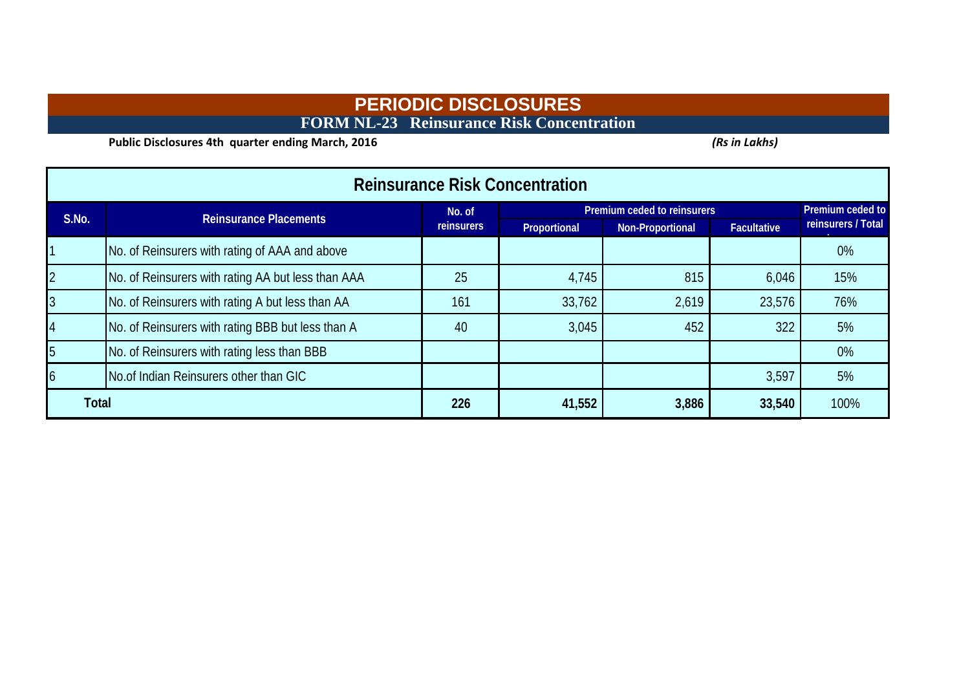# **PERIODIC DISCLOSURES FORM NL-23 Reinsurance Risk Concentration**

**Public Disclosures 4th quarter ending March, 2016** *(Rs in Lakhs)* 

| <b>Reinsurance Risk Concentration</b> |                                                    |                   |                             |                  |                    |                    |  |  |  |  |  |
|---------------------------------------|----------------------------------------------------|-------------------|-----------------------------|------------------|--------------------|--------------------|--|--|--|--|--|
| S.No.                                 | <b>Reinsurance Placements</b>                      | No. of            | Premium ceded to reinsurers |                  | Premium ceded to   |                    |  |  |  |  |  |
|                                       |                                                    | <b>reinsurers</b> | Proportional                | Non-Proportional | <b>Facultative</b> | reinsurers / Total |  |  |  |  |  |
|                                       | No. of Reinsurers with rating of AAA and above     |                   |                             |                  |                    | $0\%$              |  |  |  |  |  |
| $\overline{2}$                        | No. of Reinsurers with rating AA but less than AAA | 25                | 4,745                       | 815              | 6,046              | 15%                |  |  |  |  |  |
| $\overline{3}$                        | No. of Reinsurers with rating A but less than AA   | 161               | 33,762                      | 2,619            | 23,576             | 76%                |  |  |  |  |  |
| 14                                    | No. of Reinsurers with rating BBB but less than A  | 40                | 3,045                       | 452              | 322                | 5%                 |  |  |  |  |  |
| 5                                     | No. of Reinsurers with rating less than BBB        |                   |                             |                  |                    | $0\%$              |  |  |  |  |  |
| 6                                     | No.of Indian Reinsurers other than GIC             |                   |                             |                  | 3,597              | 5%                 |  |  |  |  |  |
| <b>Total</b>                          |                                                    | 226               | 41,552                      | 3,886            | 33,540             | 100%               |  |  |  |  |  |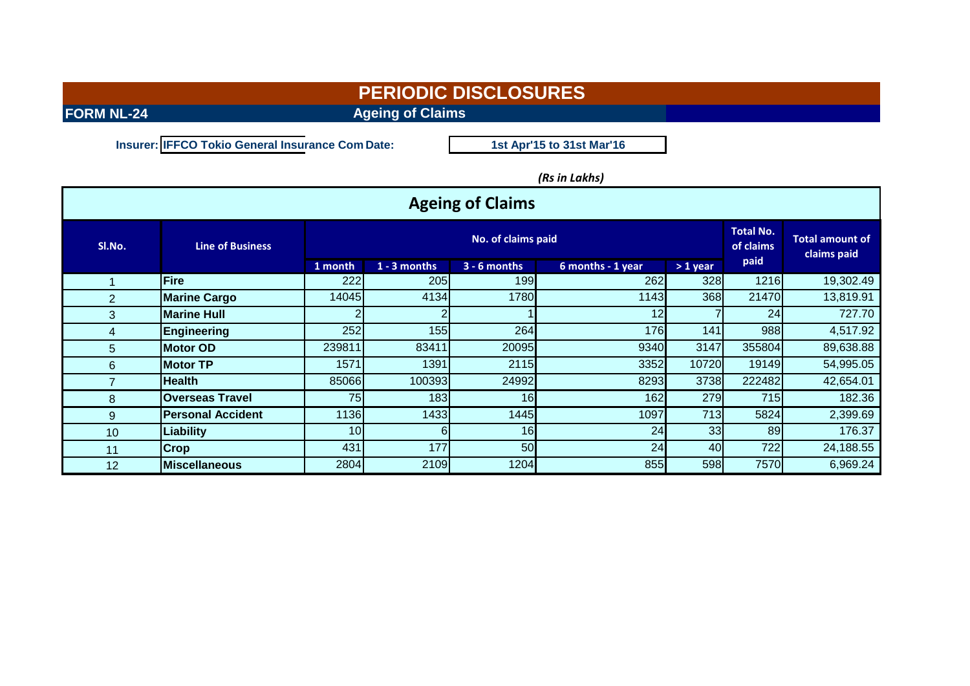**FORM NL-24 Ageing of Claims** 

**Insurer: IFFCO Tokio General Insurance Com Date:**

**1st Apr'15 to 31st Mar'16**

### *(Rs in Lakhs)*

| <b>Ageing of Claims</b> |                          |                 |                    |                 |                   |                 |        |                                       |  |
|-------------------------|--------------------------|-----------------|--------------------|-----------------|-------------------|-----------------|--------|---------------------------------------|--|
| SI.No.                  | <b>Line of Business</b>  |                 | No. of claims paid |                 |                   |                 |        | <b>Total amount of</b><br>claims paid |  |
|                         |                          | 1 month         | $1 - 3$ months     | $3 - 6$ months  | 6 months - 1 year | $>1$ year       | paid   |                                       |  |
| 1                       | Fire                     | 222             | 205                | 199             | 262               | 328             | 1216   | 19,302.49                             |  |
| $\overline{2}$          | <b>Marine Cargo</b>      | 14045           | 4134               | 1780            | 1143              | 368             | 21470  | 13,819.91                             |  |
| 3 <sup>1</sup>          | <b>Marine Hull</b>       |                 |                    |                 | 12                |                 | 24     | 727.70                                |  |
| 4                       | <b>Engineering</b>       | 252             | 155                | 264             | 176               | 141             | 988    | 4,517.92                              |  |
| 5                       | <b>Motor OD</b>          | 239811          | 83411              | 20095           | 9340              | 3147            | 355804 | 89,638.88                             |  |
| $6\phantom{1}$          | <b>Motor TP</b>          | 1571            | 1391               | 2115            | 3352              | 10720           | 19149  | 54,995.05                             |  |
| $\overline{7}$          | lHealth.                 | 85066           | 100393             | 24992           | 8293              | 3738            | 222482 | 42,654.01                             |  |
| 8                       | <b>Overseas Travel</b>   | 75              | 183                | 16 <sup>1</sup> | 162               | 279             | 715    | 182.36                                |  |
| 9                       | <b>Personal Accident</b> | 1136            | 1433               | 1445            | 1097              | 713             | 5824   | 2,399.69                              |  |
| 10 <sup>°</sup>         | <b>Liability</b>         | 10 <sub>l</sub> | 6                  | 16              | 24                | 33 <sup>1</sup> | 89     | 176.37                                |  |
| 11                      | <b>Crop</b>              | 431             | 177                | 50              | 24                | 40              | 722    | 24,188.55                             |  |
| 12                      | <b>IMiscellaneous</b>    | 2804            | 2109               | 1204            | 855               | 598             | 7570   | 6,969.24                              |  |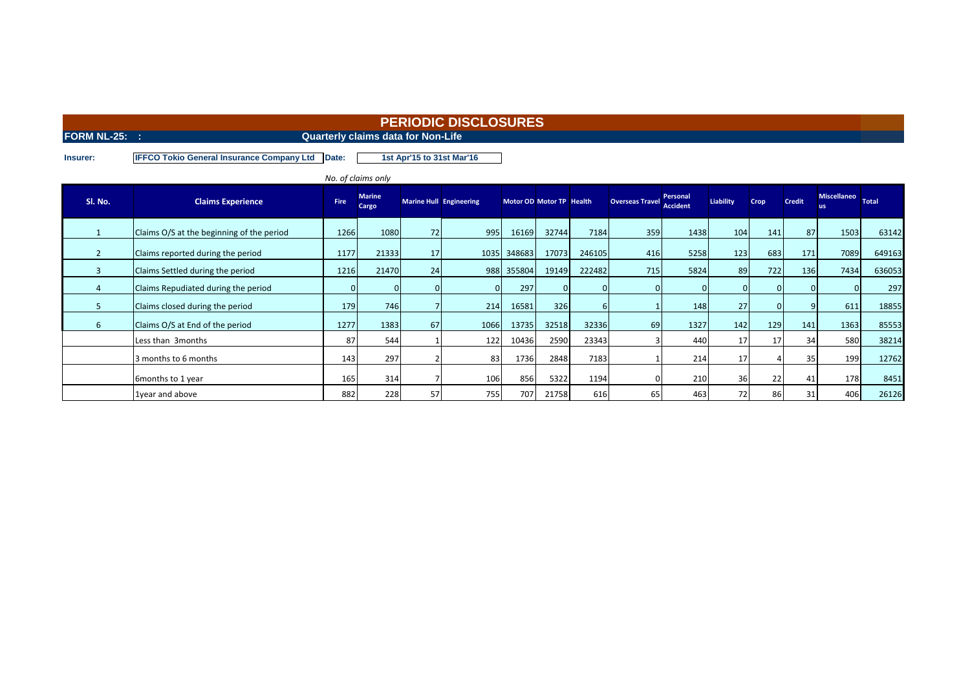**FORM NL-25: :** CONSERVANCE CONSERVANCE CONSERVANCE CONSERVANCE CONSERVANCE CONSERVANCE CONSERVANCE CONSERVANCE CONSERVANCE CONSERVANCE CONSERVANCE CONSERVANCE CONSERVANCE CONSERVANCE CONSERVANCE CONSERVANCE CONSERVANCE CO

**Insurer: IFFCO Tokio General Insurance Company Ltd Date:**

**1st Apr'15 to 31st Mar'16**

|         |                                           |      | No. of claims only     |    |                                |                          |          |        |                        |                             |                  |          |               |                                |        |
|---------|-------------------------------------------|------|------------------------|----|--------------------------------|--------------------------|----------|--------|------------------------|-----------------------------|------------------|----------|---------------|--------------------------------|--------|
| SI. No. | <b>Claims Experience</b>                  | Fire | <b>Marine</b><br>Cargo |    | <b>Marine Hull Engineering</b> | Motor OD Motor TP Health |          |        | <b>Overseas Travel</b> | Personal<br><b>Accident</b> | <b>Liability</b> | Crop     | <b>Credit</b> | Miscellaneo Total<br><b>us</b> |        |
|         | Claims O/S at the beginning of the period | 1266 | 1080                   | 72 | 995                            | 16169                    | 32744    | 7184   | 359                    | 1438                        | 104              | 141      | 87            | 1503                           | 63142  |
|         | Claims reported during the period         | 1177 | 21333                  | 17 |                                | 1035 348683              | 17073    | 246105 | 416                    | 5258                        | 123              | 683      | 171           | 7089                           | 649163 |
| 3       | Claims Settled during the period          | 1216 | 21470                  | 24 |                                | 988 355804               | 19149    | 222482 | 715                    | 5824                        | 89               | 722      | 136           | 7434                           | 636053 |
|         | Claims Repudiated during the period       |      |                        |    |                                | 297                      | $\Omega$ |        |                        |                             |                  |          |               |                                | 297    |
|         | Claims closed during the period           | 179  | 746                    |    | 214                            | 16581                    | 326      | 6      |                        | 148                         | 27               | $\Omega$ |               | 611                            | 18855  |
| 6       | Claims O/S at End of the period           | 1277 | 1383                   | 67 | 1066                           | 13735                    | 32518    | 32336  | 69                     | 1327                        | 142              | 129      | 141           | 1363                           | 85553  |
|         | Less than 3months                         | 87   | 544                    |    | 122                            | 10436                    | 2590     | 23343  |                        | 440                         | 17               | 17       | 34            | <b>580</b>                     | 38214  |
|         | 3 months to 6 months                      | 143  | 297                    |    | 83                             | 1736                     | 2848     | 7183   |                        | 214                         | 17               |          | 35            | 199                            | 12762  |
|         | 6months to 1 year                         | 165  | 314                    |    | 106                            | 856                      | 5322     | 1194   |                        | 210                         | 36               | 22       | 41            | 178                            | 8451   |
|         | 1year and above                           | 882  | 228                    | 57 | 755                            | 707                      | 21758    | 616    | 65                     | 463                         | 72               | 86       | 31            | 406                            | 26126  |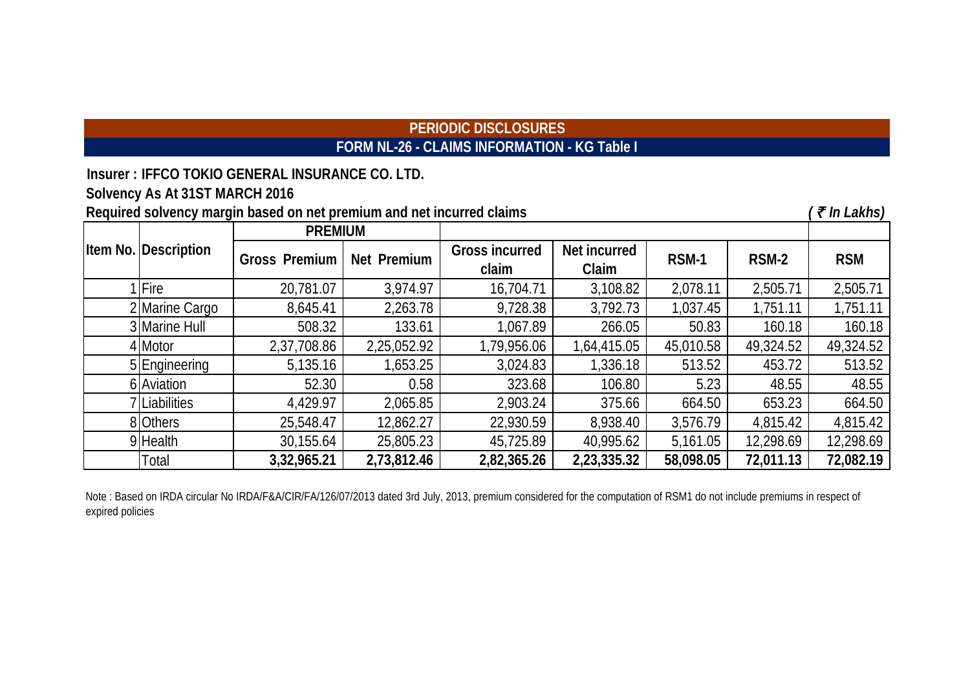# **PERIODIC DISCLOSURES FORM NL-26 - CLAIMS INFORMATION - KG Table I**

**Insurer : IFFCO TOKIO GENERAL INSURANCE CO. LTD. Solvency As At 31ST MARCH 2016**

| Required solvency margin based on net premium and net incurred claims |                      |                      |             |                                |                       |           |           |            |  |  |
|-----------------------------------------------------------------------|----------------------|----------------------|-------------|--------------------------------|-----------------------|-----------|-----------|------------|--|--|
|                                                                       |                      | <b>PREMIUM</b>       |             |                                |                       |           |           |            |  |  |
|                                                                       | Item No. Description | <b>Gross Premium</b> | Net Premium | <b>Gross incurred</b><br>claim | Net incurred<br>Claim | RSM-1     | RSM-2     | <b>RSM</b> |  |  |
|                                                                       | 1 Fire               | 20,781.07            | 3,974.97    | 16,704.71                      | 3,108.82              | 2,078.11  | 2,505.71  | 2,505.71   |  |  |
|                                                                       | 2 Marine Cargo       | 8,645.41             | 2,263.78    | 9,728.38                       | 3,792.73              | 1,037.45  | 1,751.11  | 1,751.11   |  |  |
|                                                                       | 3 Marine Hull        | 508.32               | 133.61      | 1,067.89                       | 266.05                | 50.83     | 160.18    | 160.18     |  |  |
|                                                                       | 4 Motor              | 2,37,708.86          | 2,25,052.92 | 1,79,956.06                    | 1,64,415.05           | 45,010.58 | 49,324.52 | 49,324.52  |  |  |
|                                                                       | 5 Engineering        | 5,135.16             | 1,653.25    | 3,024.83                       | 1,336.18              | 513.52    | 453.72    | 513.52     |  |  |
|                                                                       | 6 Aviation           | 52.30                | 0.58        | 323.68                         | 106.80                | 5.23      | 48.55     | 48.55      |  |  |
|                                                                       | 7 Liabilities        | 4,429.97             | 2,065.85    | 2,903.24                       | 375.66                | 664.50    | 653.23    | 664.50     |  |  |
|                                                                       | 8 Others             | 25,548.47            | 12,862.27   | 22,930.59                      | 8,938.40              | 3,576.79  | 4,815.42  | 4,815.42   |  |  |
|                                                                       | 9 Health             | 30,155.64            | 25,805.23   | 45,725.89                      | 40,995.62             | 5,161.05  | 12,298.69 | 12,298.69  |  |  |
|                                                                       | Total                | 3,32,965.21          | 2,73,812.46 | 2,82,365.26                    | 2,23,335.32           | 58,098.05 | 72,011.13 | 72,082.19  |  |  |

Note: Based on IRDA circular No IRDA/F&A/CIR/FA/126/07/2013 dated 3rd July, 2013, premium considered for the computation of RSM1 do not include premiums in respect of expired policies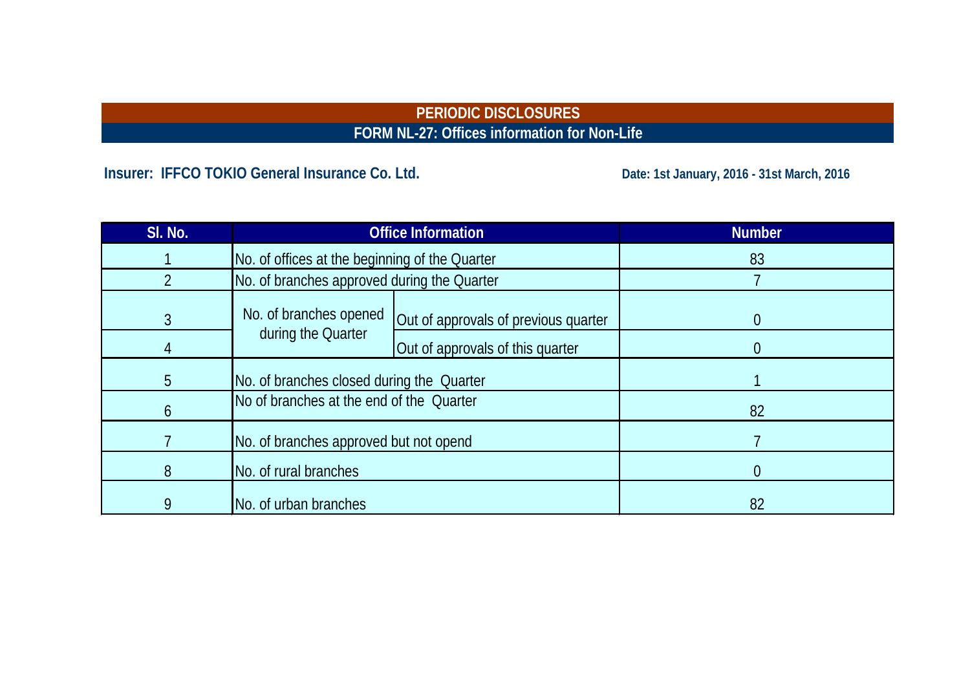# **PERIODIC DISCLOSURES FORM NL-27: Offices information for Non-Life**

# Insurer: IFFCO TOKIO General Insurance Co. Ltd. **Date: 1st January, 2016 - 31st March, 2016**

| SI. No.        |                                                | <b>Office Information</b>            | <b>Number</b> |
|----------------|------------------------------------------------|--------------------------------------|---------------|
|                | No. of offices at the beginning of the Quarter |                                      | 83            |
|                | No. of branches approved during the Quarter    |                                      |               |
| $\mathfrak{Z}$ | No. of branches opened                         | Out of approvals of previous quarter | 0             |
|                | during the Quarter                             | Out of approvals of this quarter     |               |
| 5              | No. of branches closed during the Quarter      |                                      |               |
| 6              | No of branches at the end of the Quarter       |                                      | 82            |
|                | No. of branches approved but not opend         |                                      |               |
| 8              | No. of rural branches                          |                                      | 0             |
| 9              | No. of urban branches                          |                                      | 82            |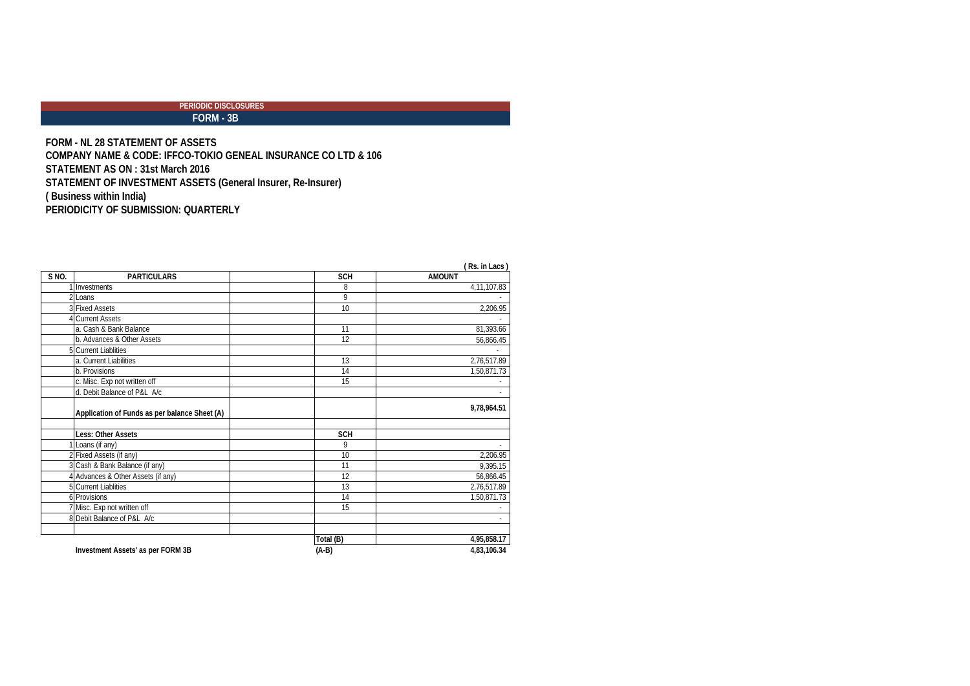### **Expressed**<br>FORM - 3B  **PERIODIC DISCLOSURES**

**FORM - NL 28 STATEMENT OF ASSETS COMPANY NAME & CODE: IFFCO-TOKIO GENEAL INSURANCE CO LTD & 106 STATEMENT AS ON : 31st March 2016 STATEMENT OF INVESTMENT ASSETS (General Insurer, Re-Insurer) ( Business within India) PERIODICITY OF SUBMISSION: QUARTERLY**

| $S \overline{NO}$ . | <b>PARTICULARS</b>                            | <b>SCH</b> | $(13.11)$ Lats<br><b>AMOUNT</b> |
|---------------------|-----------------------------------------------|------------|---------------------------------|
|                     | Investments                                   | 8          | 4,11,107.83                     |
|                     | Loans                                         | 9          |                                 |
|                     | <b>3 Fixed Assets</b>                         | 10         | 2,206.95                        |
|                     | <b>Current Assets</b>                         |            |                                 |
|                     | a. Cash & Bank Balance                        | 11         | 81,393.66                       |
|                     | b. Advances & Other Assets                    | 12         | 56,866.45                       |
|                     | 5 Current Liablities                          |            |                                 |
|                     | a. Current Liabilities                        | 13         | 2,76,517.89                     |
|                     | b. Provisions                                 | 14         | 1,50,871.73                     |
|                     | c. Misc. Exp not written off                  | 15         |                                 |
|                     | d. Debit Balance of P&L A/c                   |            |                                 |
|                     | Application of Funds as per balance Sheet (A) |            | 9,78,964.51                     |
|                     | <b>Less: Other Assets</b>                     | <b>SCH</b> |                                 |
|                     | Loans (if any)                                | 9          |                                 |
|                     | Fixed Assets (if any)                         | 10         | 2,206.95                        |
|                     | Cash & Bank Balance (if any)                  | 11         | 9,395.15                        |
|                     | Advances & Other Assets (if any)              | 12         | 56,866.45                       |
|                     | <b>Current Liablities</b>                     | 13         | 2,76,517.89                     |
|                     | 6 Provisions                                  | 14         | 1,50,871.73                     |
|                     | Misc. Exp not written off                     | 15         |                                 |
|                     | 8 Debit Balance of P&L A/c                    |            |                                 |
|                     |                                               | Total (B)  | 4,95,858.17                     |
|                     | Investment Assets' as per FORM 3B             | $(A-B)$    | 4,83,106.34                     |

**( Rs. in Lacs )**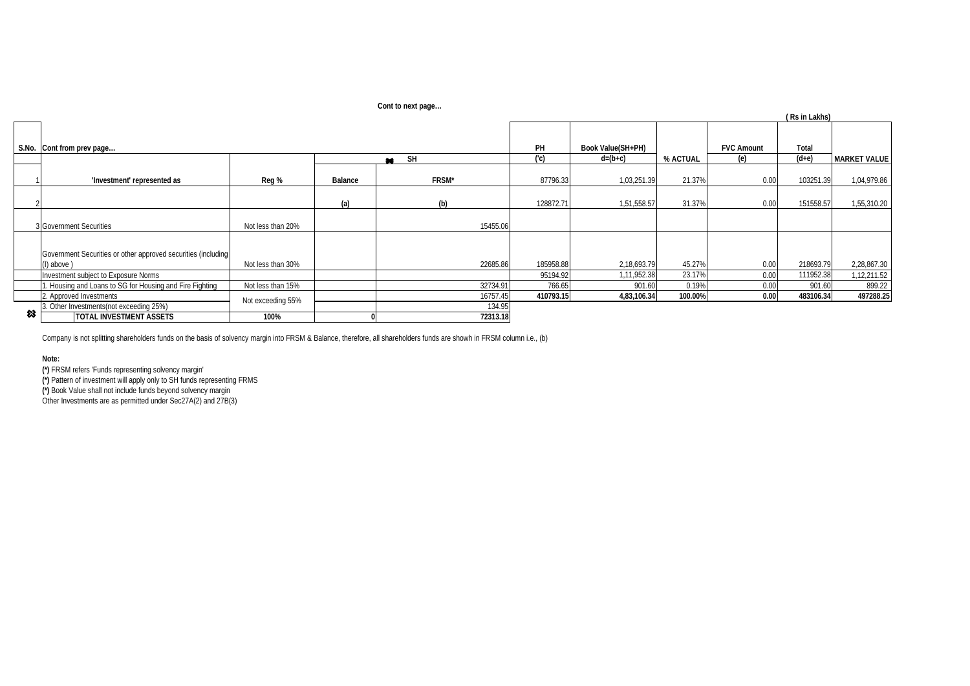| Cont to next page |  |
|-------------------|--|
|                   |  |

|   |                                                                                  |                   |         | <b>CONTROLLIGAL Page</b> |           |                   |          |                   | (Rs in Lakhs) |                     |
|---|----------------------------------------------------------------------------------|-------------------|---------|--------------------------|-----------|-------------------|----------|-------------------|---------------|---------------------|
|   | S.No. Cont from prev page                                                        |                   |         |                          | PH        | Book Value(SH+PH) |          | <b>FVC Amount</b> | Total         |                     |
|   |                                                                                  |                   |         | SH<br>$\star$            | (C)       | $d=(b+c)$         | % ACTUAL | (e)               | $(d+e)$       | <b>MARKET VALUE</b> |
|   | 'Investment' represented as                                                      | Reg %             | Balance | FRSM*                    | 87796.33  | 1,03,251.39       | 21.37%   | 0.00              | 103251.39     | 1,04,979.86         |
|   |                                                                                  |                   | (a)     | (b)                      | 128872.71 | 1,51,558.57       | 31.37%   | 0.00              | 151558.57     | 1,55,310.20         |
|   | 3 Government Securities                                                          | Not less than 20% |         | 15455.06                 |           |                   |          |                   |               |                     |
|   | Government Securities or other approved securities (including<br>$(l)$ above $)$ | Not less than 30% |         | 22685.86                 | 185958.88 | 2,18,693.79       | 45.27%   | 0.00              | 218693.79     | 2,28,867.30         |
|   | Investment subject to Exposure Norms                                             |                   |         |                          | 95194.92  | 1,11,952.38       | 23.17%   | 0.00              | 111952.38     | 1,12,211.52         |
|   | . Housing and Loans to SG for Housing and Fire Fighting                          | Not less than 15% |         | 32734.91                 | 766.65    | 901.60            | 0.19%    | 0.00              | 901.60        | 899.22              |
|   | 2. Approved Investments                                                          | Not exceeding 55% |         | 16757.45                 | 410793.15 | 4,83,106.34       | 100.00%  | 0.00              | 483106.34     | 497288.25           |
|   | 3. Other Investments(not exceeding 25%)                                          |                   |         | 134.95                   |           |                   |          |                   |               |                     |
| 惢 | <b>TOTAL INVESTMENT ASSETS</b>                                                   | 100%              |         | 72313.18                 |           |                   |          |                   |               |                     |

Company is not splitting shareholders funds on the basis of solvency margin into FRSM & Balance, therefore, all shareholders funds are showh in FRSM column i.e., (b)

#### **Note:**

**(\*)** FRSM refers 'Funds representing solvency margin'

**(\*)** Pattern of investment will apply only to SH funds representing FRMS

**(\*)** Book Value shall not include funds beyond solvency margin

Other Investments are as permitted under Sec27A(2) and 27B(3)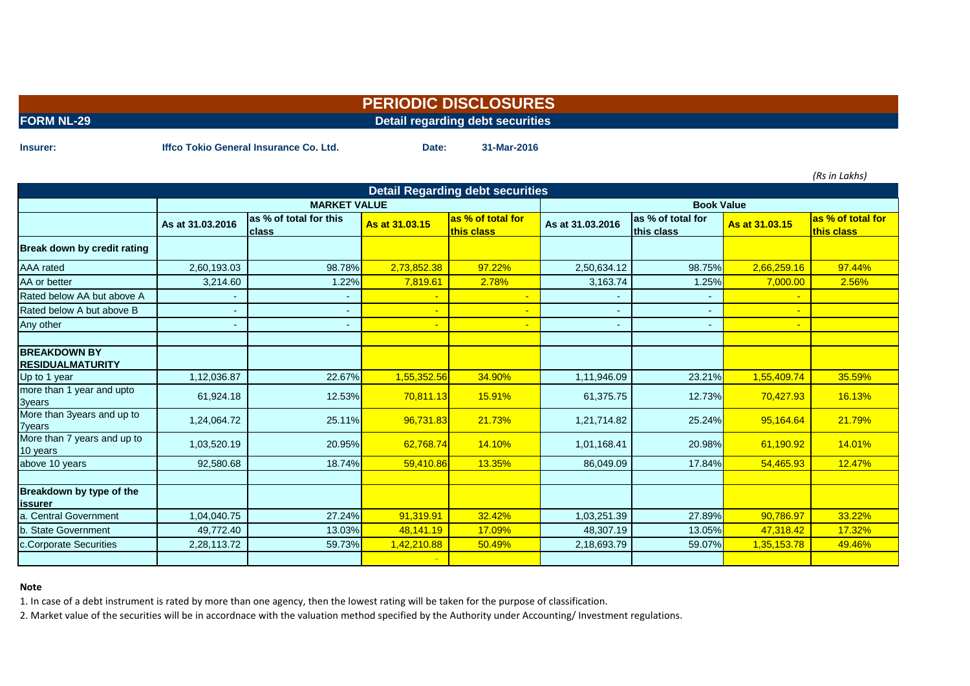|                   | T ENIOPIO PIOOLOOONLO            |
|-------------------|----------------------------------|
| <b>FORM NL-29</b> | Detail regarding debt securities |

**Insurer: Date: 31-Mar-2016 Iffco Tokio General Insurance Co. Ltd.**

*(Rs in Lakhs)*

| <b>Detail Regarding debt securities</b>        |                  |                                        |                |                                 |                  |                                 |                |                                 |  |
|------------------------------------------------|------------------|----------------------------------------|----------------|---------------------------------|------------------|---------------------------------|----------------|---------------------------------|--|
|                                                |                  | <b>MARKET VALUE</b>                    |                |                                 |                  | <b>Book Value</b>               |                |                                 |  |
|                                                | As at 31.03.2016 | as % of total for this<br><b>class</b> | As at 31.03.15 | as % of total for<br>this class | As at 31.03.2016 | as % of total for<br>this class | As at 31.03.15 | as % of total for<br>this class |  |
| Break down by credit rating                    |                  |                                        |                |                                 |                  |                                 |                |                                 |  |
| <b>AAA</b> rated                               | 2,60,193.03      | 98.78%                                 | 2,73,852.38    | 97.22%                          | 2,50,634.12      | 98.75%                          | 2,66,259.16    | 97.44%                          |  |
| AA or better                                   | 3,214.60         | 1.22%                                  | 7,819.61       | 2.78%                           | 3,163.74         | 1.25%                           | 7,000.00       | 2.56%                           |  |
| Rated below AA but above A                     |                  |                                        |                |                                 |                  |                                 |                |                                 |  |
| Rated below A but above B                      | -                | ۰                                      |                |                                 |                  |                                 |                |                                 |  |
| Any other                                      |                  |                                        |                |                                 |                  |                                 |                |                                 |  |
|                                                |                  |                                        |                |                                 |                  |                                 |                |                                 |  |
| <b>BREAKDOWN BY</b><br><b>RESIDUALMATURITY</b> |                  |                                        |                |                                 |                  |                                 |                |                                 |  |
| Up to 1 year                                   | 1,12,036.87      | 22.67%                                 | 1,55,352.56    | 34.90%                          | 1,11,946.09      | 23.21%                          | 1,55,409.74    | 35.59%                          |  |
| more than 1 year and upto<br>3years            | 61,924.18        | 12.53%                                 | 70,811.13      | 15.91%                          | 61,375.75        | 12.73%                          | 70,427.93      | 16.13%                          |  |
| More than 3years and up to<br><b>7years</b>    | 1,24,064.72      | 25.11%                                 | 96,731.83      | 21.73%                          | 1,21,714.82      | 25.24%                          | 95,164.64      | 21.79%                          |  |
| More than 7 years and up to<br>10 years        | 1,03,520.19      | 20.95%                                 | 62,768.74      | 14.10%                          | 1,01,168.41      | 20.98%                          | 61,190.92      | 14.01%                          |  |
| above 10 years                                 | 92,580.68        | 18.74%                                 | 59,410.86      | 13.35%                          | 86,049.09        | 17.84%                          | 54,465.93      | 12.47%                          |  |
| Breakdown by type of the<br>lissurer           |                  |                                        |                |                                 |                  |                                 |                |                                 |  |
| a. Central Government                          | 1,04,040.75      | 27.24%                                 | 91,319.91      | 32.42%                          | 1,03,251.39      | 27.89%                          | 90,786.97      | 33.22%                          |  |
| b. State Government                            | 49,772.40        | 13.03%                                 | 48,141.19      | 17.09%                          | 48,307.19        | 13.05%                          | 47,318.42      | 17.32%                          |  |
| c.Corporate Securities                         | 2,28,113.72      | 59.73%                                 | 1,42,210.88    | 50.49%                          | 2,18,693.79      | 59.07%                          | 1,35,153.78    | 49.46%                          |  |
|                                                |                  |                                        |                |                                 |                  |                                 |                |                                 |  |

#### **Note**

1. In case of a debt instrument is rated by more than one agency, then the lowest rating will be taken for the purpose of classification.

2. Market value of the securities will be in accordnace with the valuation method specified by the Authority under Accounting/ Investment regulations.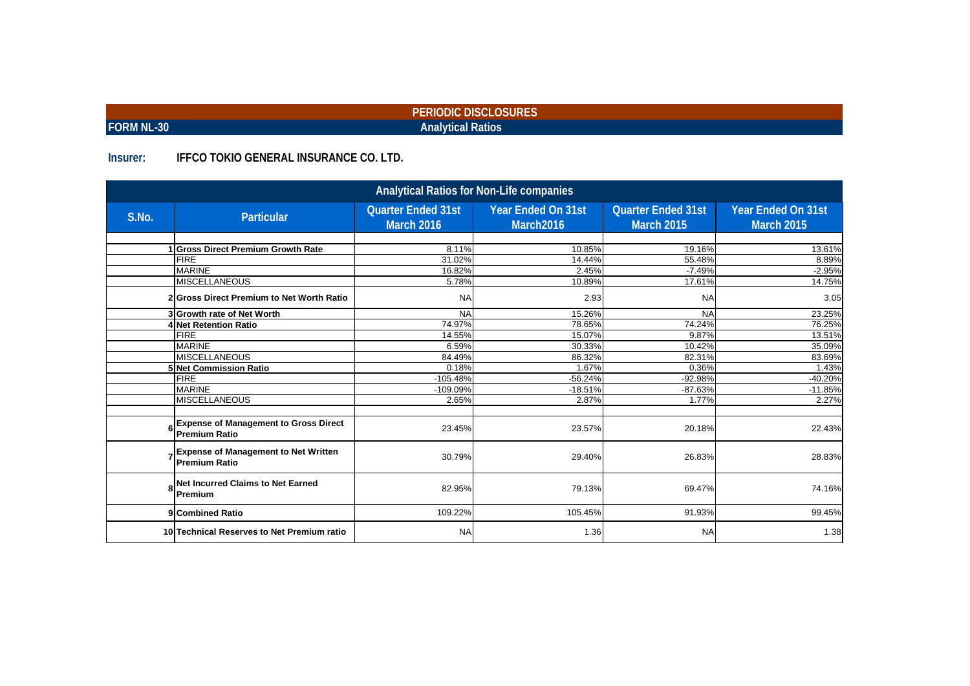|            | PERIODIC DISCLOSURES     |  |
|------------|--------------------------|--|
| FORM NL-30 | <b>Analytical Ratios</b> |  |

### **Insurer: IFFCO TOKIO GENERAL INSURANCE CO. LTD.**

|       | <b>Analytical Ratios for Non-Life companies</b>                      |                                                |                                        |                                                |                                         |  |  |  |  |  |  |
|-------|----------------------------------------------------------------------|------------------------------------------------|----------------------------------------|------------------------------------------------|-----------------------------------------|--|--|--|--|--|--|
| S.No. | <b>Particular</b>                                                    | <b>Quarter Ended 31st</b><br><b>March 2016</b> | <b>Year Ended On 31st</b><br>March2016 | <b>Quarter Ended 31st</b><br><b>March 2015</b> | Year Ended On 31st<br><b>March 2015</b> |  |  |  |  |  |  |
|       |                                                                      |                                                |                                        |                                                |                                         |  |  |  |  |  |  |
|       | <b>Gross Direct Premium Growth Rate</b>                              | 8.11%                                          | 10.85%                                 | 19.16%                                         | 13.61%                                  |  |  |  |  |  |  |
|       | <b>FIRE</b>                                                          | 31.02%                                         | 14.44%                                 | 55.48%                                         | 8.89%                                   |  |  |  |  |  |  |
|       | <b>MARINE</b>                                                        | 16.82%                                         | 2.45%                                  | $-7.49%$                                       | $-2.95%$                                |  |  |  |  |  |  |
|       | <b>MISCELLANEOUS</b>                                                 | 5.78%                                          | 10.89%                                 | 17.61%                                         | 14.75%                                  |  |  |  |  |  |  |
|       | 2 Gross Direct Premium to Net Worth Ratio                            | <b>NA</b>                                      | 2.93                                   | <b>NA</b>                                      | 3.05                                    |  |  |  |  |  |  |
|       | 3 Growth rate of Net Worth                                           | <b>NA</b>                                      | 15.26%                                 | <b>NA</b>                                      | 23.25%                                  |  |  |  |  |  |  |
|       | 4 Net Retention Ratio                                                | 74.97%                                         | 78.65%                                 | 74.24%                                         | 76.25%                                  |  |  |  |  |  |  |
|       | <b>FIRE</b>                                                          | 14.55%                                         | 15.07%                                 | 9.87%                                          | 13.51%                                  |  |  |  |  |  |  |
|       | <b>MARINE</b>                                                        | 6.59%                                          | 30.33%                                 | 10.42%                                         | 35.09%                                  |  |  |  |  |  |  |
|       | <b>MISCELLANEOUS</b>                                                 | 84.49%                                         | 86.32%                                 | 82.31%                                         | 83.69%                                  |  |  |  |  |  |  |
|       | 5 Net Commission Ratio                                               | 0.18%                                          | 1.67%                                  | 0.36%                                          | 1.43%                                   |  |  |  |  |  |  |
|       | <b>FIRE</b>                                                          | $-105.48%$                                     | $-56.24%$                              | $-92.98%$                                      | $-40.20%$                               |  |  |  |  |  |  |
|       | <b>MARINE</b>                                                        | -109.09%                                       | $-18.51%$                              | $-87.63%$                                      | $-11.85%$                               |  |  |  |  |  |  |
|       | <b>MISCELLANEOUS</b>                                                 | 2.65%                                          | 2.87%                                  | 1.77%                                          | 2.27%                                   |  |  |  |  |  |  |
| 6     | <b>Expense of Management to Gross Direct</b><br><b>Premium Ratio</b> | 23.45%                                         | 23.57%                                 | 20.18%                                         | 22.43%                                  |  |  |  |  |  |  |
|       | 7 Expense of Management to Net Written<br><b>Premium Ratio</b>       | 30.79%                                         | 29.40%                                 | 26.83%                                         | 28.83%                                  |  |  |  |  |  |  |
|       | Net Incurred Claims to Net Earned<br>Premium                         | 82.95%                                         | 79.13%                                 | 69.47%                                         | 74.16%                                  |  |  |  |  |  |  |
|       | 9 Combined Ratio                                                     | 109.22%                                        | 105.45%                                | 91.93%                                         | 99.45%                                  |  |  |  |  |  |  |
|       | 10 Technical Reserves to Net Premium ratio                           | <b>NA</b>                                      | 1.36                                   | <b>NA</b>                                      | 1.38                                    |  |  |  |  |  |  |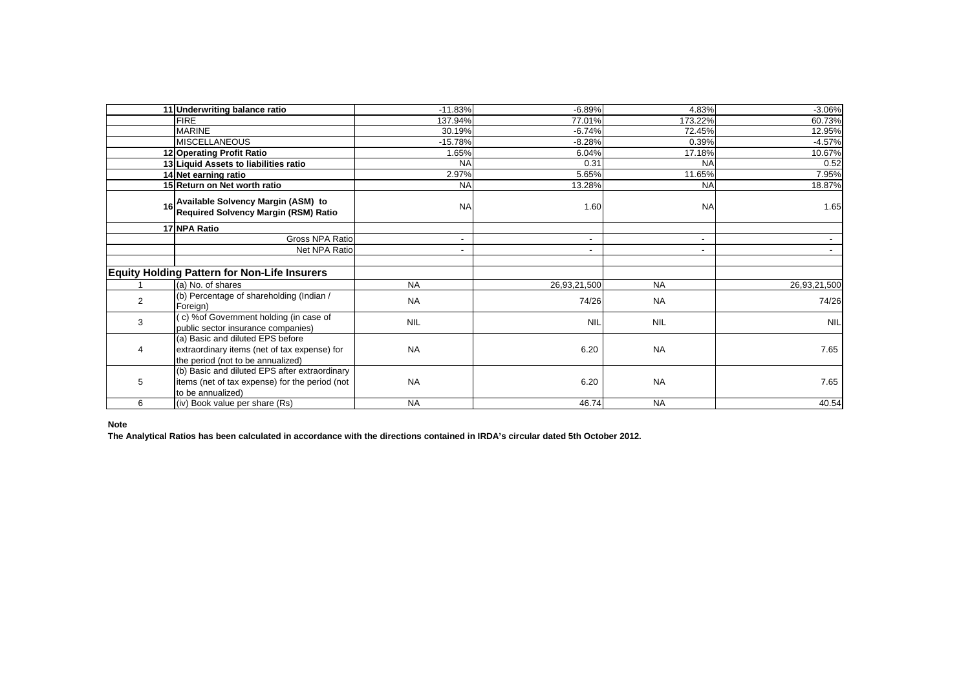|                | 11 Underwriting balance ratio                                                                                         | $-11.83%$                | $-6.89%$                 | 4.83%          | $-3.06%$                 |
|----------------|-----------------------------------------------------------------------------------------------------------------------|--------------------------|--------------------------|----------------|--------------------------|
|                | <b>FIRE</b>                                                                                                           | 137.94%                  | 77.01%                   | 173.22%        | 60.73%                   |
|                | <b>MARINE</b>                                                                                                         | 30.19%                   | $-6.74%$                 | 72.45%         | 12.95%                   |
|                | <b>MISCELLANEOUS</b>                                                                                                  | $-15.78%$                | $-8.28%$                 | 0.39%          | $-4.57%$                 |
|                | 12 Operating Profit Ratio                                                                                             | 1.65%                    | 6.04%                    | 17.18%         | 10.67%                   |
|                | 13 Liquid Assets to liabilities ratio                                                                                 | <b>NA</b>                | 0.31                     | <b>NA</b>      | 0.52                     |
|                | 14 Net earning ratio                                                                                                  | 2.97%                    | 5.65%                    | 11.65%         | 7.95%                    |
|                | 15 Return on Net worth ratio                                                                                          | <b>NA</b>                | 13.28%                   | <b>NA</b>      | 18.87%                   |
| 16             | Available Solvency Margin (ASM) to<br>Required Solvency Margin (RSM) Ratio                                            | <b>NA</b>                | 1.60                     | <b>NA</b>      | 1.65                     |
|                | 17 NPA Ratio                                                                                                          |                          |                          |                |                          |
|                | Gross NPA Ratio                                                                                                       | $\overline{\phantom{a}}$ | $\overline{\phantom{a}}$ | $\overline{a}$ | $\overline{\phantom{a}}$ |
|                | Net NPA Ratio                                                                                                         | ۰                        |                          |                |                          |
|                |                                                                                                                       |                          |                          |                |                          |
|                | <b>Equity Holding Pattern for Non-Life Insurers</b>                                                                   |                          |                          |                |                          |
|                | (a) No. of shares                                                                                                     | <b>NA</b>                | 26,93,21,500             | <b>NA</b>      | 26,93,21,500             |
| $\overline{2}$ | (b) Percentage of shareholding (Indian /<br>Foreign)                                                                  | <b>NA</b>                | 74/26                    | <b>NA</b>      | 74/26                    |
| 3              | (c) % of Government holding (in case of<br>public sector insurance companies)                                         | <b>NIL</b>               | <b>NIL</b>               | <b>NIL</b>     | <b>NIL</b>               |
| $\overline{4}$ | (a) Basic and diluted EPS before<br>extraordinary items (net of tax expense) for<br>the period (not to be annualized) | <b>NA</b>                | 6.20                     | <b>NA</b>      | 7.65                     |
| 5              | (b) Basic and diluted EPS after extraordinary<br>items (net of tax expense) for the period (not<br>to be annualized)  | <b>NA</b>                | 6.20                     | <b>NA</b>      | 7.65                     |
| 6              | (iv) Book value per share (Rs)                                                                                        | <b>NA</b>                | 46.74                    | <b>NA</b>      | 40.54                    |

### **Note**

**The Analytical Ratios has been calculated in accordance with the directions contained in IRDA's circular dated 5th October 2012.**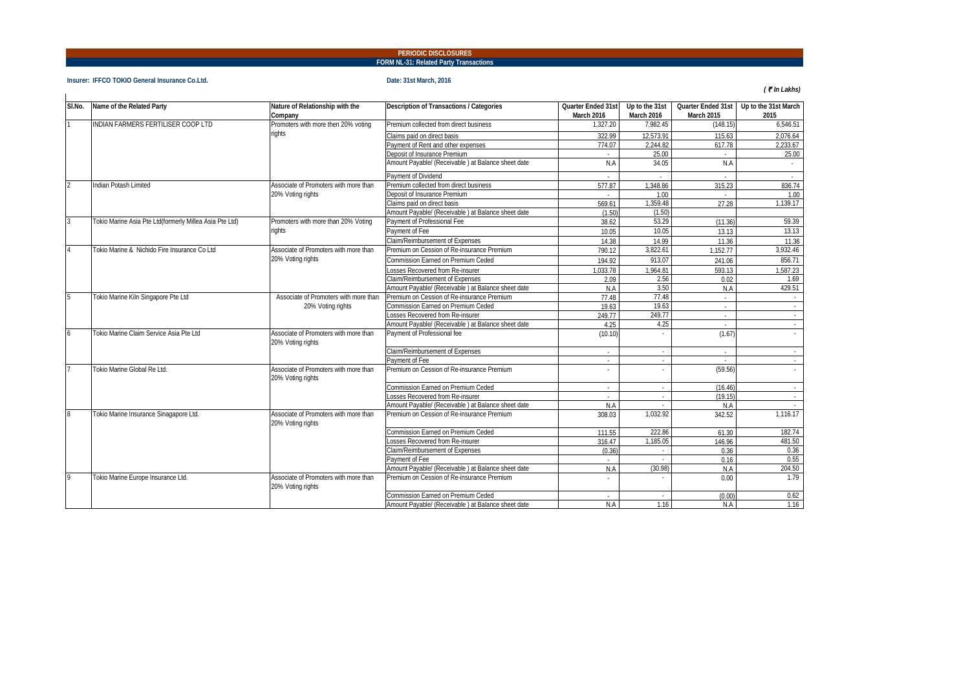### **FORM NL-31: Related Party Transactions PERIODIC DISCLOSURES**

#### **Insurer: IFFCO TOKIO General Insurance Co.Ltd. Date: 31st March, 2016**

|  | (₹In Lakhs) |
|--|-------------|
|--|-------------|

| SI.No.         | Name of the Related Party                               | Nature of Relationship with the                            | Description of Transactions / Categories           | Quarter Ended 31st | Up to the 31st           |            | Quarter Ended 31st Up to the 31st March |
|----------------|---------------------------------------------------------|------------------------------------------------------------|----------------------------------------------------|--------------------|--------------------------|------------|-----------------------------------------|
|                |                                                         | Company                                                    |                                                    | March 2016         | March 2016               | March 2015 | 2015                                    |
|                | INDIAN FARMERS FERTILISER COOP LTD                      | Promoters with more then 20% voting                        | Premium collected from direct business             | 1,327.20           | 7.982.45                 | (148.15)   | 6.546.51                                |
|                |                                                         | riahts                                                     | Claims paid on direct basis                        | 322.99             | 12,573.91                | 115.63     | 2,076.64                                |
|                |                                                         |                                                            | Payment of Rent and other expenses                 | 774.07             | 2.244.82                 | 617.78     | 2.233.67                                |
|                |                                                         |                                                            | Deposit of Insurance Premium                       |                    | 25.00                    |            | 25.00                                   |
|                |                                                         |                                                            | Amount Payable/ (Receivable) at Balance sheet date | N.A                | 34.05                    | N.A        |                                         |
|                |                                                         |                                                            | Payment of Dividend                                |                    |                          |            |                                         |
|                | Indian Potash Limited                                   | Associate of Promoters with more than                      | Premium collected from direct business             | 577.87             | 1.348.86                 | 315.23     | 836.74                                  |
|                |                                                         | 20% Voting rights                                          | Deposit of Insurance Premium                       |                    | 1.00                     |            | 1.00                                    |
|                |                                                         |                                                            | Claims paid on direct basis                        | 569.61             | 1,359.48                 | 27.28      | 1,139.17                                |
|                |                                                         |                                                            | Amount Payable/ (Receivable) at Balance sheet date | (1.50)             | (1.50)                   |            |                                         |
| 3              | Tokio Marine Asia Pte Ltd(formerly Millea Asia Pte Ltd) | Promoters with more than 20% Voting                        | Payment of Professional Fee                        | 38.62              | 53.29                    | (11.36)    | 59.39                                   |
|                |                                                         | rights                                                     | Payment of Fee                                     | 10.05              | 10.05                    | 13.13      | 13.13                                   |
|                |                                                         |                                                            | Claim/Reimbursement of Expenses                    | 14.38              | 14.99                    | 11.36      | 11.36                                   |
| $\overline{A}$ | Tokio Marine & Nichido Fire Insurance Co Ltd            | Associate of Promoters with more than                      | Premium on Cession of Re-insurance Premium         | 790.12             | 3,822.61                 | 1.152.77   | 3,932.46                                |
|                |                                                         | 20% Voting rights                                          | Commission Earned on Premium Ceded                 | 194.92             | 913.07                   | 241.06     | 856.71                                  |
|                |                                                         |                                                            | Losses Recovered from Re-insurer                   | 1.033.78           | 1,964.81                 | 593.13     | 1,587.23                                |
|                |                                                         |                                                            | Claim/Reimbursement of Expenses                    | 2.09               | 2.56                     | 0.02       | 1.69                                    |
|                |                                                         |                                                            | Amount Pavable/ (Receivable) at Balance sheet date | N.A                | 3.50                     | N.A        | 429.51                                  |
| 5              | Tokio Marine Kiln Singapore Pte Ltd                     | Associate of Promoters with more than                      | Premium on Cession of Re-insurance Premium         | 77.48              | 77.48                    |            |                                         |
|                |                                                         | 20% Voting rights                                          | Commission Earned on Premium Ceded                 | 19.63              | 19.63                    |            |                                         |
|                |                                                         |                                                            | Losses Recovered from Re-insurer                   | 249.77             | 249.77                   | $\sim$     | $\sim$                                  |
|                |                                                         |                                                            | Amount Payable/ (Receivable) at Balance sheet date | 4.25               | 4.25                     |            | $\sim$                                  |
| 6              | Tokio Marine Claim Service Asia Pte Ltd                 | Associate of Promoters with more than<br>20% Voting rights | Payment of Professional fee                        | (10.10)            |                          | (1.67)     |                                         |
|                |                                                         |                                                            | Claim/Reimbursement of Expenses                    |                    | $\sim$                   |            |                                         |
|                |                                                         |                                                            | Payment of Fee                                     | $\sim$             | $\sim$                   |            | $\sim$                                  |
|                | Tokio Marine Global Re Ltd.                             | Associate of Promoters with more than<br>20% Voting rights | Premium on Cession of Re-insurance Premium         |                    | $\overline{\phantom{a}}$ | (59.56)    |                                         |
|                |                                                         |                                                            | Commission Earned on Premium Ceded                 | $\sim$             | $\sim$                   | (16.46)    | $\sim$                                  |
|                |                                                         |                                                            | Losses Recovered from Re-insurer                   |                    | $\sim$                   | (19.15)    |                                         |
|                |                                                         |                                                            | Amount Payable/ (Receivable) at Balance sheet date | N.A                | ÷                        | N.A        |                                         |
| 8              | Tokio Marine Insurance Sinagapore Ltd.                  | Associate of Promoters with more than<br>20% Voting rights | Premium on Cession of Re-insurance Premium         | 308.03             | 1.032.92                 | 342.52     | 1,116.17                                |
|                |                                                         |                                                            | Commission Earned on Premium Ceded                 | 111.55             | 222.86                   | 61.30      | 182.74                                  |
|                |                                                         |                                                            | Losses Recovered from Re-insurer                   | 316.47             | 1.185.05                 | 146.96     | 481.50                                  |
|                |                                                         |                                                            | Claim/Reimbursement of Expenses                    | (0.36)             | $\sim$                   | 0.36       | 0.36                                    |
|                |                                                         |                                                            | Payment of Fee                                     |                    |                          | 0.16       | 0.55                                    |
|                |                                                         |                                                            | Amount Payable/ (Receivable) at Balance sheet date | N.A                | (30.98)                  | N.A        | 204.50                                  |
| 19             | Tokio Marine Europe Insurance Ltd.                      | Associate of Promoters with more than<br>20% Voting rights | Premium on Cession of Re-insurance Premium         |                    |                          | 0.00       | 1.79                                    |
|                |                                                         |                                                            | Commission Earned on Premium Ceded                 |                    |                          | (0.00)     | 0.62                                    |
|                |                                                         |                                                            | Amount Payable/ (Receivable) at Balance sheet date | N.A                | 1.16                     | N.A        | 1.16                                    |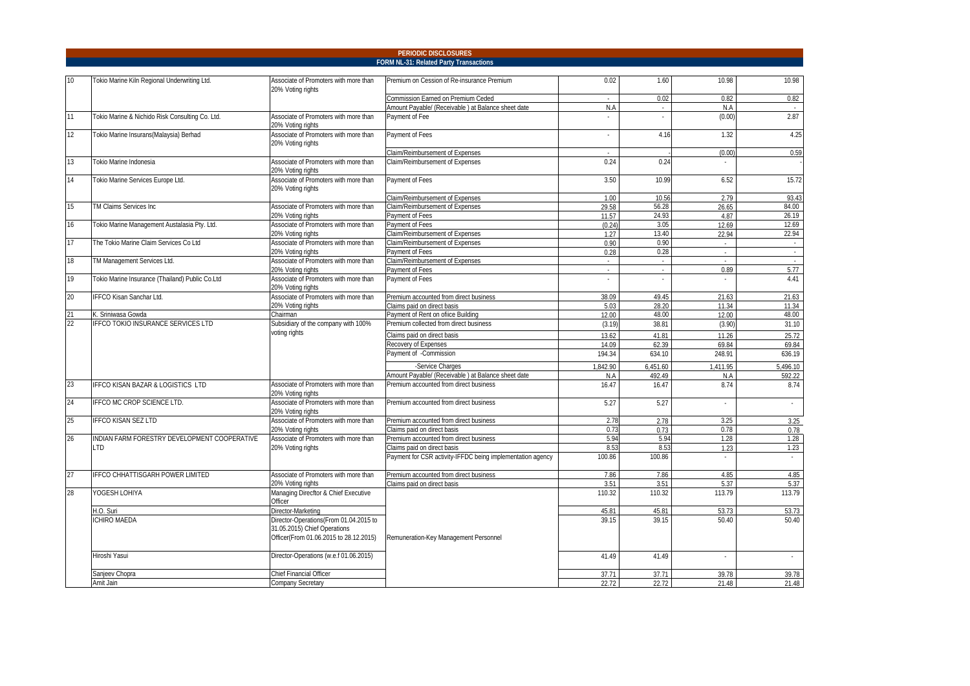|    |                                                 |                                                                                                                  | <b>PERIODIC DISCLOSURES</b>                                           |                 |                    |                |                    |
|----|-------------------------------------------------|------------------------------------------------------------------------------------------------------------------|-----------------------------------------------------------------------|-----------------|--------------------|----------------|--------------------|
|    |                                                 |                                                                                                                  | FORM NL-31: Related Party Transactions                                |                 |                    |                |                    |
| 10 | Tokio Marine Kiln Regional Underwriting Ltd.    | Associate of Promoters with more than<br>20% Voting rights                                                       | Premium on Cession of Re-insurance Premium                            | 0.02            | 1.60               | 10.98          | 10.98              |
|    |                                                 |                                                                                                                  | Commission Earned on Premium Ceded                                    |                 | 0.02               | 0.82           | 0.82               |
|    |                                                 |                                                                                                                  | Amount Payable/ (Receivable) at Balance sheet date                    | N.A             | $\sim$             | N.A            |                    |
| 11 | Tokio Marine & Nichido Risk Consulting Co. Ltd. | Associate of Promoters with more than<br>20% Voting rights                                                       | Payment of Fee                                                        | ÷               | ÷                  | (0.00)         | 2.87               |
| 12 | Tokio Marine Insurans(Malaysia) Berhad          | Associate of Promoters with more than<br>20% Voting rights                                                       | Payment of Fees                                                       |                 | 4.16               | 1.32           | 4.25               |
|    |                                                 |                                                                                                                  | Claim/Reimbursement of Expenses                                       |                 |                    | (0.00)         | 0.59               |
| 13 | Tokio Marine Indonesia                          | Associate of Promoters with more than<br>20% Voting rights                                                       | Claim/Reimbursement of Expenses                                       | 0.24            | 0.24               |                |                    |
| 14 | Tokio Marine Services Europe Ltd.               | Associate of Promoters with more than<br>20% Voting rights                                                       | Payment of Fees                                                       | 3.50            | 10.99              | 6.52           | 15.72              |
|    |                                                 |                                                                                                                  | Claim/Reimbursement of Expenses                                       | 1.00            | 10.56              | 2.79           | 93.43              |
| 15 | TM Claims Services Inc                          | Associate of Promoters with more than                                                                            | Claim/Reimbursement of Expenses                                       | 29.58           | 56.28              | 26.65          | 84.00              |
|    |                                                 | 20% Voting rights                                                                                                | Payment of Fees                                                       | 11.57           | 24.93              | 4.87           | 26.19              |
| 16 | Tokio Marine Management Austalasia Pty. Ltd.    | Associate of Promoters with more than                                                                            | Payment of Fees                                                       | (0.24)          | 3.05               | 12.69          | 12.69              |
|    |                                                 | 20% Voting rights                                                                                                | Claim/Reimbursement of Expenses                                       | 1.27            | 13.40              | 22.94          | 22.94              |
| 17 | The Tokio Marine Claim Services Co Ltd          | Associate of Promoters with more than<br>20% Voting rights                                                       | Claim/Reimbursement of Expenses<br>Payment of Fees                    | 0.90<br>0.28    | 0.90<br>0.28       |                |                    |
| 18 | TM Management Services Ltd.                     | Associate of Promoters with more than                                                                            | Claim/Reimbursement of Expenses                                       |                 | $\sim$             | $\sim$         | $\sim$             |
|    |                                                 | 20% Voting rights                                                                                                | Payment of Fees                                                       | ä,              | $\omega$           | 0.89           | 5.77               |
| 19 | Tokio Marine Insurance (Thailand) Public Co.Ltd | Associate of Promoters with more than<br>20% Voting rights                                                       | Payment of Fees                                                       |                 |                    |                | 4.41               |
| 20 | IFFCO Kisan Sanchar Ltd.                        | Associate of Promoters with more than                                                                            | Premium accounted from direct business                                | 38.09           | 49.45              | 21.63          | 21.63              |
|    |                                                 | 20% Voting rights                                                                                                | Claims paid on direct basis                                           | 5.03            | 28.20              | 11.34          | 11.34              |
| 21 | K. Sriniwasa Gowda                              | Chairman                                                                                                         | Payment of Rent on ofiice Building                                    | 12.00           | 48.00              | 12.00          | 48.00              |
| 22 | <b>IFFCO TOKIO INSURANCE SERVICES LTD</b>       | Subsidiary of the company with 100%                                                                              | Premium collected from direct business                                | (3.19)          | 38.81              | (3.90)         | 31.10              |
|    |                                                 | voting rights                                                                                                    | Claims paid on direct basis                                           | 13.62           | 41.81              | 11.26          | 25.72              |
|    |                                                 |                                                                                                                  | Recovery of Expenses                                                  | 14.09           | 62.39              | 69.84          | 69.84              |
|    |                                                 |                                                                                                                  | Payment of -Commission                                                | 194.34          | 634.10             | 248.91         | 636.19             |
|    |                                                 |                                                                                                                  | -Service Charges                                                      |                 |                    | 1.411.95       |                    |
|    |                                                 |                                                                                                                  | Amount Payable/ (Receivable) at Balance sheet date                    | 1.842.90<br>N.A | 6,451.60<br>492.49 | N.A            | 5,496.10<br>592.22 |
| 23 | IFFCO KISAN BAZAR & LOGISTICS LTD               | Associate of Promoters with more than                                                                            | Premium accounted from direct business                                | 16.47           | 16.47              | 8.74           | 8.74               |
| 24 | IFFCO MC CROP SCIENCE LTD.                      | 20% Voting rights<br>Associate of Promoters with more than                                                       | Premium accounted from direct business                                | 5.27            |                    |                |                    |
|    |                                                 | 20% Voting rights                                                                                                |                                                                       |                 | 5.27               |                | $\sim$             |
| 25 | <b>IFFCO KISAN SEZ LTD</b>                      | Associate of Promoters with more than<br>20% Votina riahts                                                       | Premium accounted from direct business<br>Claims paid on direct basis | 2.78<br>0.73    | 2.78<br>0.73       | 3.25<br>0.78   | 3.25<br>0.78       |
| 26 | INDIAN FARM FORESTRY DEVELOPMENT COOPERATIVE    | Associate of Promoters with more than                                                                            | Premium accounted from direct business                                | 5.94            | 5.94               | 1.28           | 1.28               |
|    | <b>LTD</b>                                      | 20% Voting rights                                                                                                | Claims paid on direct basis                                           | 8.53            | 8.53               | 1.23           | 1.23               |
|    |                                                 |                                                                                                                  | Payment for CSR activity-IFFDC being implementation agency            | 100.86          | 100.86             |                |                    |
| 27 | IFFCO CHHATTISGARH POWER LIMITED                | Associate of Promoters with more than                                                                            | Premium accounted from direct business                                | 7.86            | 7.86               | 4.85           | 4.85               |
|    |                                                 | 20% Voting rights                                                                                                | Claims paid on direct basis                                           | 3.51            | 3.51               | 5.37           | 5.37               |
| 28 | YOGESH LOHIYA                                   | Managing Direcftor & Chief Executive<br>Officer                                                                  |                                                                       | 110.32          | 110.32             | 113.79         | 113.79             |
|    | H.O. Suri                                       | Director-Marketing                                                                                               |                                                                       | 45.81           | 45.81              | 53.73          | 53.73              |
|    | <b>ICHIRO MAEDA</b>                             | Director-Operations(From 01.04.2015 to<br>31.05.2015) Chief Operations<br>Officer(From 01.06.2015 to 28.12.2015) | Remuneration-Key Management Personnel                                 | 39.15           | 39.15              | 50.40          | 50.40              |
|    | Hiroshi Yasui                                   | Director-Operations (w.e.f 01.06.2015)                                                                           |                                                                       | 41.49           | 41.49              | $\sim$         | $\sim$             |
|    |                                                 |                                                                                                                  |                                                                       |                 |                    |                |                    |
|    | Sanjeev Chopra<br>Amit Jain                     | Chief Financial Officer<br>Company Secretary                                                                     |                                                                       | 37.71<br>22.72  | 37.71<br>22.72     | 39.78<br>21.48 | 39.78<br>21.48     |
|    |                                                 |                                                                                                                  |                                                                       |                 |                    |                |                    |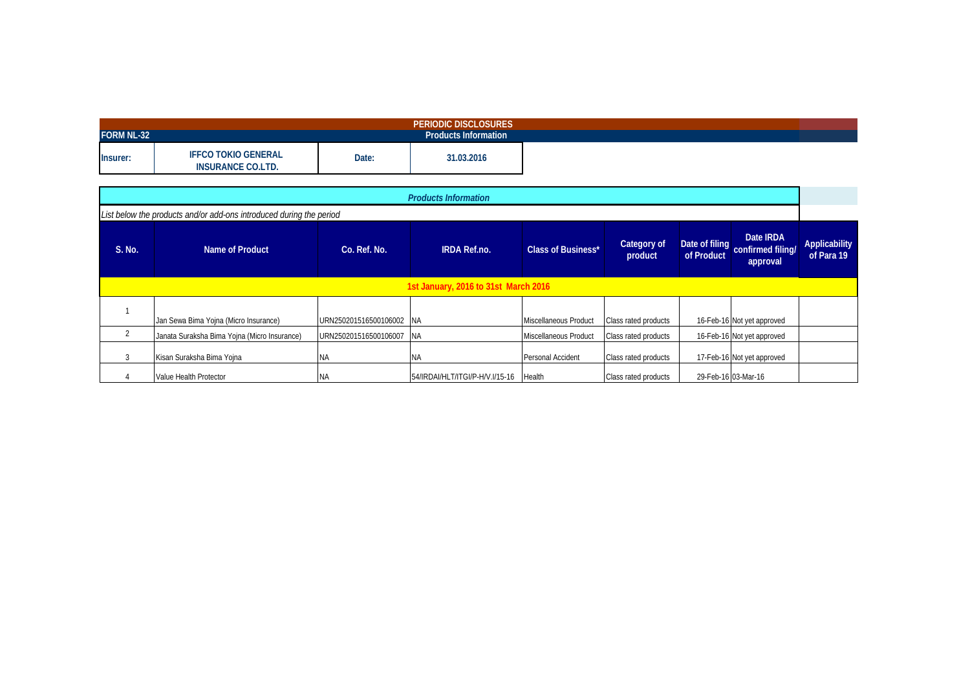| <b>FORM NL-32</b> |                                                        |       | PERIODIC DISCLOSURES<br><b>Products Information</b> |
|-------------------|--------------------------------------------------------|-------|-----------------------------------------------------|
|                   | <b>IFFCO TOKIO GENERAL</b><br><b>INSURANCE CO.LTD.</b> | Date: | 31.03.2016                                          |

|                                      | <b>Products Information</b>                                         |                       |                                 |                           |                             |                              |                                            |                             |  |  |  |  |  |  |  |
|--------------------------------------|---------------------------------------------------------------------|-----------------------|---------------------------------|---------------------------|-----------------------------|------------------------------|--------------------------------------------|-----------------------------|--|--|--|--|--|--|--|
|                                      | List below the products and/or add-ons introduced during the period |                       |                                 |                           |                             |                              |                                            |                             |  |  |  |  |  |  |  |
| S. No.                               | Name of Product                                                     | Co. Ref. No.          | <b>IRDA Ref.no.</b>             | <b>Class of Business*</b> | Category of<br>product      | Date of filing<br>of Product | Date IRDA<br>confirmed filing/<br>approval | Applicability<br>of Para 19 |  |  |  |  |  |  |  |
| 1st January, 2016 to 31st March 2016 |                                                                     |                       |                                 |                           |                             |                              |                                            |                             |  |  |  |  |  |  |  |
|                                      | Jan Sewa Bima Yojna (Micro Insurance)                               | URN250201516500106002 | <b>INA</b>                      | Miscellaneous Product     | Class rated products        |                              | 16-Feb-16 Not yet approved                 |                             |  |  |  |  |  |  |  |
|                                      | Janata Suraksha Bima Yojna (Micro Insurance)                        | URN250201516500106007 | <b>INA</b>                      | Miscellaneous Product     | Class rated products        |                              | 16-Feb-16 Not yet approved                 |                             |  |  |  |  |  |  |  |
|                                      | Kisan Suraksha Bima Yojna                                           | <b>NA</b>             | ΝA                              | Personal Accident         | Class rated products        |                              | 17-Feb-16 Not yet approved                 |                             |  |  |  |  |  |  |  |
|                                      | Value Health Protector                                              | <b>NA</b>             | 54/IRDAI/HLT/ITGI/P-H/V.I/15-16 | Health                    | <b>Class rated products</b> |                              | 29-Feb-16 03-Mar-16                        |                             |  |  |  |  |  |  |  |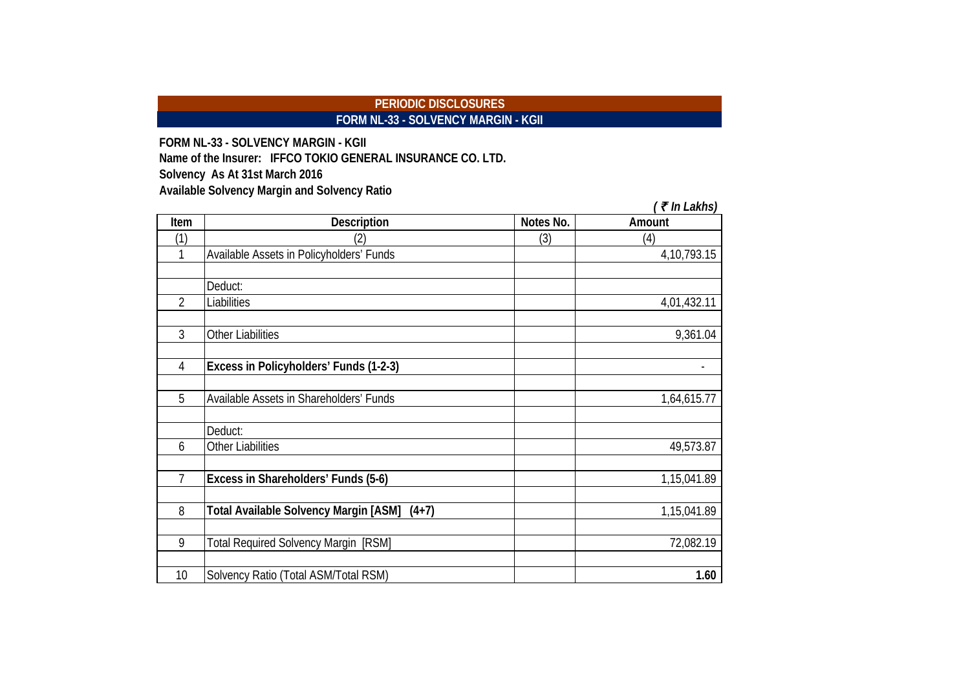### **PERIODIC DISCLOSURES FORM NL-33 - SOLVENCY MARGIN - KGII**

**FORM NL-33 - SOLVENCY MARGIN - KGII Solvency As At 31st March 2016 Available Solvency Margin and Solvency Ratio Name of the Insurer: IFFCO TOKIO GENERAL INSURANCE CO. LTD.**

|                |                                                  |           | $($ ₹ In Lakhs) |
|----------------|--------------------------------------------------|-----------|-----------------|
| Item           | <b>Description</b>                               | Notes No. | Amount          |
| (1)            | (2)                                              | (3)       | (4)             |
| 1              | Available Assets in Policyholders' Funds         |           | 4, 10, 793. 15  |
|                |                                                  |           |                 |
|                | Deduct:                                          |           |                 |
| $\overline{2}$ | Liabilities                                      |           | 4,01,432.11     |
| 3              | <b>Other Liabilities</b>                         |           | 9,361.04        |
| $\overline{4}$ | Excess in Policyholders' Funds (1-2-3)           |           |                 |
| 5              | Available Assets in Shareholders' Funds          |           | 1,64,615.77     |
|                | Deduct:                                          |           |                 |
| 6              | <b>Other Liabilities</b>                         |           | 49,573.87       |
| 7              | Excess in Shareholders' Funds (5-6)              |           | 1,15,041.89     |
|                |                                                  |           |                 |
| 8              | Total Available Solvency Margin [ASM]<br>$(4+7)$ |           | 1,15,041.89     |
| 9              | Total Required Solvency Margin [RSM]             |           | 72,082.19       |
| 10             | Solvency Ratio (Total ASM/Total RSM)             |           | 1.60            |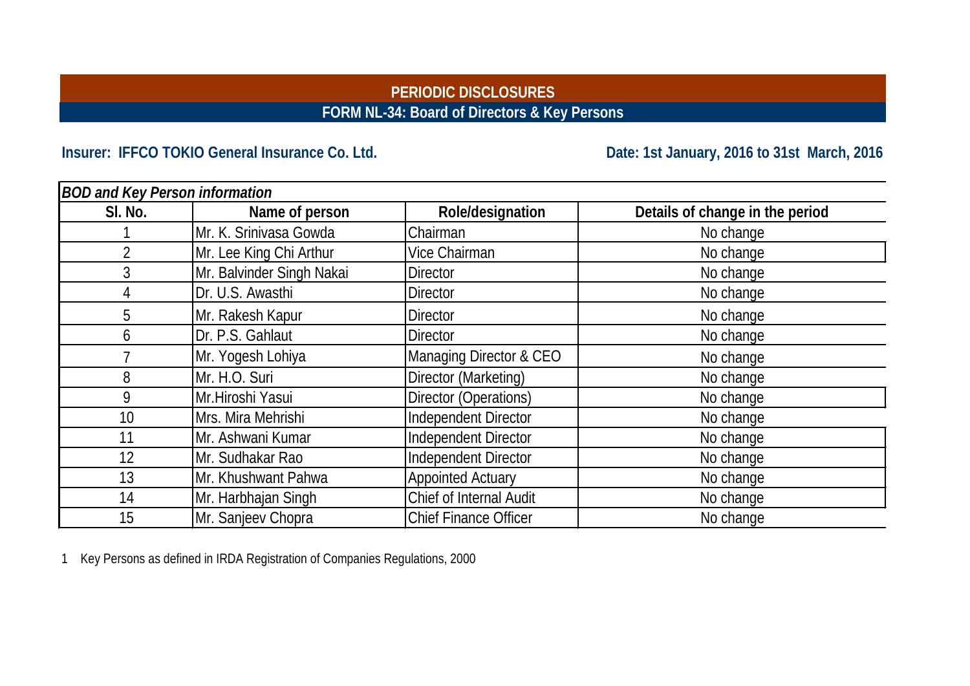# **PERIODIC DISCLOSURES FORM NL-34: Board of Directors & Key Persons**

# Insurer: IFFCO TOKIO General Insurance Co. Ltd. **Date: 1st January, 2016** to 31st March, 2016

| <b>BOD and Key Person information</b> |                           |                              |                                 |
|---------------------------------------|---------------------------|------------------------------|---------------------------------|
| SI. No.                               | Name of person            | Role/designation             | Details of change in the period |
|                                       | Mr. K. Srinivasa Gowda    | Chairman                     | No change                       |
| $\overline{2}$                        | Mr. Lee King Chi Arthur   | Vice Chairman                | No change                       |
| 3                                     | Mr. Balvinder Singh Nakai | <b>Director</b>              | No change                       |
|                                       | Dr. U.S. Awasthi          | <b>Director</b>              | No change                       |
| 5                                     | Mr. Rakesh Kapur          | <b>Director</b>              | No change                       |
| 6                                     | Dr. P.S. Gahlaut          | <b>Director</b>              | No change                       |
|                                       | Mr. Yogesh Lohiya         | Managing Director & CEO      | No change                       |
| 8                                     | Mr. H.O. Suri             | Director (Marketing)         | No change                       |
| 9                                     | Mr.Hiroshi Yasui          | Director (Operations)        | No change                       |
| 10                                    | Mrs. Mira Mehrishi        | Independent Director         | No change                       |
| 11                                    | Mr. Ashwani Kumar         | Independent Director         | No change                       |
| 12                                    | Mr. Sudhakar Rao          | Independent Director         | No change                       |
| 13                                    | Mr. Khushwant Pahwa       | <b>Appointed Actuary</b>     | No change                       |
| 14                                    | Mr. Harbhajan Singh       | Chief of Internal Audit      | No change                       |
| 15                                    | Mr. Sanjeev Chopra        | <b>Chief Finance Officer</b> | No change                       |

1 Key Persons as defined in IRDA Registration of Companies Regulations, 2000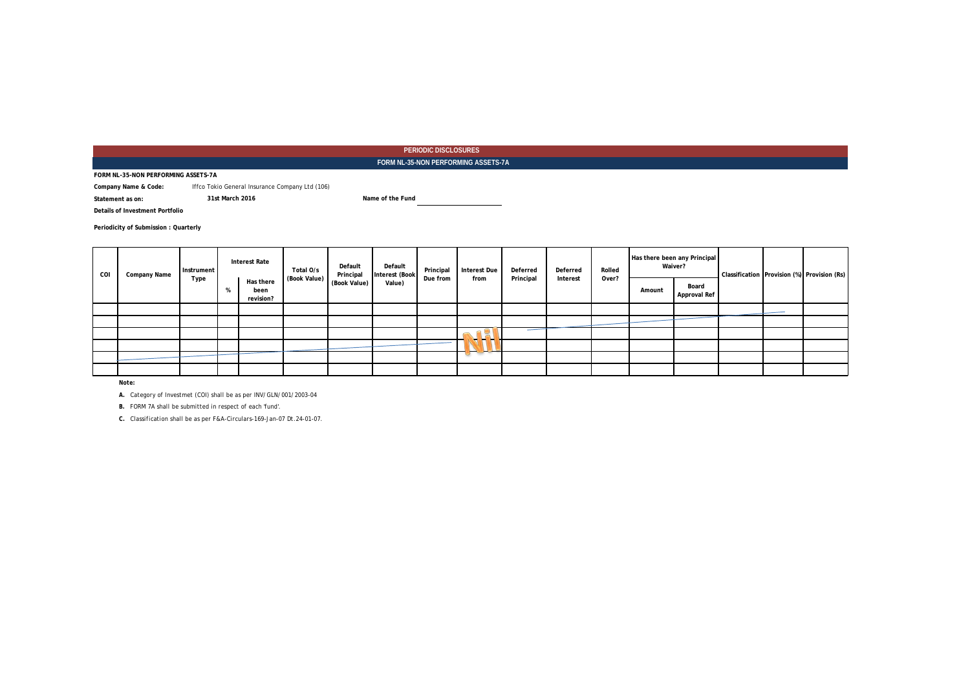#### **PERIODIC DISCLOSURES FORM NL-35-NON PERFORMING ASSETS-7A**

**FORM NL-35-NON PERFORMING ASSETS-7A**

**Company Name & Code:** Iffco Tokio General Insurance Company Ltd (106)

**31st March 2016**

**Statement as on:**

**Name of the Fund**

**Details of Investment Portfolio**

**Periodicity of Submission : Quarterly**

| COI | Company Name |  | Instrument<br>Type |                                | <b>Interest Rate</b> | Total O/s    | Default<br>Principal | Default<br>Interest (Book | Principal                          | <b>Interest Due</b> | Deferred | Deferred | Rolled |                       | Has there been any Principal<br>Waiver? |  | Classification Provision (%) Provision (Rs) |
|-----|--------------|--|--------------------|--------------------------------|----------------------|--------------|----------------------|---------------------------|------------------------------------|---------------------|----------|----------|--------|-----------------------|-----------------------------------------|--|---------------------------------------------|
|     |              |  | -70                | Has there<br>been<br>revision? | (Book Value)         | (Book Value) | Value)               | Due from                  | from                               | Principal           | Interest | Over?    | Amount | Board<br>Approval Ref |                                         |  |                                             |
|     |              |  |                    |                                |                      |              |                      |                           |                                    |                     |          |          |        |                       |                                         |  |                                             |
|     |              |  |                    |                                |                      |              |                      |                           |                                    |                     |          |          |        |                       |                                         |  |                                             |
|     |              |  |                    |                                |                      |              |                      |                           | ー<br>$\overline{\phantom{a}}$      |                     |          |          |        |                       |                                         |  |                                             |
|     |              |  |                    |                                |                      |              |                      |                           |                                    |                     |          |          |        |                       |                                         |  |                                             |
|     |              |  |                    |                                |                      |              |                      |                           | $\overline{\phantom{0}}$<br>$\sim$ |                     |          |          |        |                       |                                         |  |                                             |
|     |              |  |                    |                                |                      |              |                      |                           |                                    |                     |          |          |        |                       |                                         |  |                                             |

*Note:*

*A. Category of Investmet (COI) shall be as per INV/GLN/001/2003-04*

*B. FORM 7A shall be submitted in respect of each 'fund'.*

*C. Classification shall be as per F&A-Circulars-169-Jan-07 Dt.24-01-07.*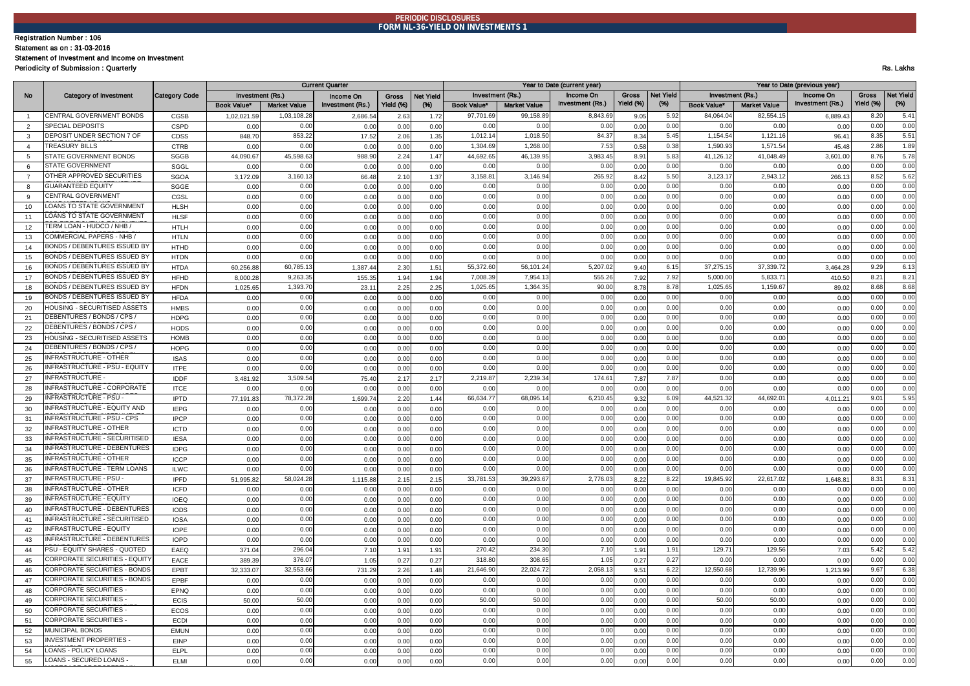#### **PERIODIC DISCLOSURES FORM NL-36-YIELD ON INVESTMENTS 1**

#### Registration Number : 106

Statement as on : 31-03-2016

#### Statement of Investment and Income on Investment

Periodicity of Submission : Quarterly Rs. Lakhs

|                |                                                                     |               |                    |                     | <b>Current Quarter</b> |              |                  |              |                     | Year to Date (current year) |           |              | Year to Date (previous year) |                     |                  |              |                  |  |  |  |
|----------------|---------------------------------------------------------------------|---------------|--------------------|---------------------|------------------------|--------------|------------------|--------------|---------------------|-----------------------------|-----------|--------------|------------------------------|---------------------|------------------|--------------|------------------|--|--|--|
| No             | <b>Category of Investment</b>                                       | Category Code |                    | Investment (Rs.)    | Income On              | <b>Gross</b> | <b>Net Yield</b> |              | Investment (Rs.)    | Income On                   | Gross     | Net Yield    | Investment (Rs.)             |                     | Income On        | Gross        | <b>Vet Yield</b> |  |  |  |
|                |                                                                     |               | <b>Book Value*</b> | <b>Market Value</b> | Investment (Rs.)       | Yield (%)    | $(\%)$           | Book Value*  | <b>Market Value</b> | Investment (Rs.)            | Yield (%) | $(\%)$       | <b>Book Value*</b>           | <b>Market Value</b> | Investment (Rs.) | Yield (%)    | $(% )^{(1)}$     |  |  |  |
| $\overline{1}$ | CENTRAL GOVERNMENT BONDS                                            | CGSB          | 1,02,021.5         | 1.03.108.2          | 2,686.5                | 2.63         | 1.72             | 97.701.6     | 99.158.8            | 8.843.6                     | 9.05      | 5.92         | 84.064.04                    | 82.554.1            | 6,889.4          | 8.20         | 5.41             |  |  |  |
| 2              | SPECIAL DEPOSITS                                                    | <b>CSPD</b>   | 0.00               | 0.00                | 0.00                   | 0.00         | 0.00             | 0.00         | 0.00                | 0.00                        | 0.00      | 0.00         | 0 <sub>0</sub>               | 0.00                | 0.00             | 0.00         | 0.00             |  |  |  |
| 3              | DEPOSIT UNDER SECTION 7 OF                                          | CDSS          | 848.70             | 853.22              | 17.52                  | 2.06         | 1.35             | 1,012.14     | 1,018.5             | 84.37                       | 8.34      | 5.45         | 1,154.54                     | 1,121.16            | 96.4             | 8.35         | 5.51             |  |  |  |
| $\overline{4}$ | <b>TREASURY BILLS</b>                                               | <b>CTRB</b>   | 0.00               | 0.00                | 0.00                   | 0.00         | 0.00             | 1,304.69     | 1,268.00            | 7.53                        | 0.58      | 0.38         | 1,590.93                     | 1,571.5             | 45.48            | 2.86         | 1.89             |  |  |  |
| -5             | STATE GOVERNMENT BONDS                                              | <b>SGGB</b>   | 44,090.67          | 45,598.63           | 988.9                  | 2.24         | 1.47             | 44,692.65    | 46,139.95           | 3,983.45                    | 8.91      | 5.83         | 41,126.12                    | 41,048.4            | 3,601.00         | 8.76         | 5.78             |  |  |  |
| 6              | <b>STATE GOVERNMENT</b>                                             | SGGL          | 0.00               | 0.00                | 0.00                   | 0.00         | 0.00             | 0.00         | 0.00                | 0.00                        | 0.00      | 0.00         | 0.00                         | 0.00                | 0.00             | 0.00         | 0.00             |  |  |  |
| $\overline{7}$ | OTHER APPROVED SECURITIES                                           | <b>SGOA</b>   | 3,172.09           | 3,160.13            | 66.48                  | 2.10         | 1.37             | 3.158.8      | 3,146.9             | 265.92                      | 8.42      | 5.50         | 3,123.1                      | 2.943.1             | 266.13           | 8.52         | 5.62             |  |  |  |
| 8              | <b>GUARANTEED EQUITY</b>                                            | SGGE          | 0.00               | 0.00                | 0.00                   | 0.00         | 0.00             | 0.00         | 0.00                | 0.00                        | 0.00      | 0.00         | 0.00                         | 0.00                | 0.00             | 0.00         | 0.00             |  |  |  |
| $\mathbf{Q}$   | CENTRAL GOVERNMEN <sup>®</sup>                                      | CGSL          | 0.00               | 0.00                | 0.00                   | 0.00         | 0.00             | 0.00         | 0.00                | 0.00                        | 0.00      | 0.00         | 0.00                         | 0.00                | 0.00             | 0.00         | 0.00             |  |  |  |
| 10             | LOANS TO STATE GOVERNMENT                                           | <b>HLSH</b>   | 0.00               | 0.00                | 0.00                   | 0.00         | 0.00             | 0.00         | 0.00                | 0.00                        | 0.00      | 0.00         | 0.00                         | 0.00                | 0.00             | 0.00         | 0.00             |  |  |  |
| 11             | LOANS TO STATE GOVERNMENT                                           | <b>HLSF</b>   | 0.00               | 0.00                | 0.00                   | 0.00         | 0.00             | 0.00         | 0.00                | 0.00                        | 0.00      | 0.00         | 0.00                         | 0.00                | 0.00             | 0.00         | 0.00             |  |  |  |
| 12             | <b>FERM LOAN - HUDCO / NHB</b>                                      | <b>HTLH</b>   | 0.00               | 0.00                | 0.00                   | 0.00         | 0.00             | 0.00         | 0.00                | 0.00                        | 0.00      | 0.00         | 0.00                         | 0.00                | 0.00             | 0.00         | 0.00             |  |  |  |
| 13             | COMMERCIAL PAPERS - NHB                                             | <b>HTLN</b>   | 0.00               | 0.00                | 0.00                   | 0.00         | 0.00             | 0.00         | 0.00                | 0.00                        | 0.00      | 0.00         | 0.00                         | 0.00                | 0.00             | 0.00         | 0.00             |  |  |  |
| 14             | BONDS / DEBENTURES ISSUED BY                                        | <b>HTHD</b>   | 0.00               | 0.00                | 0.00                   | 0.00         | 0.00             | 0.00         | 0.00                | 0.00                        | 0.00      | 0.00         | 0.00                         | 0.00                | 0.00             | 0.00         | 0.00             |  |  |  |
| 15             | BONDS / DEBENTURES ISSUED BY                                        | <b>HTDN</b>   | 0.00               | 0.00                | 0.00                   | 0.00         | 0.00             | 0.00         | 0.00                | 0.00                        | 0.00      | 0.00         | 0.00                         | 0.00                | 0.00             | 0.00         | 0.00             |  |  |  |
| 16             | BONDS / DEBENTURES ISSUED BY                                        | <b>HTDA</b>   | 60,256.88          | 60,785.13           | 1,387.4                | 2.30         | 1.51             | 55,372.60    | 56,101.24           | 5,207.02                    | 9.40      | 6.15         | 37,275.15                    | 37,339.72           | 3.464.28         | 9.29         | 6.13             |  |  |  |
| 17             | BONDS / DEBENTURES ISSUED BY                                        | <b>HFHD</b>   | 8.000.28           | 9,263.35            | 155.3                  | 1.94         | 1.94             | 7,008.39     | 7,954.1             | 555.26                      | 7.92      | 7.92         | 5,000.00                     | 5,833.7'            | 410.50           | 8.21         | 8.21             |  |  |  |
| 18             | BONDS / DEBENTURES ISSUED BY                                        | <b>HFDN</b>   | 1,025.65           | 1,393.70            | 23.1                   | 2.25         | 2.25             | 1,025.6      | 1,364.3             | 90.00                       | 8.78      | 8.78         | 1,025.65                     | 1,159.6             | 89.02            | 8.68         | 8.68             |  |  |  |
| 19             | BONDS / DEBENTURES ISSUED BY                                        | <b>HFDA</b>   | 0.00               | 0.00                | 0.00                   | 0.00         | 0.00             | 0.00         | 0.00                | 0.00                        | 0.00      | 0.00         | 0.00                         | 0.00                | 0.00             | 0.00         | 0.00             |  |  |  |
| 20             | HOUSING - SECURITISED ASSETS                                        | <b>HMBS</b>   | 0.00               | 0.00                | 0.00                   | 0.00         | 0.00             | 0.00         | 0.00                | 0.00                        | 0.00      | 0.00         | 0.00                         | 0.00                | 0.00             | 0.00         | 0.00             |  |  |  |
| 21             | DEBENTURES / BONDS / CPS.                                           | <b>HDPG</b>   | 0.00               | 0.00                | 0.00                   | 0.00         | 0.00             | 0.00         | 0.00                | 0.00                        | 0.00      | 0.00         | 0.00                         | 0.00                | 0.00             | 0.00         | 0.00             |  |  |  |
| 22             | DEBENTURES / BONDS / CPS /                                          | <b>HODS</b>   | 0.00               | 0.00                | 0.00                   | 0.00         | 0.00             | 0.00         | 0.00                | 0.00                        | 0.00      | 0.00         | 0.00                         | 0.00                | 0.00             | 0.00         | 0.00             |  |  |  |
| 23             | HOUSING - SECURITISED ASSETS                                        | <b>HOMB</b>   | 0.00               | 0.00                | 0.00                   | 0.00         | 0.00             | 0.00         | 0.00                | 0.00                        | 0.00      | 0.00         | 0.00                         | 0.00                | 0.00             | 0.00         | 0.00             |  |  |  |
| 24             | DEBENTURES / BONDS / CPS.                                           | <b>HOPG</b>   | 0.00               | 0.00                | 0.00                   | 0.00         | 0.00             | 0.00         | 0.00                | 0.00                        | 0.00      | 0.00         | 0.00                         | 0.00                | 0.00             | 0.00         | 0.00             |  |  |  |
| 25             | <b>INFRASTRUCTURE - OTHER</b>                                       | <b>ISAS</b>   | 0.00               | 0.00                | 0.00                   | 0.00         | 0.00             | 0.00         | 0.00                | 0.00                        | 0.00      | 0.00         | 0.00                         | 0.00                | 0.00             | 0.00         | 0.00             |  |  |  |
| 26             | <b>INFRASTRUCTURE - PSU - EQUITY</b>                                | <b>ITPE</b>   | 0.00               | 0.00                | 0.00                   | 0.00         | 0.00             | 0.00         | 0.00                | 0.00                        | 0.00      | 0.00         | 0.00                         | 0.00                | 0.00             | 0.00         | 0.00             |  |  |  |
| 27             | INFRASTRUCTURE -                                                    | <b>IDDF</b>   | 3,481.92           | 3,509.54            | 75.4                   | 2.17         | 2.17             | 2,219.87     | 2,239.34            | 174.61                      | 7.87      | 7.87         | 0.00                         | 0.00                | 0.00             | 0.00         | 0.00             |  |  |  |
| 28             | INFRASTRUCTURE - CORPORATE                                          | <b>ITCE</b>   | 0.00               | 0.00                | 0.00                   | 0.00         | 0.00             | 0.00         | 0.00                | 0.00                        | 0.00      | 0.00         | 0.00                         | 0.00                | 0.00             | 0.00         | 0.00             |  |  |  |
| 29             | INFRASTRUCTURE - PSU                                                | <b>IPTD</b>   | 77,191.83          | 78,372.28           | 1,699.7                | 2.20         | 1.44             | 66,634.77    | 68,095.1            | 6,210.45                    | 9.32      | 6.09         | 44,521.32                    | 44,692.0            | 4,011.21         | 9.01         | 5.95             |  |  |  |
| 30             | INFRASTRUCTURE - EQUITY AND                                         | <b>IEPG</b>   | 0.00               | 0.00                | 0.00                   | 0.00         | 0.00             | 0.00         | 0.00                | 0.00                        | 0.00      | 0.00         | 0.00                         | 0.00                | 0.00             | 0.00         | 0.00             |  |  |  |
| 31             | INFRASTRUCTURE - PSU - CPS                                          | <b>IPCP</b>   | 0.00               | 0.00                | 0.00                   | 0.00         | 0.00             | 0.00         | 0.00                | 0.00                        | 0.00      | 0.00         | 0.00                         | 0.00                | 0.00             | 0.00         | 0.00             |  |  |  |
| 32             | <b>INFRASTRUCTURE - OTHER</b>                                       | <b>ICTD</b>   | 0.00               | 0.00                | 0.00                   | 0.00         | 0.00             | 0.00         | 0.00                | 0.00                        | 0.00      | 0.00         | 0.00                         | 0.00                | 0.00             | 0.00         | 0.00             |  |  |  |
| 33             | <b>INFRASTRUCTURE - SECURITISED</b>                                 | <b>IESA</b>   | 0.00               | 0.00                | 0.00                   | 0.00         | 0.00             | 0.00         | 0.00                | 0.00                        | 0.00      | 0.00         | 0.00                         | 0.00                | 0.00             | 0.00         | 0.00             |  |  |  |
| 34             | <b>INFRASTRUCTURE - DEBENTURES</b>                                  | <b>IDPG</b>   | 0.00               | 0.00                | 0.00                   | 0.00         | 0.00             | 0.00         | 0.00                | 0.00                        | 0.00      | 0.00         | 0.00                         | 0.00                | 0.00             | 0.00         | 0.00             |  |  |  |
| 35             | <b>INFRASTRUCTURE - OTHER</b>                                       | <b>ICCP</b>   | 0.00               | 0.00                | 0.00                   | 0.00         | 0.00             | 0.00         | 0.00                | 0.00                        | 0.00      | 0.00         | 0.00                         | 0.00                | 0.00             | 0.00         | 0.00             |  |  |  |
| 36             | <b>INFRASTRUCTURE - TERM LOANS</b><br><b>INFRASTRUCTURE - PSU -</b> | <b>ILWC</b>   | 0.00               | 0.00                | 0.00                   | 0.00         | 0.00             | 0.00         | 0.00                | 0.00                        | 0.00      | 0.00         | 0.00                         | 0.00                | 0.00             | 0.00         | 0.00             |  |  |  |
| 37             |                                                                     | <b>IPFD</b>   | 51,995.82          | 58,024.28           | 1,115.8                | 2.15         | 2.15             | 33,781.53    | 39,293.67           | 2,776.03                    | 8.22      | 8.22         | 19,845.92                    | 22,617.02           | 1,648.81         | 8.31         | 8.31             |  |  |  |
| 38             | <b>INFRASTRUCTURE - OTHER</b>                                       | <b>ICFD</b>   | 0.00               | 0.00                | 0.00                   | 0.00         | 0.00             | 0.00         | 0.00                | 0.00                        | 0.00      | 0.00         | 0.00                         | 0.00                | 0.00             | 0.00         | 0.00             |  |  |  |
| 39             | INFRASTRUCTURE - EQUITY                                             | <b>IOEQ</b>   | 0.00               | 0.00                | 0.00                   | 0.00         | 0.00             | 0.00         | 0.00                | 0.00                        | 0.00      | 0.00         | 0.00                         | 0.00                | 0.00             | 0.00         | 0.00             |  |  |  |
| 40             | INFRASTRUCTURE - DEBENTURES                                         | <b>IODS</b>   | 0.00               | 0.00                | 0.00                   | 0.00         | 0.00             | 0.00         | 0.00                | 0.00                        | 0.00      | 0.00         | 0.00                         | 0.00                | 0.00             | 0.00         | 0.00             |  |  |  |
| 41             | INFRASTRUCTURE - SECURITISED<br><b>INFRASTRUCTURE - EQUITY</b>      | <b>IOSA</b>   | 0.00               | 0.00                | 0.00                   | 0.00         | 0.00             | 0.00         | 0.00                | 0.00                        | 0.00      | 0.00         | 0.00                         | 0.00                | 0.00             | 0.00         | 0.00             |  |  |  |
| 42             | <b>INFRASTRUCTURE - DEBENTURES</b>                                  | <b>IOPE</b>   | 0.00               | 0.00                | 0.00                   | 0.00         | 0.00             | 0.00         | 0.00                | 0.00                        | 0.00      | 0.00         | 0.00                         | 0.00                | 0.00             | 0.00         | 0.00             |  |  |  |
| 43             |                                                                     | <b>IOPD</b>   | 0.00               | 0.00                | 0.00                   | 0.00         | 0.00             | 0.00         | 0.00                | 0.00                        | 0.00      | 0.00         | 0.00                         | 0.00                | 0.00             | 0.00         | 0.00             |  |  |  |
| 44             | PSU - EQUITY SHARES - QUOTED<br>CORPORATE SECURITIES - EQUIT        | EAEQ          | 371.04             | 296.04              | 7.10                   | 1.91         | 1.91             | 270.42       | 234.3               | 7.10                        | 1.91      | 1.91         | 129.7'                       | 129.56              | 7.03             | 5.42         | 5.42             |  |  |  |
| 45             | CORPORATE SECURITIES - BONDS                                        | EACE          | 389.39             | 376.07              | 1.05                   | 0.27         | 0.27             | 318.80       | 308.65              | 1.05                        | 0.27      | 0.27         | 0.00                         | 0.00                | 0.00             | 0.00         | 0.00<br>6.38     |  |  |  |
| 46             |                                                                     | EPBT          | 32,333.07          | 32,553.66           | 731.29                 | 2.26         | 1.48             | 21,646.90    | 22,024.72           | 2,058.13                    | 9.51      | 6.22         | 12,550.68                    | 12,739.96           | 1.213.99         | 9.67         |                  |  |  |  |
| 47             | CORPORATE SECURITIES - BONDS<br>CORPORATE SECURITIES                | EPBF          | 0.00               | 0.00                | 0.00                   | 0.00         | 0.00             | 0.00         | 0.00                | 0.00                        | 0.00      | 0.00         | 0.00                         | 0.00                | 0.00             | 0.00         | 0.00             |  |  |  |
| 48             |                                                                     | EPNQ          | 0.00               | 0.00                | 0.00                   | 0.00         | 0.00             | 0.00         | 0.00                | 0.00                        | 0.00      | 0.00         | 0.00                         | 0.00<br>50.00       | 0.00             | 0.00         | 0.00             |  |  |  |
| 49             | <b>CORPORATE SECURITIES</b><br><b>CORPORATE SECURITIES</b>          | <b>ECIS</b>   | 50.00              | 50.00               | 0.00                   | 0.00         | 0.00             | 50.00        | 50.00               | 0.00                        | 0.00      | 0.00         | 50.00                        |                     | 0.00             | 0.00         | 0.00             |  |  |  |
| 50             | <b>CORPORATE SECURITIES</b>                                         | ECOS          | 0.00               | 0.00                | 0.00                   | 0.00         | 0.00             | 0.00         | 0.00                | 0.00<br>0.00                | 0.00      | 0.00         | 0.00                         | 0.00                | 0.00             | 0.00         | 0.00             |  |  |  |
| 51<br>52       | MUNICIPAL BONDS                                                     | <b>ECDI</b>   | 0.00               | 0.00<br>0.00        | 0.00<br>0.00           | 0.00<br>0.00 | 0.00             | 0.00<br>0.00 | 0.00<br>0.00        | 0.00                        | 0.00      | 0.00<br>0.00 | 0.00<br>0.00                 | 0.00<br>0.00        | 0.00             | 0.00<br>0.00 | 0.00<br>0.00     |  |  |  |
|                | <b>INVESTMENT PROPERTIES -</b>                                      | <b>EMUN</b>   | 0.00               |                     |                        |              | 0.00             |              |                     |                             | 0.00      |              |                              |                     | 0.00             |              | 0.00             |  |  |  |
| 53             | <b>LOANS - POLICY LOANS</b>                                         | EINP          | 0.00               | 0.00<br>0.00        | 0.00                   | 0.00         | 0.00             | 0.00<br>0.00 | 0.00<br>0.00        | 0.00<br>0.00                | 0.00      | 0.00<br>0.00 | 0.00                         | 0.00<br>0.00        | 0.00             | 0.00<br>0.00 | 0.00             |  |  |  |
| 54             | LOANS - SECURED LOANS -                                             | ELPL          | 0.00               | 0.00                | 0.00                   | 0.00         | 0.00             | 0.00         | 0.00                | 0.00                        | 0.00      | 0.00         | 0.00<br>0.00                 | 0.00                | 0.00             | 0.00         | 0.00             |  |  |  |
| 55             |                                                                     | <b>ELMI</b>   | 0.00               |                     | 0.00                   | 0.00         | 0.00             |              |                     |                             | 0.00      |              |                              |                     | 0.00             |              |                  |  |  |  |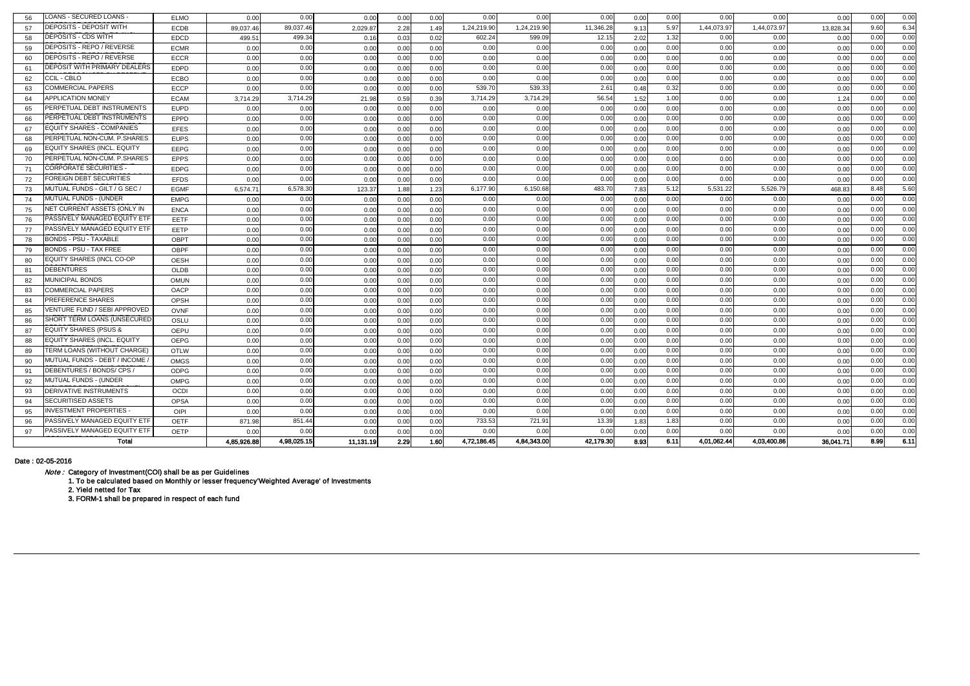| 56 | LOANS - SECURED LOANS            | <b>ELMO</b>      | 0.00        | 0.00        | 0.00      | 0.00 | 0.00 | 0.00        | 0.00        | 0.00      | 0.00 | 0.00 | 0.00        | 0.00        | 0.00      | 0.00 | 0.00 |
|----|----------------------------------|------------------|-------------|-------------|-----------|------|------|-------------|-------------|-----------|------|------|-------------|-------------|-----------|------|------|
| 57 | DEPOSITS - DEPOSIT WITH          | <b>ECDB</b>      | 89.037.46   | 89,037.46   | 2.029.87  | 2.28 | 1.49 | 1,24,219.90 | 1,24,219.90 | 11,346.28 | 9.13 | 5.97 | 1,44,073.97 | 1,44,073.97 | 13.828.34 | 9.60 | 6.34 |
| 58 | DEPOSITS - CDS WITH              | EDCD             | 499.51      | 499.34      | 0.16      | 0.03 | 0.02 | 602.24      | 599.09      | 12.15     | 2.02 | 1.32 | 0.00        | 0.00        | 0.00      | 0.00 | 0.00 |
| 59 | DEPOSITS - REPO / REVERSE        | <b>ECMR</b>      | 0.00        | 0.00        | 0.00      | 0.00 | 0.00 | 0.00        | 0.00        | 0.00      | 0.00 | 0.00 | 0.00        | 0.00        | 0.00      | 0.00 | 0.00 |
| 60 | DEPOSITS - REPO / REVERSE        | <b>ECCR</b>      | 0.00        | 0.00        | 0.00      | 0.00 | 0.00 | 0.00        | 0.00        | 0.00      | 0.00 | 0.00 | 0.00        | 0.00        | 0.00      | 0.00 | 0.00 |
| 61 | DEPOSIT WITH PRIMARY DEALERS     | <b>EDPD</b>      | 0.00        | 0.00        | 0.00      | 0.00 | 0.00 | 0.00        | 0.00        | 0.00      | 0.00 | 0.00 | 0.00        | 0.00        | 0.00      | 0.00 | 0.00 |
| 62 | CCIL - CBLO                      | ECBO             | 0.00        | 0.00        | 0.00      | 0.00 | 0.00 | 0.00        | 0.00        | 0.00      | 0.00 | 0.00 | 0.00        | 0.00        | 0.00      | 0.00 | 0.00 |
| 63 | COMMERCIAL PAPERS                | <b>ECCP</b>      | 0.00        | 0.00        | 0.00      | 0.00 | 0.00 | 539.70      | 539.33      | 2.61      | 0.48 | 0.32 | 0.00        | 0.00        | 0.00      | 0.00 | 0.00 |
| 64 | <b>APPLICATION MONEY</b>         | <b>ECAM</b>      | 3,714.29    | 3,714.29    | 21.98     | 0.59 | 0.39 | 3,714.29    | 3,714.29    | 56.54     | 1.52 | 1.00 | 0.00        | 0.00        | 1.24      | 0.00 | 0.00 |
| 65 | PERPETUAL DEBT INSTRUMENTS       | <b>EUPD</b>      | 0.00        | 0.00        | 0.00      | 0.00 | 0.00 | 0.00        | 0.00        | 0.00      | 0.00 | 0.00 | 0.00        | 0.00        | 0.00      | 0.00 | 0.00 |
| 66 | PERPETUAL DEBT INSTRUMENTS       | EPPD             | 0.00        | 0.00        | 0.00      | 0.00 | 0.00 | 0.00        | 0.00        | 0.00      | 0.00 | 0.00 | 0.00        | 0.00        | 0.00      | 0.00 | 0.00 |
| 67 | EQUITY SHARES - COMPANIES        | EFES             | 0.00        | 0.00        | 0.00      | 0.00 | 0.00 | 0.00        | 0.00        | 0.00      | 0.00 | 0.00 | 0.00        | 0.00        | 0.00      | 0.00 | 0.00 |
| 68 | PERPETUAL NON-CUM. P.SHARES      | <b>EUPS</b>      | 0.00        | 0.00        | 0.00      | 0.00 | 0.00 | 0.00        | 0.00        | 0.00      | 0.00 | 0.00 | 0.00        | 0.00        | 0.00      | 0.00 | 0.00 |
| 69 | EQUITY SHARES (INCL. EQUITY      | <b>EEPG</b>      | 0.00        | 0.00        | 0.00      | 0.00 | 0.00 | 0.00        | 0.00        | 0.00      | 0.00 | 0.00 | 0.00        | 0.00        | 0.00      | 0.00 | 0.00 |
| 70 | PERPETUAL NON-CUM. P.SHARES      | <b>EPPS</b>      | 0.00        | 0.00        | 0.00      | 0.00 | 0.00 | 0.00        | 0.00        | 0.00      | 0.00 | 0.00 | 0.00        | 0.00        | 0.00      | 0.00 | 0.00 |
| 71 | <b>CORPORATE SECURITIES -</b>    | <b>EDPG</b>      | 0.00        | 0.00        | 0.00      | 0.00 | 0.00 | 0.00        | 0.00        | 0.00      | 0.00 | 0.00 | 0.00        | 0.00        | 0.00      | 0.00 | 0.00 |
| 72 | FOREIGN DEBT SECURITIES          | <b>EFDS</b>      | 0.00        | 0.00        | 0.00      | 0.00 | 0.00 | 0.00        | 0.00        | 0.00      | 0.00 | 0.00 | 0.00        | 0.00        | 0.00      | 0.00 | 0.00 |
| 73 | MUTUAL FUNDS - GILT / G SEC /    | <b>EGMF</b>      | 6,574.71    | 6,578.30    | 123.37    | 1.88 | 1.23 | 6,177.90    | 6,150.68    | 483.70    | 7.83 | 5.12 | 5,531.22    | 5,526.79    | 468.83    | 8.48 | 5.60 |
| 74 | <b>MUTUAL FUNDS - (UNDER</b>     | <b>EMPG</b>      | 0.00        | 0.00        | 0.00      | 0.00 | 0.00 | 0.00        | 0.00        | 0.00      | 0.00 | 0.00 | 0.00        | 0.00        | 0.00      | 0.00 | 0.00 |
| 75 | NET CURRENT ASSETS (ONLY IN      | <b>ENCA</b>      | 0.00        | 0.00        | 0.00      | 0.00 | 0.00 | 0.00        | 0.00        | 0.00      | 0.00 | 0.00 | 0.00        | 0.00        | 0.00      | 0.00 | 0.00 |
| 76 | PASSIVELY MANAGED EQUITY ETF     | EETF             | 0.00        | 0.00        | 0.00      | 0.00 | 0.00 | 0.00        | 0.00        | 0.00      | 0.00 | 0.00 | 0.00        | 0.00        | 0.00      | 0.00 | 0.00 |
| 77 | PASSIVELY MANAGED EQUITY ETF     | EETP             | 0.00        | 0.00        | 0.00      | 0.00 | 0.00 | 0.00        | 0.00        | 0.00      | 0.00 | 0.00 | 0.00        | 0.00        | 0.00      | 0.00 | 0.00 |
| 78 | <b>BONDS - PSU - TAXABLE</b>     | OBP <sub>1</sub> | 0.00        | 0.00        | 0.00      | 0.00 | 0.00 | 0.00        | 0.00        | 0.00      | 0.00 | 0.00 | 0.00        | 0.00        | 0.00      | 0.00 | 0.00 |
| 79 | BONDS - PSU - TAX FREE           | OBPF             | 0.00        | 0.00        | 0.00      | 0.00 | 0.00 | 0.00        | 0.00        | 0.00      | 0.00 | 0.00 | 0.00        | 0.00        | 0.00      | 0.00 | 0.00 |
| 80 | EQUITY SHARES (INCL CO-OP        | <b>OESH</b>      | 0.00        | 0.00        | 0.00      | 0.00 | 0.00 | 0.00        | 0.00        | 0.00      | 0.00 | 0.00 | 0.00        | 0.00        | 0.00      | 0.00 | 0.00 |
| 81 | <b>DEBENTURES</b>                | <b>OLDB</b>      | 0.00        | 0.00        | 0.00      | 0.00 | 0.00 | 0.00        | 0.00        | 0.00      | 0.00 | 0.00 | 0.00        | 0.00        | 0.00      | 0.00 | 0.00 |
| 82 | MUNICIPAL BONDS                  | <b>OMUN</b>      | 0.00        | 0.00        | 0.00      | 0.00 | 0.00 | 0.00        | 0.00        | 0.00      | 0.00 | 0.00 | 0.00        | 0.00        | 0.00      | 0.00 | 0.00 |
| 83 | COMMERCIAL PAPERS                | OACP             | 0.00        | 0.00        | 0.00      | 0.00 | 0.00 | 0.00        | 0.00        | 0.00      | 0.00 | 0.00 | 0.00        | 0.00        | 0.00      | 0.00 | 0.00 |
| 84 | PREFERENCE SHARES                | OPSH             | 0.00        | 0.00        | 0.00      | 0.00 | 0.00 | 0.00        | 0.00        | 0.00      | 0.00 | 0.00 | 0.00        | 0.00        | 0.00      | 0.00 | 0.00 |
| 85 | VENTURE FUND / SEBI APPROVED     | <b>OVNF</b>      | 0.00        | 0.00        | 0.00      | 0.00 | 0.00 | 0.00        | 0.00        | 0.00      | 0.00 | 0.00 | 0.00        | 0.00        | 0.00      | 0.00 | 0.00 |
| 86 | SHORT TERM LOANS (UNSECURED      | OSLU             | 0.00        | 0.00        | 0.00      | 0.00 | 0.00 | 0.00        | 0.00        | 0.00      | 0.00 | 0.00 | 0.00        | 0.00        | 0.00      | 0.00 | 0.00 |
| 87 | <b>EQUITY SHARES (PSUS &amp;</b> | <b>OEPU</b>      | 0.00        | 0.00        | 0.00      | 0.00 | 0.00 | 0.00        | 0.00        | 0.00      | 0.00 | 0.00 | 0.00        | 0.00        | 0.00      | 0.00 | 0.00 |
| 88 | EQUITY SHARES (INCL. EQUITY      | <b>OEPG</b>      | 0.00        | 0.00        | 0.00      | 0.00 | 0.00 | 0.00        | 0.00        | 0.00      | 0.00 | 0.00 | 0.00        | 0.00        | 0.00      | 0.00 | 0.00 |
| 89 | TERM LOANS (WITHOUT CHARGE)      | <b>OTLW</b>      | 0.00        | 0.00        | 0.00      | 0.00 | 0.00 | 0.00        | 0.00        | 0.00      | 0.00 | 0.00 | 0.00        | 0.00        | 0.00      | 0.00 | 0.00 |
| 90 | MUTUAL FUNDS - DEBT / INCOME     | <b>OMGS</b>      | 0.00        | 0.00        | 0.00      | 0.00 | 0.00 | 0.00        | 0.00        | 0.00      | 0.00 | 0.00 | 0.00        | 0.00        | 0.00      | 0.00 | 0.00 |
| 91 | DEBENTURES / BONDS/ CPS /        | ODPG             | 0.00        | 0.00        | 0.00      | 0.00 | 0.00 | 0.00        | 0.00        | 0.00      | 0.00 | 0.00 | 0.00        | 0.00        | 0.00      | 0.00 | 0.00 |
| 92 | MUTUAL FUNDS - (UNDER            | OMPG             | 0.00        | 0.00        | 0.00      | 0.00 | 0.00 | 0.00        | 0.00        | 0.00      | 0.00 | 0.00 | 0.00        | 0.00        | 0.00      | 0.00 | 0.00 |
| 93 | DERIVATIVE INSTRUMENTS           | OCDI             | 0.00        | 0.00        | 0.00      | 0.00 | 0.00 | 0.00        | 0.00        | 0.00      | 0.00 | 0.00 | 0.00        | 0.00        | 0.00      | 0.00 | 0.00 |
| 94 | <b>SECURITISED ASSETS</b>        | <b>OPSA</b>      | 0.00        | 0.00        | 0.00      | 0.00 | 0.00 | 0.00        | 0.00        | 0.00      | 0.00 | 0.00 | 0.00        | 0.00        | 0.00      | 0.00 | 0.00 |
| 95 | <b>INVESTMENT PROPERTIES</b>     | <b>OIPI</b>      | 0.00        | 0.00        | 0.00      | 0.00 | 0.00 | 0.00        | 0.00        | 0.00      | 0.00 | 0.00 | 0.00        | 0.00        | 0.00      | 0.00 | 0.00 |
| 96 | PASSIVELY MANAGED EQUITY ETF     | <b>OETF</b>      | 871.98      | 851.44      | 0.00      | 0.00 | 0.00 | 733.53      | 721.91      | 13.39     | 1.83 | 1.83 | 0.00        | 0.00        | 0.00      | 0.00 | 0.00 |
| 97 | PASSIVELY MANAGED EQUITY ETI     | OETP             | 0.00        | 0.00        | 0.00      | 0.00 | 0.00 | 0.00        | 0.00        | 0.00      | 0.00 | 0.00 | 0.00        | 0.00        | 0.00      | 0.00 | 0.00 |
|    | <b>Total</b>                     |                  | 4.85.926.88 | 4,98,025.15 | 11.131.19 | 2.29 | 1.60 | 4,72,186.45 | 4,84,343.00 | 42.179.30 | 8.93 | 6.11 | 4.01.062.44 | 4.03.400.86 | 36,041.71 | 8.99 | 6.11 |

#### Date : 02-05-2016

Note :

Category of Investment(COI) shall be as per Guidelines<br>1. To be calculated based on Monthly or lesser frequency'Weighted Average' of Investments<br>2. Yield netted for Tax<br>3. FORM-1 shall be prepared in respect of each fund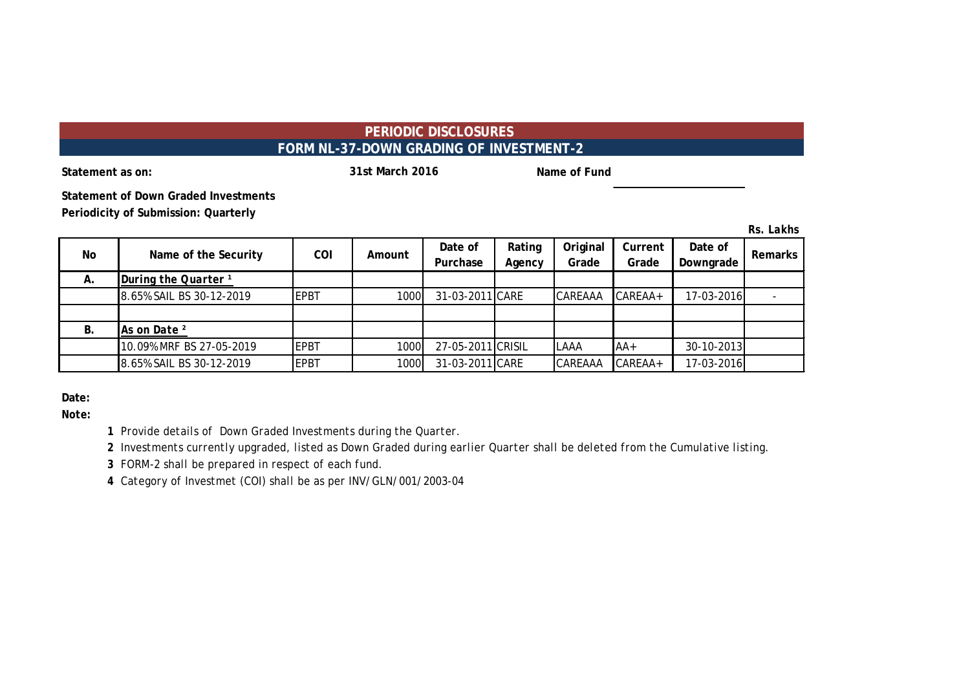### **PERIODIC DISCLOSURES FORM NL-37-DOWN GRADING OF INVESTMENT-2**

**31st March 2016**

**Statement as on: Name of Fund Statement as on: Name of Fund Name of Fund** 

**Statement of Down Graded Investments Periodicity of Submission: Quarterly**

*Rs. Lakhs*

| No | Name of the Security            | <b>COI</b>  | Amount | Date of<br>Purchase | Rating<br>Agency | Original<br>Grade | Current<br>Grade | Date of<br>Downgrade | <b>Remarks</b> |
|----|---------------------------------|-------------|--------|---------------------|------------------|-------------------|------------------|----------------------|----------------|
| Α. | During the Quarter <sup>1</sup> |             |        |                     |                  |                   |                  |                      |                |
|    | 8.65% SAIL BS 30-12-2019        | EPBT        | 1000   | 31-03-2011 CARE     |                  | CAREAAA           | $CAREAA+$        | 17-03-2016           |                |
|    |                                 |             |        |                     |                  |                   |                  |                      |                |
| В. | As on Date <sup>2</sup>         |             |        |                     |                  |                   |                  |                      |                |
|    | 10.09% MRF BS 27-05-2019        | <b>EPBT</b> | 1000   | 27-05-2011 CRISIL   |                  | LAAA              | $AA+$            | 30-10-2013           |                |
|    | 8.65% SAIL BS 30-12-2019        | <b>EPBT</b> | 1000   | 31-03-2011 CARE     |                  | CAREAAA           | CAREAA+          | 17-03-2016           |                |

**Date:**

*Note:*

*1 Provide details of Down Graded Investments during the Quarter.* 

*2 Investments currently upgraded, listed as Down Graded during earlier Quarter shall be deleted from the Cumulative listing.*

*3 FORM-2 shall be prepared in respect of each fund.*

*4 Category of Investmet (COI) shall be as per INV/GLN/001/2003-04*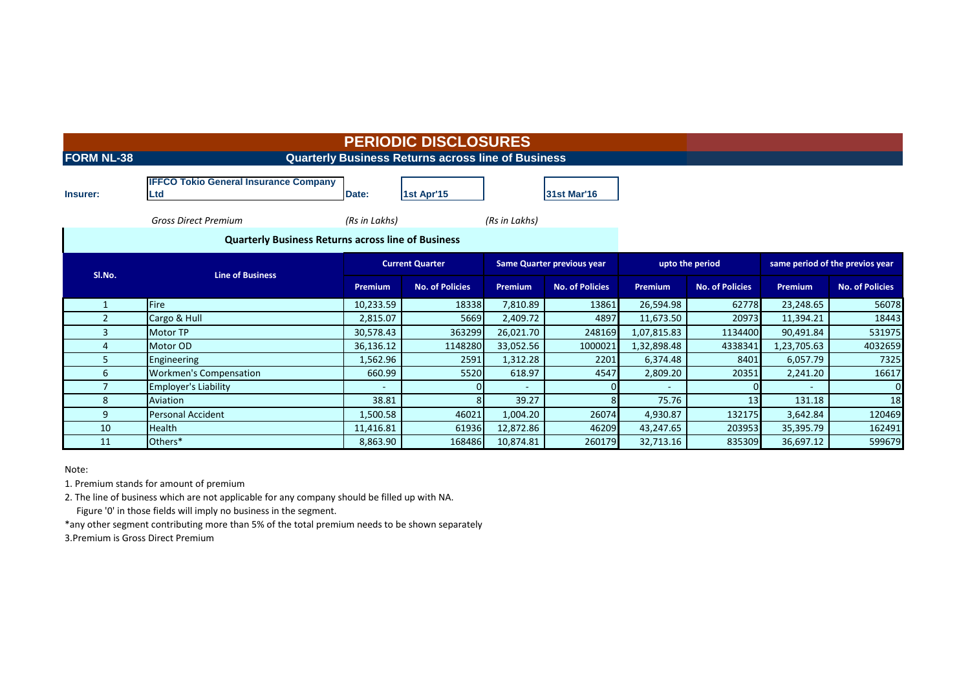| <b>FORM NL-38</b> |                                                            |                | <b>PERIODIC DISCLOSURES</b><br><b>Quarterly Business Returns across line of Business</b> |                |                                   |             |                        |                                 |                        |  |  |  |  |  |  |
|-------------------|------------------------------------------------------------|----------------|------------------------------------------------------------------------------------------|----------------|-----------------------------------|-------------|------------------------|---------------------------------|------------------------|--|--|--|--|--|--|
| Insurer:          | <b>IFFCO Tokio General Insurance Company</b><br><b>Ltd</b> | Date:          | 1st Apr'15                                                                               |                | <b>31st Mar'16</b>                |             |                        |                                 |                        |  |  |  |  |  |  |
|                   | <b>Gross Direct Premium</b>                                |                |                                                                                          |                |                                   |             |                        |                                 |                        |  |  |  |  |  |  |
|                   | <b>Quarterly Business Returns across line of Business</b>  |                |                                                                                          |                |                                   |             |                        |                                 |                        |  |  |  |  |  |  |
|                   | <b>Line of Business</b>                                    |                | <b>Current Quarter</b>                                                                   |                | <b>Same Quarter previous year</b> |             | upto the period        | same period of the previos year |                        |  |  |  |  |  |  |
| SI.No.            |                                                            | <b>Premium</b> | <b>No. of Policies</b>                                                                   | <b>Premium</b> | <b>No. of Policies</b>            | Premium     | <b>No. of Policies</b> | <b>Premium</b>                  | <b>No. of Policies</b> |  |  |  |  |  |  |
|                   | <b>Fire</b>                                                | 10,233.59      | 18338                                                                                    | 7,810.89       | 13861                             | 26,594.98   | 62778                  | 23,248.65                       | 56078                  |  |  |  |  |  |  |
| 2                 | Cargo & Hull                                               | 2,815.07       | 5669                                                                                     | 2,409.72       | 4897                              | 11,673.50   | 20973                  | 11,394.21                       | 18443                  |  |  |  |  |  |  |
| 3                 | <b>Motor TP</b>                                            | 30,578.43      | 363299                                                                                   | 26,021.70      | 248169                            | 1,07,815.83 | 1134400                | 90,491.84                       | 531975                 |  |  |  |  |  |  |
| 4                 | Motor OD                                                   | 36,136.12      | 1148280                                                                                  | 33,052.56      | 1000021                           | 1,32,898.48 | 4338341                | 1,23,705.63                     | 4032659                |  |  |  |  |  |  |
| 5.                | Engineering                                                | 1,562.96       | 2591                                                                                     | 1,312.28       | 2201                              | 6,374.48    | 8401                   | 6,057.79                        | 7325                   |  |  |  |  |  |  |
| 6                 | <b>Workmen's Compensation</b>                              | 660.99         | 5520                                                                                     | 618.97         | 4547                              | 2,809.20    | 20351                  | 2,241.20                        | 16617                  |  |  |  |  |  |  |
| 7                 | <b>Employer's Liability</b>                                |                |                                                                                          |                |                                   | ٠           |                        |                                 | $\Omega$               |  |  |  |  |  |  |
| 8                 | Aviation                                                   | 38.81          |                                                                                          | 39.27          |                                   | 75.76       | 13                     | 131.18                          | 18                     |  |  |  |  |  |  |
| 9                 | <b>Personal Accident</b>                                   | 1,500.58       | 46021                                                                                    | 1,004.20       | 26074                             | 4,930.87    | 132175                 | 3,642.84                        | 120469                 |  |  |  |  |  |  |
| 10                | <b>Health</b>                                              | 11,416.81      | 61936                                                                                    | 12,872.86      | 46209                             | 43,247.65   | 203953                 | 35,395.79                       | 162491                 |  |  |  |  |  |  |
| 11                | Others*                                                    | 8,863.90       | 168486                                                                                   | 10,874.81      | 260179                            | 32,713.16   | 835309                 | 36,697.12                       | 599679                 |  |  |  |  |  |  |

Note:

1. Premium stands for amount of premium

2. The line of business which are not applicable for any company should be filled up with NA.

Figure '0' in those fields will imply no business in the segment.

\*any other segment contributing more than 5% of the total premium needs to be shown separately

3.Premium is Gross Direct Premium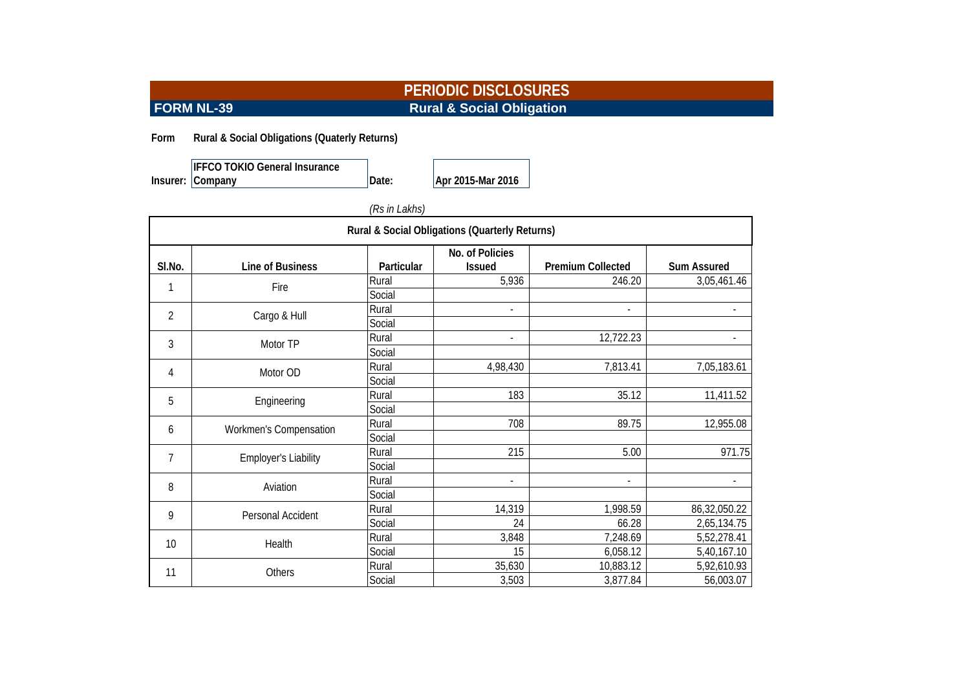# **PERIODIC DISCLOSURES FORM NL-39** Rural & Social Obligation

**Form Rural & Social Obligations (Quaterly Returns)**

**Insurer:** Company **IFFCO TOKIO General Insurance** 

**Company Date: Apr 2015-Mar 2016**

| (Rs in Lakhs) |
|---------------|
|---------------|

| Rural & Social Obligations (Quarterly Returns) |                             |            |                                  |                          |                          |  |  |  |  |
|------------------------------------------------|-----------------------------|------------|----------------------------------|--------------------------|--------------------------|--|--|--|--|
| SI.No.                                         | Line of Business            | Particular | No. of Policies<br><b>Issued</b> | <b>Premium Collected</b> | <b>Sum Assured</b>       |  |  |  |  |
| 1                                              | Fire                        | Rural      | 5,936                            | 246.20                   | 3,05,461.46              |  |  |  |  |
|                                                |                             | Social     |                                  |                          |                          |  |  |  |  |
| $\overline{2}$                                 | Cargo & Hull                | Rural      | $\overline{\phantom{a}}$         | $\blacksquare$           | $\overline{\phantom{a}}$ |  |  |  |  |
|                                                |                             | Social     |                                  |                          |                          |  |  |  |  |
| 3                                              | Motor TP                    | Rural      | $\overline{\phantom{a}}$         | 12,722.23                |                          |  |  |  |  |
|                                                |                             | Social     |                                  |                          |                          |  |  |  |  |
| 4                                              | Motor OD                    | Rural      | 4,98,430                         | 7,813.41                 | 7,05,183.61              |  |  |  |  |
|                                                |                             | Social     |                                  |                          |                          |  |  |  |  |
| 5                                              | Engineering                 | Rural      | 183                              | 35.12                    | 11,411.52                |  |  |  |  |
|                                                |                             | Social     |                                  |                          |                          |  |  |  |  |
| 6                                              |                             | Rural      | 708                              | 89.75                    | 12,955.08                |  |  |  |  |
|                                                | Workmen's Compensation      | Social     |                                  |                          |                          |  |  |  |  |
| 7                                              | <b>Employer's Liability</b> | Rural      | 215                              | 5.00                     | 971.75                   |  |  |  |  |
|                                                |                             | Social     |                                  |                          |                          |  |  |  |  |
| 8                                              | Aviation                    | Rural      | $\overline{\phantom{a}}$         | $\overline{\phantom{a}}$ | $\overline{\phantom{a}}$ |  |  |  |  |
|                                                |                             | Social     |                                  |                          |                          |  |  |  |  |
| 9                                              | Personal Accident           | Rural      | 14,319                           | 1,998.59                 | 86,32,050.22             |  |  |  |  |
|                                                |                             | Social     | 24                               | 66.28                    | 2,65,134.75              |  |  |  |  |
|                                                | Health                      | Rural      | 3,848                            | 7,248.69                 | 5,52,278.41              |  |  |  |  |
| 10                                             |                             | Social     | 15                               | 6,058.12                 | 5,40,167.10              |  |  |  |  |
| 11                                             | Others                      | Rural      | 35,630                           | 10,883.12                | 5,92,610.93              |  |  |  |  |
|                                                |                             | Social     | 3,503                            | 3,877.84                 | 56,003.07                |  |  |  |  |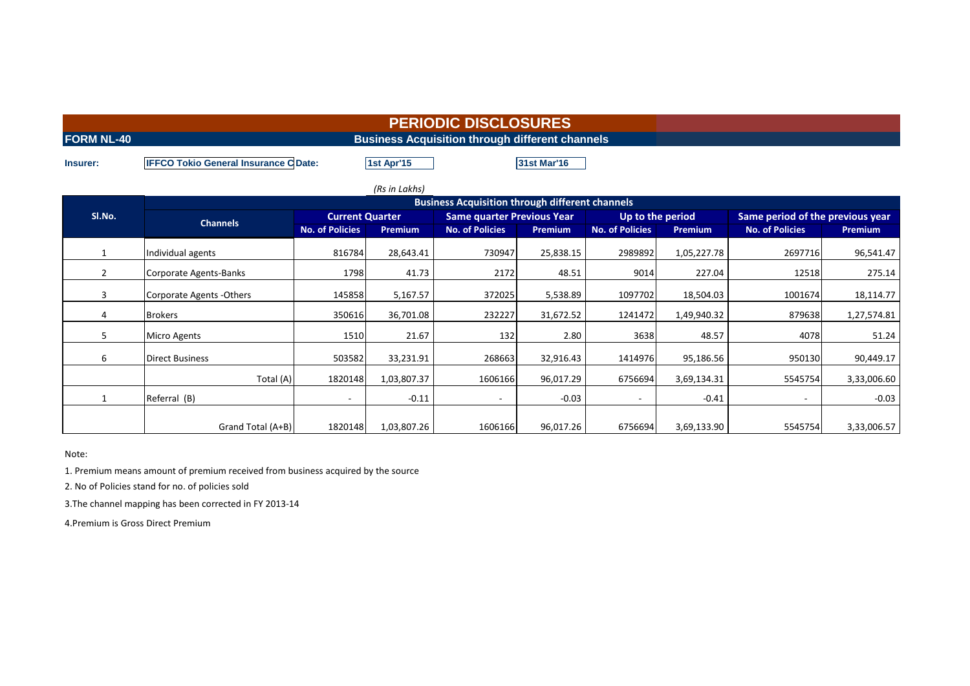| <b>FORM NL-40</b> | <b>Business Acquisition through different channels</b>                           |                                                        |             |                                   |           |                        |                |                                  |                |  |  |
|-------------------|----------------------------------------------------------------------------------|--------------------------------------------------------|-------------|-----------------------------------|-----------|------------------------|----------------|----------------------------------|----------------|--|--|
| Insurer:          | 1st Apr'15<br><b>IFFCO Tokio General Insurance C Date:</b><br><b>31st Mar'16</b> |                                                        |             |                                   |           |                        |                |                                  |                |  |  |
| (Rs in Lakhs)     |                                                                                  |                                                        |             |                                   |           |                        |                |                                  |                |  |  |
|                   |                                                                                  | <b>Business Acquisition through different channels</b> |             |                                   |           |                        |                |                                  |                |  |  |
| SI.No.            |                                                                                  | <b>Current Quarter</b>                                 |             | <b>Same quarter Previous Year</b> |           | Up to the period       |                | Same period of the previous year |                |  |  |
|                   | <b>Channels</b>                                                                  | <b>No. of Policies</b>                                 | Premium     | <b>No. of Policies</b>            | Premium   | <b>No. of Policies</b> | <b>Premium</b> | <b>No. of Policies</b>           | <b>Premium</b> |  |  |
| 1                 | Individual agents                                                                | 816784                                                 | 28,643.41   | 730947                            | 25,838.15 | 2989892                | 1,05,227.78    | 2697716                          | 96,541.47      |  |  |
| $\mathbf{2}$      | Corporate Agents-Banks                                                           | 1798                                                   | 41.73       | 2172                              | 48.51     | 9014                   | 227.04         | 12518                            | 275.14         |  |  |
| 3                 | Corporate Agents - Others                                                        | 145858                                                 | 5,167.57    | 372025                            | 5,538.89  | 1097702                | 18,504.03      | 1001674                          | 18,114.77      |  |  |
| 4                 | <b>Brokers</b>                                                                   | 350616                                                 | 36,701.08   | 232227                            | 31,672.52 | 1241472                | 1,49,940.32    | 879638                           | 1,27,574.81    |  |  |
| 5.                | <b>Micro Agents</b>                                                              | 1510                                                   | 21.67       | 132                               | 2.80      | 3638                   | 48.57          | 4078                             | 51.24          |  |  |
| 6                 | <b>Direct Business</b>                                                           | 503582                                                 | 33,231.91   | 268663                            | 32,916.43 | 1414976                | 95,186.56      | 950130                           | 90,449.17      |  |  |
|                   | Total (A)                                                                        | 1820148                                                | 1,03,807.37 | 1606166                           | 96,017.29 | 6756694                | 3,69,134.31    | 5545754                          | 3,33,006.60    |  |  |
| $\mathbf{1}$      | Referral (B)                                                                     |                                                        | $-0.11$     | $\overline{\phantom{a}}$          | $-0.03$   |                        | $-0.41$        | $\sim$                           | $-0.03$        |  |  |
|                   |                                                                                  |                                                        |             |                                   |           |                        |                |                                  |                |  |  |

Grand Total (A+B) 1820148 1,03,807.26 1606166 96,017.26 6756694 3,69,133.90 5545754 3,33,006.57

Note:

1. Premium means amount of premium received from business acquired by the source

2. No of Policies stand for no. of policies sold

3.The channel mapping has been corrected in FY 2013-14

4.Premium is Gross Direct Premium